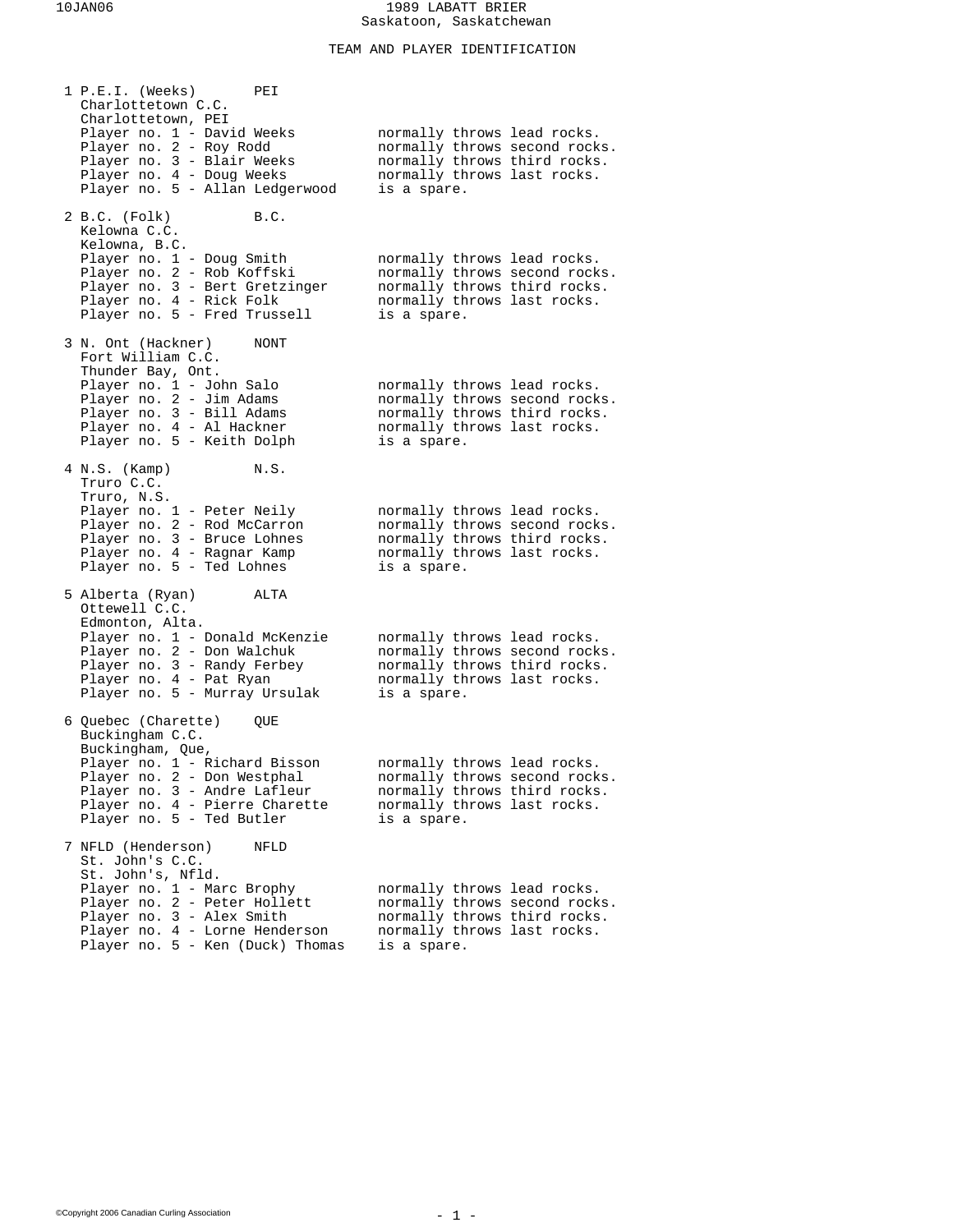TEAM AND PLAYER IDENTIFICATION

| 1 P.E.I. (Weeks)<br>PEI<br>Charlottetown C.C.                                                                                                                                      |                                                                                                                                            |  |
|------------------------------------------------------------------------------------------------------------------------------------------------------------------------------------|--------------------------------------------------------------------------------------------------------------------------------------------|--|
| Charlottetown, PEI<br>Player no. 1 - David Weeks<br>Player no. 2 - Roy Rodd<br>Player no. 3 - Blair Weeks                                                                          | normally throws lead rocks.<br>normally throws second rocks.<br>normally throws third rocks.                                               |  |
| Player no. 4 - Doug Weeks<br>Player no. 5 - Allan Ledgerwood                                                                                                                       | normally throws last rocks.<br>is a spare.                                                                                                 |  |
| 2 B.C. (Folk)<br>B.C.<br>Kelowna C.C.<br>Kelowna, B.C.                                                                                                                             |                                                                                                                                            |  |
| Player no. 1 - Doug Smith<br>Player no. 2 - Rob Koffski<br>Player no. 3 - Bert Gretzinger<br>Player no. 4 - Rick Folk<br>Player no. 5 - Fred Trussell                              | normally throws lead rocks.<br>normally throws second rocks.<br>normally throws third rocks.<br>normally throws last rocks.<br>is a spare. |  |
| 3 N. Ont (Hackner)<br>NONT<br>Fort William C.C.<br>Thunder Bay, Ont.                                                                                                               |                                                                                                                                            |  |
| Player no. 1 - John Salo<br>Player no. 2 - Jim Adams<br>Player no. 3 - Bill Adams<br>Player no. 4 - Al Hackner<br>Player no. 5 - Keith Dolph                                       | normally throws lead rocks.<br>normally throws second rocks.<br>normally throws third rocks.<br>normally throws last rocks.<br>is a spare. |  |
| 4 N.S. (Kamp)<br>N.S.<br>Truro C.C.                                                                                                                                                |                                                                                                                                            |  |
| Truro, N.S.<br>Player no. 1 - Peter Neily<br>Player no. 2 - Rod McCarron<br>Player no. 3 - Bruce Lohnes<br>Player no. 4 - Ragnar Kamp<br>Player no. 5 - Ted Lohnes                 | normally throws lead rocks.<br>normally throws second rocks.<br>normally throws third rocks.<br>normally throws last rocks.<br>is a spare. |  |
| 5 Alberta (Ryan)<br>ALTA<br>Ottewell C.C.                                                                                                                                          |                                                                                                                                            |  |
| Edmonton, Alta.<br>Player no. 1 - Donald McKenzie<br>Player no. 2 - Don Walchuk<br>Player no. 3 - Randy Ferbey<br>Player no. 4 - Pat Ryan<br>Player no. 5 - Murray Ursulak         | normally throws lead rocks.<br>normally throws second rocks.<br>normally throws third rocks.<br>normally throws last rocks.<br>is a spare. |  |
| 6 Quebec (Charette)<br>QUE<br>Buckingham C.C.                                                                                                                                      |                                                                                                                                            |  |
| Buckingham, Que,<br>Player no. 1 - Richard Bisson<br>Player no. 2 - Don Westphal<br>Player no. 3 - Andre Lafleur<br>Player no. 4 - Pierre Charette<br>Player no. 5 - Ted Butler    | normally throws lead rocks.<br>normally throws second rocks.<br>normally throws third rocks.<br>normally throws last rocks.<br>is a spare. |  |
| 7 NFLD (Henderson)<br>NFLD<br>St. John's C.C.                                                                                                                                      |                                                                                                                                            |  |
| St. John's, Nfld.<br>Player no. 1 - Marc Brophy<br>Player no. 2 - Peter Hollett<br>Player no. 3 - Alex Smith<br>Player no. 4 - Lorne Henderson<br>Player no. 5 - Ken (Duck) Thomas | normally throws lead rocks.<br>normally throws second rocks.<br>normally throws third rocks.<br>normally throws last rocks.<br>is a spare. |  |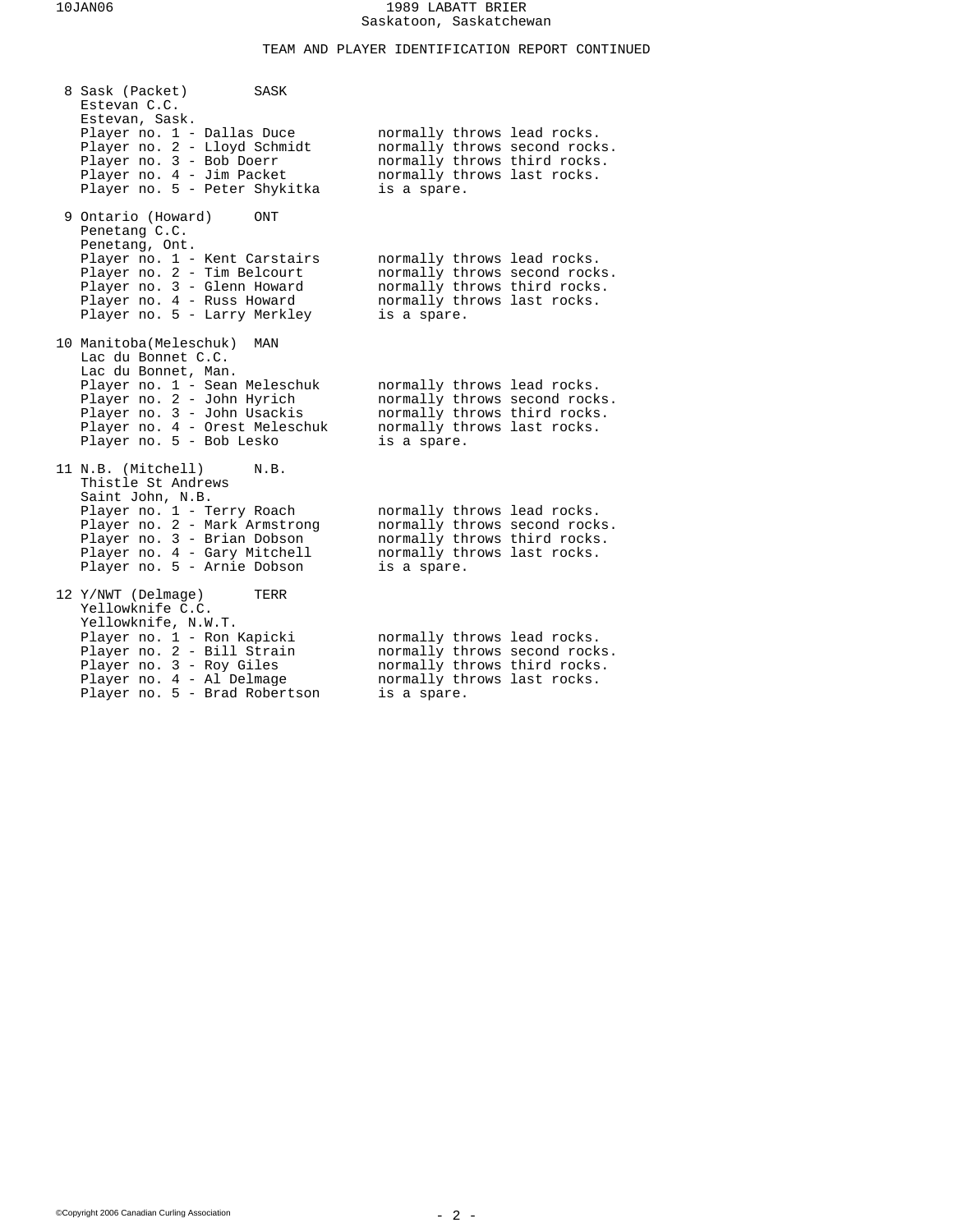## TEAM AND PLAYER IDENTIFICATION REPORT CONTINUED

| 8 Sask (Packet)<br>SASK<br>Estevan C.C.<br>Estevan, Sask.                                                                                                                                                                              |                                                                                                                                            |
|----------------------------------------------------------------------------------------------------------------------------------------------------------------------------------------------------------------------------------------|--------------------------------------------------------------------------------------------------------------------------------------------|
| Player no. 1 - Dallas Duce<br>Player no. 2 - Lloyd Schmidt<br>Player no. 3 - Bob Doerr<br>Player no. 4 - Jim Packet<br>Player no. 5 - Peter Shykitka                                                                                   | normally throws lead rocks.<br>normally throws second rocks.<br>normally throws third rocks.<br>normally throws last rocks.<br>is a spare. |
| 9 Ontario (Howard)<br>ONT<br>Penetang C.C.<br>Penetang, Ont.                                                                                                                                                                           |                                                                                                                                            |
| Player no. 1 - Kent Carstairs<br>Player no. 2 - Tim Belcourt<br>Player no. 3 - Glenn Howard<br>Player no. 4 - Russ Howard<br>Player no. 5 - Larry Merkley                                                                              | normally throws lead rocks.<br>normally throws second rocks.<br>normally throws third rocks.<br>normally throws last rocks.<br>is a spare. |
| 10 Manitoba(Meleschuk)<br>MAN<br>Lac du Bonnet C.C.<br>Lac du Bonnet, Man.<br>Player no. 1 - Sean Meleschuk<br>Player no. 2 - John Hyrich<br>Player no. 3 - John Usackis<br>Player no. 4 - Orest Meleschuk<br>Player no. 5 - Bob Lesko | normally throws lead rocks.<br>normally throws second rocks.<br>normally throws third rocks.<br>normally throws last rocks.<br>is a spare. |
| 11 N.B. (Mitchell)<br>N.B.<br>Thistle St Andrews<br>Saint John, N.B.<br>Player no. 1 - Terry Roach<br>Player no. 2 - Mark Armstrong                                                                                                    | normally throws lead rocks.<br>normally throws second rocks.                                                                               |
| Player no. 3 - Brian Dobson<br>Player no. 4 - Gary Mitchell<br>Player no. 5 - Arnie Dobson                                                                                                                                             | normally throws third rocks.<br>normally throws last rocks.<br>is a spare.                                                                 |
| 12 Y/NWT (Delmage)<br>TERR<br>Yellowknife C.C.<br>Yellowknife, N.W.T.                                                                                                                                                                  |                                                                                                                                            |
| Player no. 1 - Ron Kapicki<br>Player no. 2 - Bill Strain<br>Player no. 3 - Roy Giles<br>Player no. 4 - Al Delmage<br>Player no. 5 - Brad Robertson                                                                                     | normally throws lead rocks.<br>normally throws second rocks.<br>normally throws third rocks.<br>normally throws last rocks.<br>is a spare. |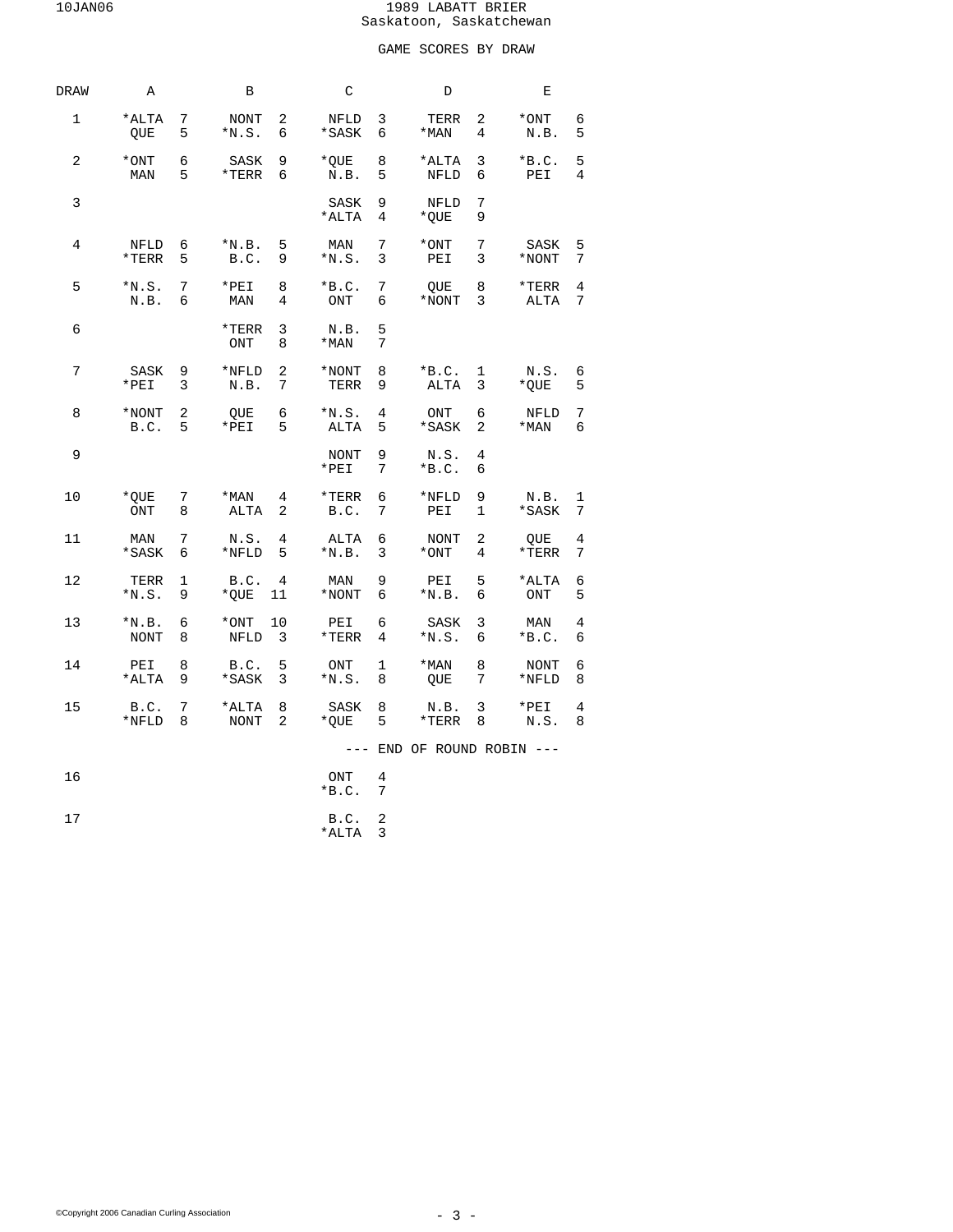# GAME SCORES BY DRAW

| DRAW         | Α                         |                   | В                                                 | C                      |                     | D                           |                     | Ε               |        |
|--------------|---------------------------|-------------------|---------------------------------------------------|------------------------|---------------------|-----------------------------|---------------------|-----------------|--------|
| $\mathbf{1}$ | *ALTA<br>QUE              | 7<br>5            | 2<br><b>NONT</b><br>$*_{N.S.}$<br>6               | NFLD<br>*SASK          | 3<br>6              | TERR<br>$*$ MAN             | 2<br>4              | $*$ ONT<br>N.B. | 6<br>5 |
| 2            | *ONT<br>MAN               | 6<br>5            | SASK<br>9<br>$*$ TERR<br>6                        | *QUE<br>N.B.           | 8<br>5              | *ALTA<br>NFLD               | 3<br>6              | $*B.C.$<br>PEI  | 5<br>4 |
| 3            |                           |                   |                                                   | SASK<br>*ALTA          | 9<br>4              | NFLD<br>*OUE                | 7<br>9              |                 |        |
| 4            | NFLD<br>$^*{\tt TERR}$    | 6<br>5            | $*_{N.B.}$<br>5<br>B.C.<br>9                      | MAN<br>$*_{\rm N.S.}$  | 7<br>3              | *ONT<br>PEI                 | 7<br>3              | SASK<br>*NONT   | 5<br>7 |
| 5            | $*_{\rm N.S.}$<br>N.B.    | 7<br>6            | *PEI<br>8<br>4<br>MAN                             | $*B.C.$<br>ONT         | 7<br>6              | QUE<br>*NONT                | 8<br>3              | *TERR<br>ALTA   | 4<br>7 |
| 6            |                           |                   | 3<br>$*$ TERR<br>$\mathop{\rm ONT}\nolimits$<br>8 | N.B.<br>$*$ MAN        | 5<br>7              |                             |                     |                 |        |
| 7            | SASK<br>$*PEI$            | 9<br>3            | 2<br>*NFLD<br>7<br>N.B.                           | $*$ NONT<br>TERR       | 8<br>9              | $*_{\mathbf{B.C.}}$<br>ALTA | 1<br>3              | N.S.<br>*QUE    | 6<br>5 |
| 8            | *NONT<br>B.C.             | 2<br>-5           | 6<br>OUE<br>$*PEI$<br>5                           | $*_{\rm N.S.}$<br>ALTA | $\overline{4}$<br>5 | ONT<br>*SASK                | 6<br>2              | NFLD<br>$*MAN$  | 7<br>6 |
| 9            |                           |                   |                                                   | NONT<br>$*PEI$         | 9<br>7              | N.S.<br>$*B.C.$             | $\overline{4}$<br>6 |                 |        |
| 10           | *QUE<br>ONT               | 7<br>8            | $*MAN$<br>4<br>ALTA<br>2                          | *TERR<br>B.C.          | 6<br>7              | *NFLD<br>PEI                | 9<br>1              | N.B.<br>*SASK   | 1<br>7 |
| 11           | MAN<br>*SASK              | 7<br>6            | N.S.<br>$\overline{4}$<br>5<br>*NFLD              | ALTA<br>$*_{\rm N.B.}$ | 6<br>3              | NONT<br>*ONT                | 2<br>4              | QUE<br>$*$ TERR | 4<br>7 |
| 12           | TERR<br>$*_{N.S.}$        | $\mathbf{1}$<br>9 | $\overline{4}$<br>B.C.<br>$*$ OUE<br>11           | MAN<br>*NONT           | 9<br>6              | PEI<br>$*_{N.B.}$           | 5<br>6              | *ALTA<br>ONT    | 6<br>5 |
| 13           | $*_{N.B.}$<br><b>NONT</b> | 6<br>8            | $*$ ONT<br>10<br>3<br>NFLD                        | PEI<br>$*$ TERR        | 6<br>4              | SASK<br>$*_{N.S.}$          | 3<br>6              | MAN<br>$*B.C.$  | 4<br>6 |
| 14           | PEI<br>*ALTA              | 8<br>9            | 5<br>B.C.<br>3<br>*SASK                           | ONT<br>$*_{N.S.}$      | 1<br>8              | *MAN<br>OUE                 | 8<br>7              | NONT<br>*NFLD   | 6<br>8 |
| 15           | B.C.<br>*NFLD             | 7<br>8            | 8<br>*ALTA<br>NONT<br>2                           | SASK<br>*OUE           | 8<br>5              | N.B.<br>*TERR               | 3<br>8              | $*PEI$<br>N.S.  | 4<br>8 |
|              |                           |                   |                                                   | $---$                  |                     | END OF ROUND ROBIN $---$    |                     |                 |        |
| 16           |                           |                   |                                                   | ONT<br>$*B.C.$         | $\overline{4}$<br>7 |                             |                     |                 |        |
| 17           |                           |                   |                                                   | B.C.<br>*ALTA          | 2<br>3              |                             |                     |                 |        |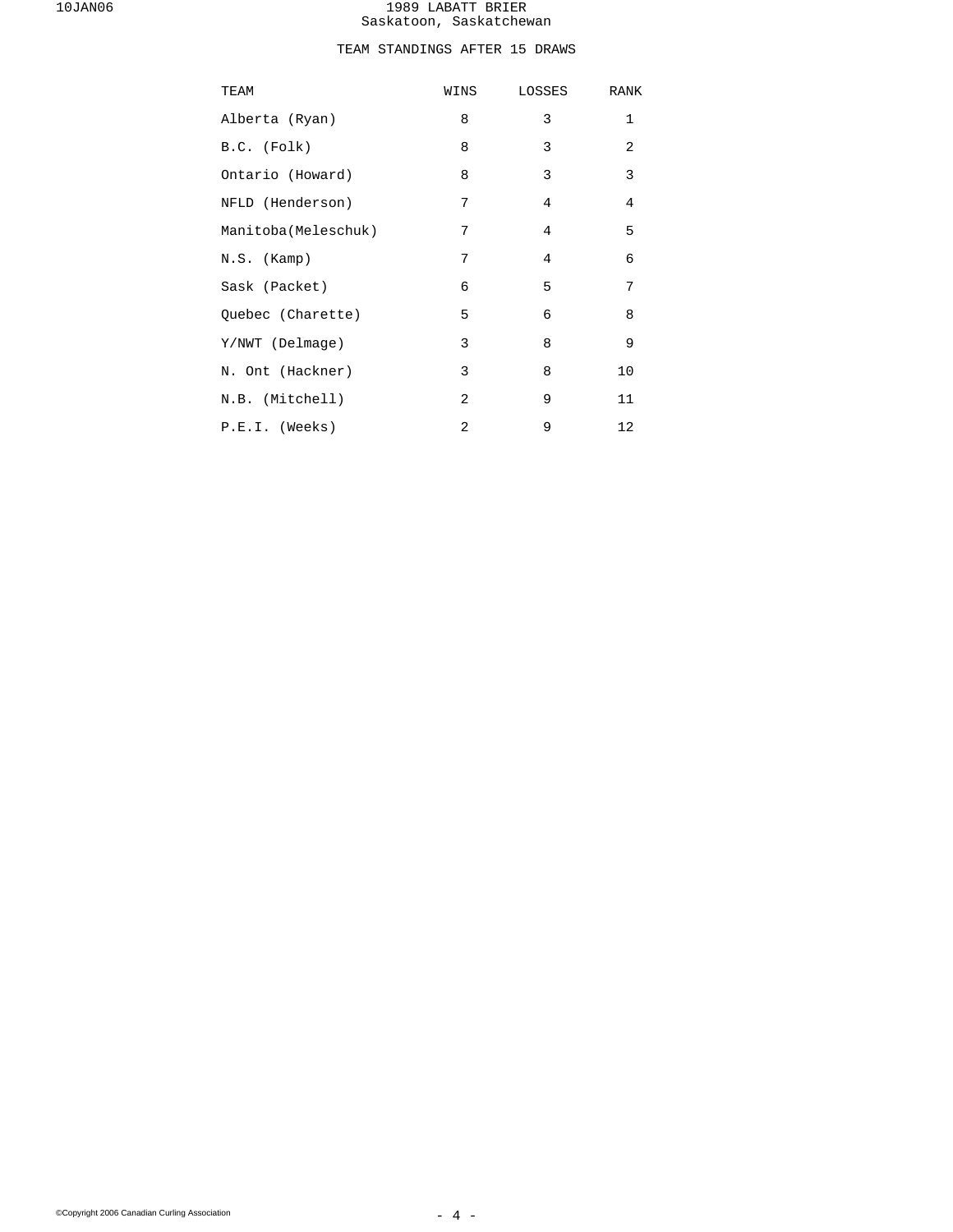## TEAM STANDINGS AFTER 15 DRAWS

| TEAM                 | WINS           | LOSSES         | RANK           |
|----------------------|----------------|----------------|----------------|
| Alberta (Ryan)       | 8              | 3              | $\mathbf 1$    |
| B.C. (Folk)          | 8              | 3              | $\overline{2}$ |
| Ontario (Howard)     | 8              | 3              | 3              |
| NFLD (Henderson)     | 7              | $\overline{4}$ | 4              |
| Manitoba (Meleschuk) | 7              | 4              | 5              |
| $N.S.$ (Kamp)        | 7              | $\overline{4}$ | 6              |
| Sask (Packet)        | 6              | 5              | 7              |
| Quebec (Charette)    | 5              | 6              | 8              |
| Y/NWT (Delmage)      | 3              | 8              | 9              |
| N. Ont (Hackner)     | 3              | 8              | 10             |
| N.B. (Mitchell)      | $\overline{a}$ | 9              | 11             |
| $P.E.I.$ (Weeks)     | 2              | 9              | 12             |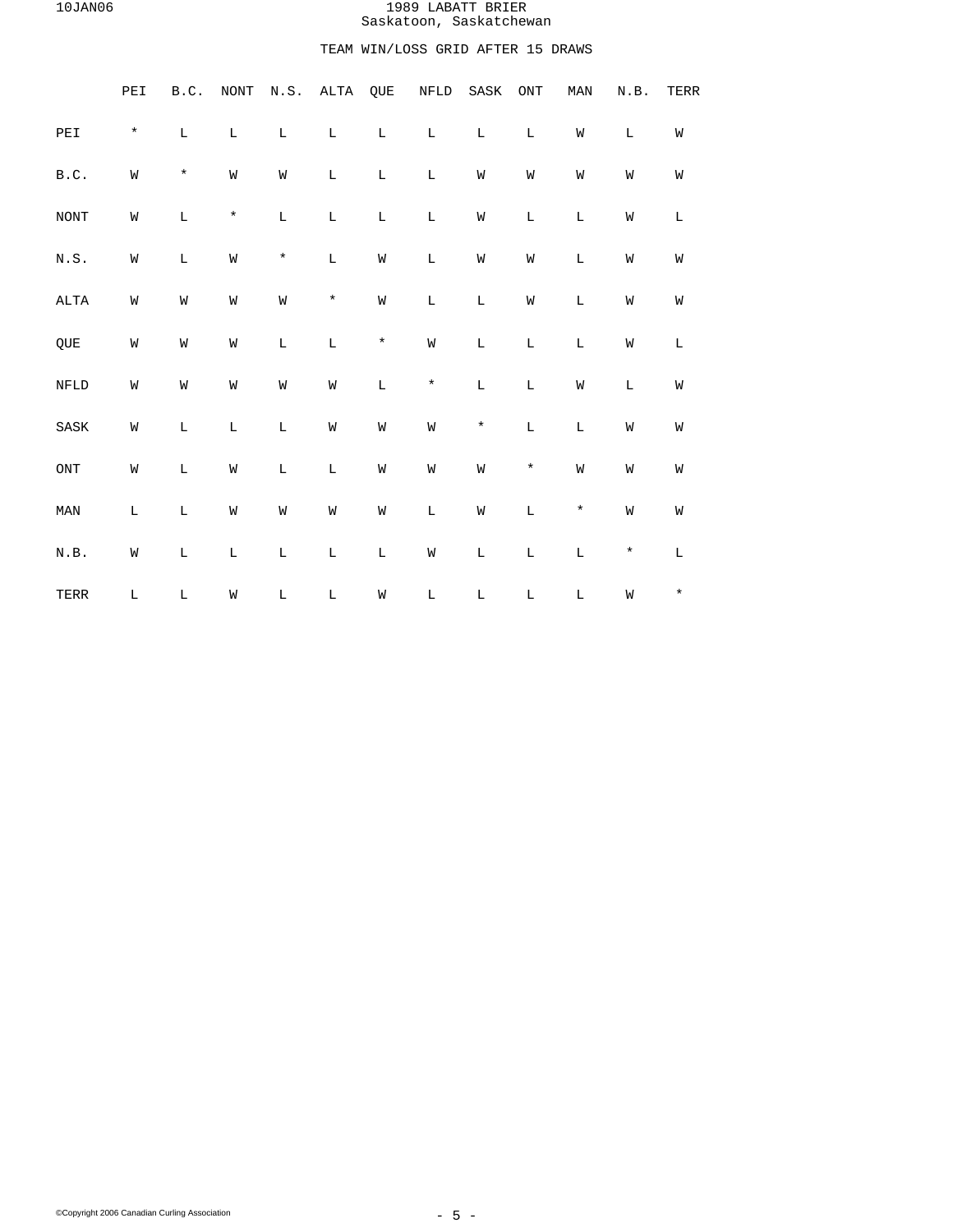# TEAM WIN/LOSS GRID AFTER 15 DRAWS

|                                 | PEI         | B.C.        | NONT        | N.S.        | ALTA        | QUE         | NFLD        | $\operatorname{SASK}$ | $\rm ONT$   | MAN         | N.B.    | TERR        |  |
|---------------------------------|-------------|-------------|-------------|-------------|-------------|-------------|-------------|-----------------------|-------------|-------------|---------|-------------|--|
| PEI                             | $\star$     | $\mathbb L$ | $\mathbb L$ | $\mathbb L$ | $\mathbb L$ | $\mathbf L$ | $\mathbb L$ | $\mathbf L$           | $\mathbf L$ | W           | L       | W           |  |
| B.C.                            | W           | $\star$     | W           | W           | $\mathbb L$ | $\mathbf L$ | $\mathbb L$ | M                     | W           | W           | M       | W           |  |
| $\rm{NONT}$                     | W           | $\mathbb L$ | $\star$     | $\mathbb L$ | $\mathbb L$ | $\mathbf L$ | $\mathbb L$ | W                     | $\mathbb L$ | $\mathbb L$ | M       | $\mathbb L$ |  |
| $\textsc{N} \cdot \textsc{S}$ . | W           | $\mathbb L$ | W           | $\star$     | $\mathbb L$ | W           | $\mathbb L$ | M                     | W           | $\mathbb L$ | M       | W           |  |
| $\mathtt{ALTA}$                 | W           | W           | W           | W           | $\star$     | M           | $\mathbf L$ | $\mathbb L$           | W           | $\mathbb L$ | M       | W           |  |
| QUE                             | W           | W           | W           | $\mathbf L$ | $\mathbb L$ | $\star$     | M           | $\mathbf L$           | $\mathbb L$ | $\mathbb L$ | M       | $\mathbb L$ |  |
| ${\tt NFLD}$                    | W           | W           | W           | W           | W           | $\mathbb L$ | $\star$     | $\mathbb L$           | $\mathbb L$ | W           | L       | W           |  |
| $\operatorname{SASK}$           | W           | $\mathbb L$ | $\mathbb L$ | $\mathbf L$ | W           | M           | W           | $\star$               | $\mathbb L$ | $\mathbb L$ | M       | W           |  |
| $\rm ONT$                       | W           | $\mathbb L$ | W           | $\mathbb L$ | $\mathbb L$ | M           | W           | W                     | $\star$     | W           | M       | W           |  |
| $\texttt{MAN}$                  | $\mathbb L$ | $\mathbb L$ | W           | ${\tt W}$   | W           | M           | $\mathbb L$ | W                     | $\mathbb L$ | $\star$     | W       | W           |  |
| $\textsc{n}$ . $\textsc{B}$ .   | W           | $\mathbb L$ | $\mathbb L$ | $\mathbb L$ | $\mathbb L$ | $\mathbb L$ | M           | $\mathbf L$           | $\mathbb L$ | $\mathbb L$ | $\star$ | $\mathbb L$ |  |
| TERR                            | $\mathbb L$ | $\mathbb L$ | W           | $\mathbf L$ | $\mathbb L$ | M           | $\mathbb L$ | $\mathbb L$           | $\mathbb L$ | $\mathbb L$ | W       | $\star$     |  |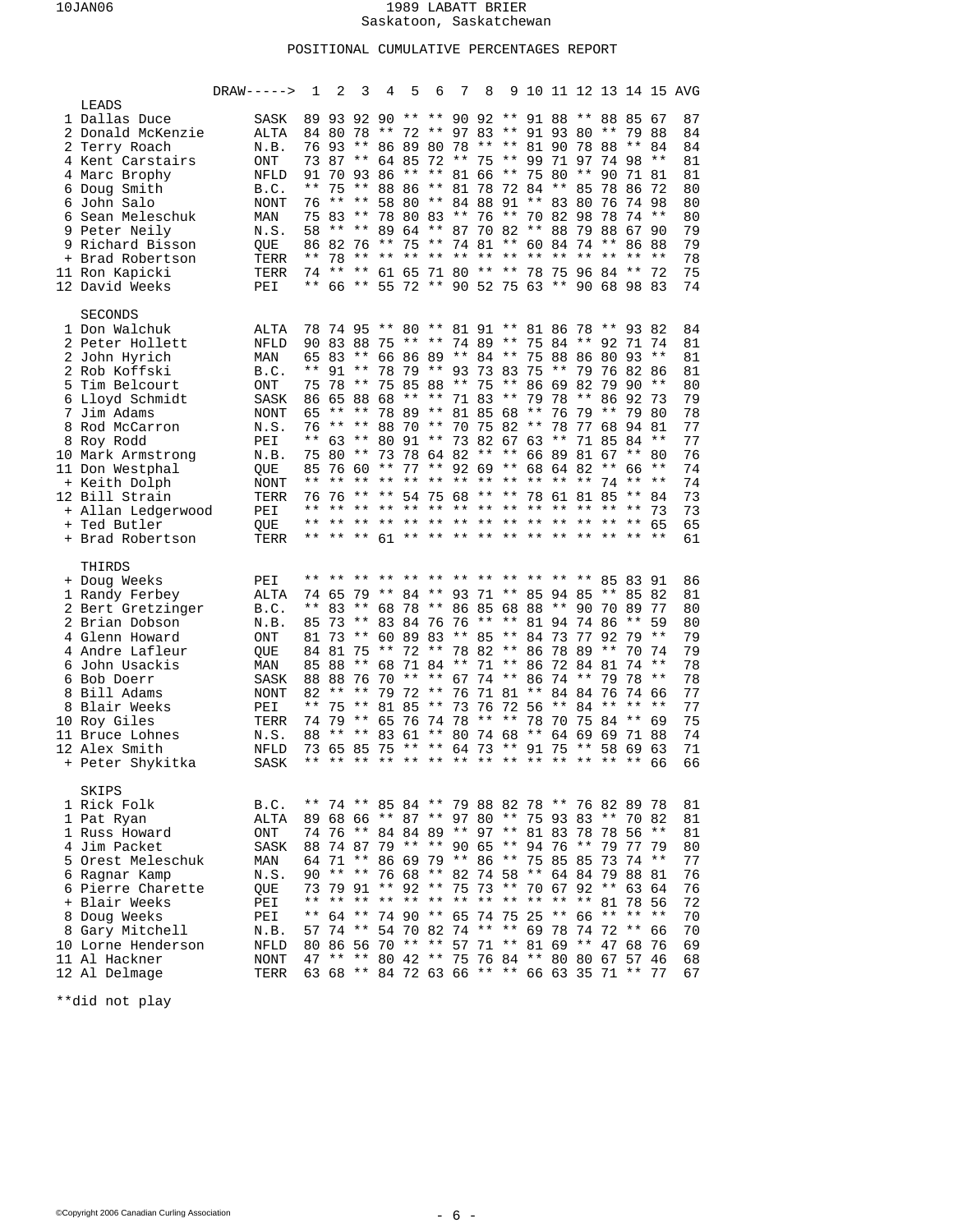## POSITIONAL CUMULATIVE PERCENTAGES REPORT

|                                   | $DRAW---$          | 1            | 2                                                                                         | 3     | 4        | 5 | 6 | 7                                                     | 8        |    |                |              |              |             | 9 10 11 12 13 14 15 AVG |
|-----------------------------------|--------------------|--------------|-------------------------------------------------------------------------------------------|-------|----------|---|---|-------------------------------------------------------|----------|----|----------------|--------------|--------------|-------------|-------------------------|
| LEADS                             |                    |              |                                                                                           |       |          |   |   |                                                       |          |    |                |              |              |             |                         |
| 1 Dallas Duce                     | SASK               |              | 89 93 92 90 ** ** 90 92 ** 91 88 ** 88 85                                                 |       |          |   |   |                                                       |          |    |                |              |              | 67          | 87                      |
| 2 Donald McKenzie                 | ALTA               |              | 84 80 78 ** 72 ** 97 83 ** 91 93 80 ** 79<br>76 93 ** 86 89 80 78 ** ** 81 90 78 88 **    |       |          |   |   |                                                       |          |    |                |              |              | 88<br>84    | 84<br>84                |
| 2 Terry Roach<br>4 Kent Carstairs | N.B.<br><b>ONT</b> |              | 7387                                                                                      |       |          |   |   | ** 64 85 72 ** 75 ** 99 71 97 74 98                   |          |    |                |              |              | $***$       | 81                      |
| 4 Marc Brophy                     | NFLD               |              | 91 70 93 86 ** ** 81 66 ** 75 80                                                          |       |          |   |   |                                                       |          |    | ** 90 71       |              |              | 81          | 81                      |
| 6 Doug Smith                      | B.C.               | * *          | $75$ **                                                                                   |       |          |   |   | 88 86 ** 81 78 72 84 ** 85 78 86                      |          |    |                |              |              | 72          | 80                      |
| 6 John Salo                       | <b>NONT</b>        |              | 76 ** ** 58 80 ** 84 88 91 ** 83 80 76 74 98                                              |       |          |   |   |                                                       |          |    |                |              |              |             | 80                      |
| 6 Sean Meleschuk                  | MAN                |              | 75 83 ** 78 80 83 ** 76 ** 70 82 98                                                       |       |          |   |   |                                                       |          |    |                | 78 74        |              | $***$       | 80                      |
| 9 Peter Neily                     | N.S.               |              | 58 ** ** 89 64 ** 87 70 82 ** 88 79 88 67                                                 |       |          |   |   |                                                       |          |    |                |              |              | 90          | 79                      |
| 9 Richard Bisson                  | QUE                |              | 86 82 76 ** 75 ** 74 81 ** 60 84 74 ** 86                                                 |       |          |   |   |                                                       |          |    |                |              |              | 88          | 79                      |
| + Brad Robertson                  | TERR               | * *          | 78                                                                                        |       |          |   |   | ** ** ** ** ** ** ** ** ** **                         |          |    |                | $\star\star$ | $***$        | $***$       | 78                      |
| 11 Ron Kapicki                    | TERR               | 74           | ** ** 61 65 71 80                                                                         |       |          |   |   |                                                       | $***$ ** | 78 | 75 96 84 **    |              |              | 72          | 75                      |
| 12 David Weeks                    | PEI                |              | ** 66 ** 55 72 ** 90 52 75 63 ** 90 68 98 83                                              |       |          |   |   |                                                       |          |    |                |              |              |             | 74                      |
| <b>SECONDS</b>                    |                    |              |                                                                                           |       |          |   |   |                                                       |          |    |                |              |              |             |                         |
| 1 Don Walchuk                     | ALTA               |              | 78 74 95 ** 80 ** 81 91 ** 81 86 78 ** 93                                                 |       |          |   |   |                                                       |          |    |                |              |              | 82          | 84                      |
| 2 Peter Hollett                   | NFLD               |              | 90 83 88 75 ** ** 74 89 ** 75 84 ** 92 71                                                 |       |          |   |   |                                                       |          |    |                |              |              | 74          | 81                      |
| 2 John Hyrich                     | MAN                |              | 65 83 **                                                                                  |       |          |   |   | 66 86 89 ** 84 ** 75 88 86 80 93                      |          |    |                |              |              | $***$       | 81                      |
| 2 Rob Koffski                     | B.C.               |              | ** 91 **                                                                                  |       |          |   |   | 78 79 ** 93 73 83 75 ** 79 76 82 86                   |          |    |                |              |              |             | 81                      |
| 5 Tim Belcourt                    | ONT                |              | 75 78                                                                                     | $***$ |          |   |   | 75 85 88 ** 75 **                                     |          |    | 86 69 82 79 90 |              |              | $***$       | 80                      |
| 6 Lloyd Schmidt                   | SASK               |              | 86 65 88 68                                                                               |       |          |   |   | ** ** 71 83 ** 79 78 **                               |          |    |                | 8692         |              | 73          | 79                      |
| 7 Jim Adams                       | NONT               | 65           | $***$<br>$76******$                                                                       | $***$ |          |   |   | 78 89 ** 81 85 68 **<br>70 ** 70 75 82 ** 78 77 68 94 |          |    | 76 79 **       |              | 79           | 80          | 78                      |
| 8 Rod McCarron<br>8 Roy Rodd      | N.S.<br>PEI        | $***$        | 63 **                                                                                     |       | 88<br>80 |   |   | 91 ** 73 82 67 63 ** 71 85 84                         |          |    |                |              |              | 81<br>$***$ | 77<br>77                |
| 10 Mark Armstrong                 | N.B.               |              | 75 80 ** 73 78 64 82 ** **                                                                |       |          |   |   |                                                       |          |    | 66 89 81 67 ** |              |              | 80          | 76                      |
| 11 Don Westphal                   | QUE                |              | 85 76 60 ** 77 ** 92 69 **                                                                |       |          |   |   |                                                       |          |    | 68 64 82 ** 66 |              |              | $***$       | 74                      |
| + Keith Dolph                     | NONT               | $***$        | $***$                                                                                     |       |          |   |   | ** ** ** ** ** ** ** ** ** ** 74 ** **                |          |    |                |              |              |             | 74                      |
| 12 Bill Strain                    | TERR               |              | 76 76                                                                                     |       |          |   |   | ** ** 54 75 68 ** ** 78 61 81 85 **                   |          |    |                |              |              | 84          | 73                      |
| + Allan Ledgerwood                | PEI                | * *          |                                                                                           |       |          |   |   |                                                       |          |    |                |              |              |             | 73                      |
| + Ted Butler                      | QUE                | * *          |                                                                                           |       |          |   |   |                                                       |          |    |                |              |              | 65          | 65                      |
| + Brad Robertson                  | TERR               |              | ** ** ** 61 ** ** ** ** ** ** ** ** ** ** **                                              |       |          |   |   |                                                       |          |    |                |              |              |             | 61                      |
| THIRDS                            |                    |              |                                                                                           |       |          |   |   |                                                       |          |    |                |              |              |             |                         |
| + Doug Weeks                      | PEI                |              | ** ** ** ** ** ** ** ** ** ** ** ** 85 83                                                 |       |          |   |   |                                                       |          |    |                |              |              | 91          | 86                      |
| 1 Randy Ferbey                    | ALTA               |              | 74 65 79 ** 84 ** 93 71 ** 85 94 85 ** 85                                                 |       |          |   |   |                                                       |          |    |                |              |              | 82          | 81                      |
| 2 Bert Gretzinger                 | B.C.               | $***$        | 83                                                                                        |       |          |   |   | ** 68 78 ** 86 85 68 88 ** 90 70 89                   |          |    |                |              |              | 77          | 80                      |
| 2 Brian Dobson                    | N.B.               |              | 85 73 ** 83 84 76 76 ** **                                                                |       |          |   |   |                                                       |          |    | 81 94 74 86    |              | $***$        | 59          | 80                      |
| 4 Glenn Howard                    | ONT                |              | 81 73                                                                                     | $***$ |          |   |   | 60 89 83 ** 85 **                                     |          |    | 84 73 77 92 79 |              |              | $***$       | 79                      |
| 4 Andre Lafleur                   | OUE                |              | 84 81 75 ** 72 ** 78 82 ** 86 78 89 **                                                    |       |          |   |   |                                                       |          |    |                |              | - 70         | 74          | 79                      |
| 6 John Usackis                    | MAN                |              | 85 88                                                                                     |       |          |   |   | ** 68 71 84 ** 71 ** 86 72 84 81 74                   |          |    |                |              |              | $***$       | 78                      |
| 6 Bob Doerr<br>8 Bill Adams       | SASK<br>NONT       | 82           | 88 88 76 70 ** ** 67 74 ** 86 74 **<br>$***$                                              | $***$ |          |   |   | 79 72 ** 76 71 81 ** 84 84 76 74                      |          |    |                | 79 78        |              | $***$<br>66 | 78<br>77                |
| 8 Blair Weeks                     | PEI                |              | $**$ 75 **                                                                                |       |          |   |   | 81 85 ** 73 76 72 56 ** 84 **                         |          |    |                |              | $\star\star$ | $***$       | 77                      |
| 10 Roy Giles                      | TERR               |              | 74 79 ** 65 76 74 78                                                                      |       |          |   |   |                                                       | ** **    |    | 78 70 75 84 ** |              |              | 69          | 75                      |
| 11 Bruce Lohnes                   | N.S.               |              | 88 ** ** 83 61 ** 80 74 68 ** 64 69                                                       |       |          |   |   |                                                       |          |    |                |              | 69 71        | 88          | 74                      |
| 12 Alex Smith                     | NFLD               |              | 73 65 85 75                                                                               |       |          |   |   | ** ** 64 73 ** 91 75 ** 58 69                         |          |    |                |              |              | 63          | 71                      |
| + Peter Shykitka                  | SASK               |              |                                                                                           |       |          |   |   |                                                       |          |    |                |              |              | 66          | 66                      |
|                                   |                    |              |                                                                                           |       |          |   |   |                                                       |          |    |                |              |              |             |                         |
| SKIPS<br>1 Rick Folk              | B.C.               |              | ** 74 ** 85 84 ** 79 88 82 78 ** 76 82 89 78                                              |       |          |   |   |                                                       |          |    |                |              |              |             | 81                      |
| 1 Pat Ryan                        | ALTA               |              | 89 68 66 ** 87 ** 97 80 ** 75 93 83 ** 70 82                                              |       |          |   |   |                                                       |          |    |                |              |              |             | 81                      |
| 1 Russ Howard                     | ONT                |              | 74 76 ** 84 84 89 ** 97 ** 81 83 78 78 56                                                 |       |          |   |   |                                                       |          |    |                |              |              | $***$       | 81                      |
| 4 Jim Packet                      | SASK               |              | 88 74 87 79 ** ** 90 65 ** 94 76 ** 79 77                                                 |       |          |   |   |                                                       |          |    |                |              |              | 79          | 80                      |
| 5 Orest Meleschuk                 | MAN                |              | 64 71 ** 86 69 79 ** 86 ** 75 85 85 73 74                                                 |       |          |   |   |                                                       |          |    |                |              |              | $***$       | 77                      |
| 6 Ragnar Kamp                     | N.S.               |              | 90 ** ** 76 68 ** 82 74 58 ** 64 84 79 88                                                 |       |          |   |   |                                                       |          |    |                |              |              | 81          | 76                      |
| 6 Pierre Charette                 | QUE                |              | 73 79 91 ** 92 ** 75 73 ** 70 67 92 **                                                    |       |          |   |   |                                                       |          |    |                |              | 63           | 64          | 76                      |
| + Blair Weeks                     | PEI                | $***$        | ** ** ** ** ** ** ** ** ** ** **                                                          |       |          |   |   |                                                       |          |    |                | 81 78        |              | 56          | 72                      |
| 8 Doug Weeks                      | PEI                | $\star\star$ | 64 ** 74 90 ** 65 74 75                                                                   |       |          |   |   |                                                       |          |    | $25***66*****$ |              |              | $***$       | 70                      |
| 8 Gary Mitchell                   | N.B.               |              | 57 74 ** 54 70 82 74 ** **                                                                |       |          |   |   |                                                       |          |    | 69 78 74 72 ** |              |              | 66          | 70                      |
| 10 Lorne Henderson                | NFLD               |              | 80 86 56 70 ** ** 57 71 ** 81 69 ** 47 68<br>47 ** ** 80 42 ** 75 76 84 ** 80 80 67 57 46 |       |          |   |   |                                                       |          |    |                |              |              | 76          | 69                      |
| 11 Al Hackner<br>12 Al Delmage    | NONT<br>TERR       |              | 63 68 ** 84 72 63 66 ** ** 66 63 35 71 ** 77                                              |       |          |   |   |                                                       |          |    |                |              |              |             | 68<br>67                |
|                                   |                    |              |                                                                                           |       |          |   |   |                                                       |          |    |                |              |              |             |                         |

\*\*did not play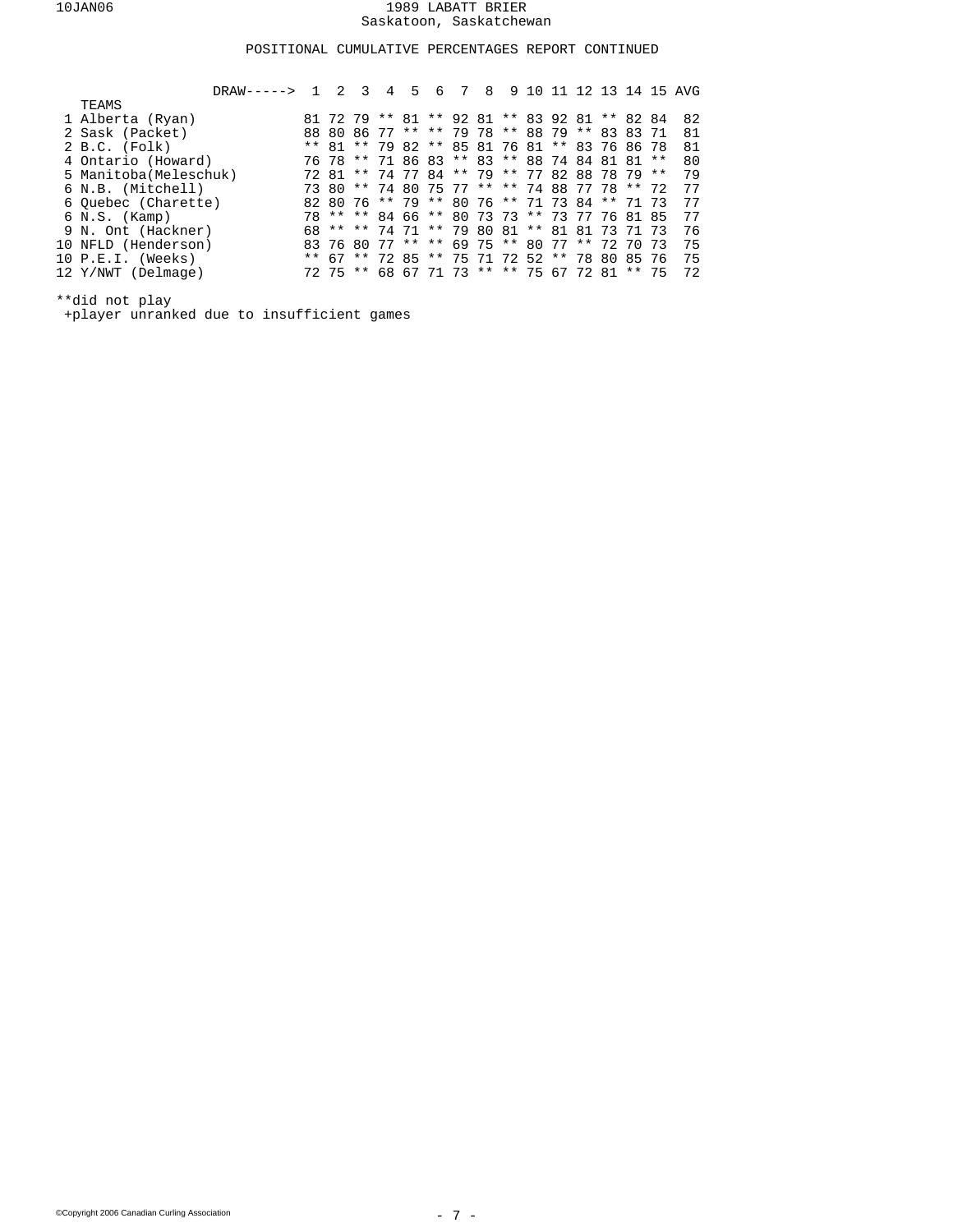## POSITIONAL CUMULATIVE PERCENTAGES REPORT CONTINUED

|                        | DRAW-----> | 2 | 4 | 5                                            | - 6 | 7 | 8 <sup>8</sup> | 9 10 | 12 | 13 |       |     | 14 15 AVG |
|------------------------|------------|---|---|----------------------------------------------|-----|---|----------------|------|----|----|-------|-----|-----------|
| TEAMS                  |            |   |   |                                              |     |   |                |      |    |    |       |     |           |
| 1 Alberta (Ryan)       |            |   |   | 81 72 79 ** 81 ** 92 81 ** 83 92 81 ** 82 84 |     |   |                |      |    |    |       |     | 82        |
| 2 Sask (Packet)        |            |   |   | 88 80 86 77 ** ** 79 78 ** 88 79 ** 83 83 71 |     |   |                |      |    |    |       |     | 81        |
| $2 B.C.$ (Folk)        |            |   |   | ** 81 ** 79 82 ** 85 81 76 81 ** 83 76 86 78 |     |   |                |      |    |    |       |     | 81        |
| 4 Ontario (Howard)     |            |   |   | 76 78 ** 71 86 83 ** 83 ** 88 74 84 81 81 ** |     |   |                |      |    |    |       |     | 80        |
| 5 Manitoba (Meleschuk) |            |   |   | 72 81 ** 74 77 84 ** 79 ** 77 82 88 78 79 ** |     |   |                |      |    |    |       |     | 79        |
| 6 N.B. (Mitchell)      |            |   |   | 73 80 ** 74 80 75 77 ** ** 74 88 77 78 ** 72 |     |   |                |      |    |    |       |     | 77        |
| 6 Ouebec (Charette)    |            |   |   | 82 80 76 ** 79 ** 80 76 ** 71 73 84 ** 71 73 |     |   |                |      |    |    |       |     | 77        |
| $6 N.S.$ (Kamp)        |            |   |   | 78 ** ** 84 66 ** 80 73 73 ** 73 77 76 81 85 |     |   |                |      |    |    |       |     | 77        |
| 9 N. Ont (Hackner)     |            |   |   | 68 ** ** 74 71 ** 79 80 81 ** 81 81 73 71 73 |     |   |                |      |    |    |       |     | 76        |
| 10 NFLD (Henderson)    |            |   |   | 83 76 80 77 ** ** 69 75 ** 80 77 ** 72 70    |     |   |                |      |    |    |       | -73 | 75        |
| 10 P.E.I. (Weeks)      |            |   |   | ** 67 ** 72 85 ** 75 71 72 52 ** 78 80 85 76 |     |   |                |      |    |    |       |     | 75        |
| 12 Y/NWT (Delmage)     |            |   |   | 72 75 ** 68 67 71 73 ** ** 75 67 72 81       |     |   |                |      |    |    | ** 75 |     | 72        |
|                        |            |   |   |                                              |     |   |                |      |    |    |       |     |           |

\*\*did not play

+player unranked due to insufficient games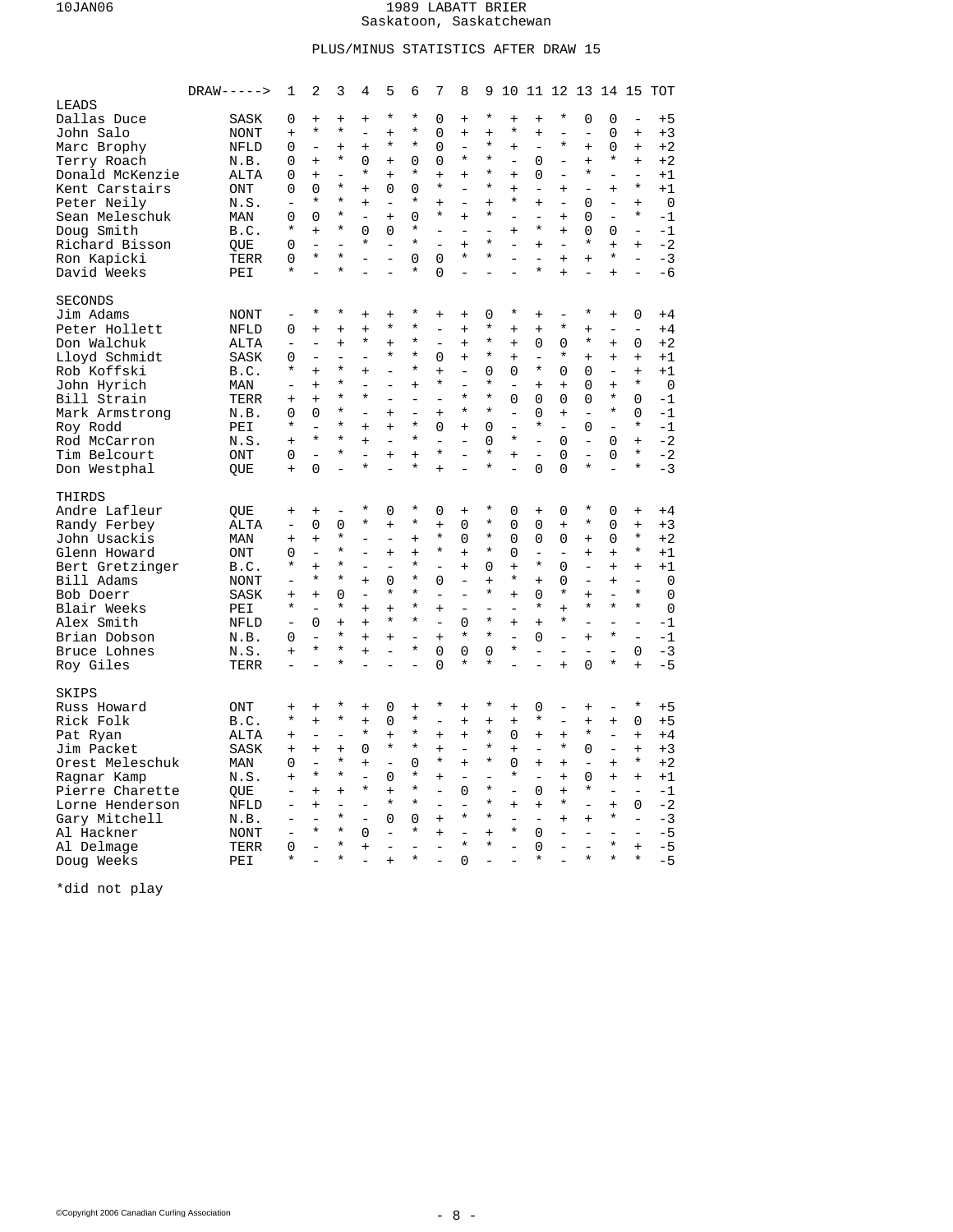## PLUS/MINUS STATISTICS AFTER DRAW 15

|                 | $DRAW-----$ | 1                        | 2                                   | 3                                   | 4                        | 5                        | 6                        | 7                        | 8                        | 9                     | 10                       |                          |                             | 11 12 13 14 15                   |                                     |                          | TOT            |
|-----------------|-------------|--------------------------|-------------------------------------|-------------------------------------|--------------------------|--------------------------|--------------------------|--------------------------|--------------------------|-----------------------|--------------------------|--------------------------|-----------------------------|----------------------------------|-------------------------------------|--------------------------|----------------|
| LEADS           |             |                          |                                     |                                     |                          |                          |                          |                          |                          |                       |                          |                          |                             |                                  |                                     |                          |                |
| Dallas Duce     | SASK        | 0                        | $\, +$                              | $\qquad \qquad +$                   | $\ddot{}$                | $^\star$                 | $^\star$                 | 0                        | $\ddot{}$                | $^\star$              | $\qquad \qquad +$        | $\qquad \qquad +$        | $^\star$                    | 0                                | 0                                   | $\overline{\phantom{0}}$ | $+5$           |
| John Salo       | NONT        | $^{+}$                   | $\star$                             | *                                   | $\overline{a}$           | $+$                      | $\star$                  | 0                        | $\ddot{}$                | $\ddot{}$             | $\star$                  | $\ddot{}$                | $\overline{a}$              | $\equiv$                         | $\mathbf 0$                         | $\ddot{}$                | $+3$           |
| Marc Brophy     | <b>NFLD</b> | 0                        | $\overline{a}$                      | $\ddot{}$                           | $+$                      | $\star$                  | $\star$                  | 0                        | $\overline{\phantom{0}}$ | *                     | $\ddot{}$                | $\overline{a}$           | $\star$                     | $+$                              | $\Omega$                            | $\ddot{}$                | $+2$           |
| Terry Roach     | N.B.        | 0                        | $\ddot{}$                           | $^\star$                            | 0                        | $\ddot{}$                | $\mathbf 0$              | 0                        | $\star$                  | $\star$               | $\qquad \qquad -$        | 0                        | $\overline{a}$              | $\ddot{}$                        | $^\star$                            | $\ddot{}$                | $+2$           |
| Donald McKenzie | ALTA        | 0                        | $+$                                 | $\overline{\phantom{0}}$            | $\star$                  | $\ddot{}$                | $\star$                  | $\ddot{}$                | $+$                      | $\star$               | $+$                      | 0                        | $\qquad \qquad -$           | $\star$                          | $\equiv$                            |                          | $+1$           |
|                 |             | 0                        | $\Omega$                            | $\star$                             | $+$                      | 0                        | 0                        | $\star$                  |                          | $\star$               | $\ddot{}$                | $\overline{\phantom{0}}$ |                             | $\overline{\phantom{a}}$         | $\ddot{}$                           | $\star$                  | $+1$           |
| Kent Carstairs  | ONT         | $\qquad \qquad -$        | $\star$                             | $\star$                             |                          | $\equiv$                 | $^\star$                 |                          | $\overline{\phantom{0}}$ |                       | $^\star$                 |                          | $^{+}$<br>$\qquad \qquad -$ |                                  |                                     | $\ddot{}$                | $\overline{0}$ |
| Peter Neily     | N.S.        |                          | $\Omega$                            | $\star$                             | $\ddot{}$                |                          |                          | $\ddot{}$<br>$\star$     |                          | $\ddot{}$<br>$^\star$ | $\overline{a}$           | $^{+}$                   |                             | 0                                | $\qquad \qquad -$<br>$\overline{a}$ | $\star$                  |                |
| Sean Meleschuk  | MAN         | 0<br>$\star$             |                                     | $\star$                             | $\overline{a}$           | $+$                      | 0<br>$^\star$            |                          | $+$                      |                       |                          | $^\star$                 | $\ddot{}$                   | $\Omega$                         |                                     |                          | $-1$           |
| Doug Smith      | B.C.        |                          | $\ddot{}$                           |                                     | 0<br>$^\star$            | 0                        | $^\star$                 | $\overline{\phantom{0}}$ |                          | $\overline{a}$<br>*   | $\ddot{}$                |                          | $\ddot{+}$                  | $\Omega$<br>$^\star$             | 0                                   | $\overline{a}$           | $-1$           |
| Richard Bisson  | QUE         | 0                        | $\overline{\phantom{a}}$<br>$\star$ | $\overline{\phantom{a}}$<br>$\star$ |                          | $\overline{a}$           |                          | $\overline{\phantom{0}}$ | $\ddot{}$<br>$\star$     | $\star$               | Ĭ.                       | $\ddot{}$                | -                           |                                  | $\ddot{}$                           | $+$                      | $-2$           |
| Ron Kapicki     | TERR        | 0                        |                                     |                                     |                          | $\overline{a}$           | $\Omega$<br>$\star$      | $\Omega$                 |                          |                       | Ĭ.                       |                          | $\ddot{}$                   | $+$                              | $\star$                             |                          | $-3$           |
| David Weeks     | PEI         | $\star$                  | $\overline{a}$                      | $\star$                             | $\overline{a}$           | $\overline{a}$           |                          | $\Omega$                 |                          |                       |                          | $^\star$                 | $\ddot{}$                   | $\overline{\phantom{0}}$         | $\ddot{}$                           | $\overline{a}$           | $-6$           |
|                 |             |                          |                                     |                                     |                          |                          |                          |                          |                          |                       |                          |                          |                             |                                  |                                     |                          |                |
| <b>SECONDS</b>  |             |                          |                                     |                                     |                          |                          |                          |                          |                          |                       |                          |                          |                             |                                  |                                     |                          |                |
| Jim Adams       | <b>NONT</b> | $\overline{\phantom{0}}$ | $^\star$                            | $\star$                             | $\ddot{}$                | $\ddot{}$                | $^\star$                 | $\qquad \qquad +$        | $\ddot{}$                | 0                     | $\ast$                   | $\ddot{}$                | $\overline{\phantom{0}}$    | $^\star$                         | $\ddot{}$                           | 0                        | $+4$           |
| Peter Hollett   | <b>NFLD</b> | 0                        | $\ddot{}$                           | $\ddot{}$                           | $\ddot{}$                | $\star$                  | $^\star$                 | $\qquad \qquad -$        | $\ddot{}$                | $^\star$              | $\ddot{}$                | $^{+}$                   | $\star$                     | $\ddot{}$                        | $\overline{\phantom{0}}$            | $\overline{\phantom{a}}$ | $+4$           |
| Don Walchuk     | ALTA        | $\overline{\phantom{0}}$ |                                     | $^{+}$                              | $\star$                  | $\ddot{}$                | $\star$                  | $\equiv$                 | $+$                      | $\star$               | $+$                      | $\Omega$                 | 0                           | $\star$                          | $+$                                 | $\Omega$                 | $+2$           |
| Lloyd Schmidt   | <b>SASK</b> | 0                        | $\overline{a}$                      | ÷,                                  |                          | $\star$                  | $^\star$                 | 0                        | $\ddot{}$                | $\star$               | $+$                      | $\overline{a}$           | $\star$                     | $+$                              | $\ddot{}$                           | $+$                      | $+1$           |
| Rob Koffski     | B.C.        | $^\star$                 | $\ddot{}$                           | $\star$                             | $\ddot{}$                | $\overline{\phantom{0}}$ | $^\star$                 | $\ddot{}$                | $\overline{\phantom{0}}$ | 0                     | 0                        | $\star$                  | 0                           | 0                                | $\qquad \qquad -$                   | $+$                      | $+1$           |
| John Hyrich     | MAN         |                          | $+$                                 | $\star$                             |                          | ÷                        | $+$                      | $\star$                  |                          | $^\star$              | $\qquad \qquad -$        | $\ddot{}$                | $\ddot{}$                   | $\Omega$                         | $+$                                 | $\star$                  | $\mathbf 0$    |
| Bill Strain     | TERR        | $\ddot{}$                | $+$                                 | $\star$                             | $\star$                  | $\overline{\phantom{0}}$ | $\overline{\phantom{0}}$ | $\overline{\phantom{0}}$ | $\star$                  | $\star$               | 0                        | 0                        | 0                           | $\Omega$                         | $\star$                             | $\Omega$                 | $-1$           |
| Mark Armstrong  | N.B.        | 0                        | 0                                   | $\star$                             |                          | $\ddot{}$                | $\equiv$                 | $\ddot{}$                | $\star$                  | $^\star$              | $\overline{\phantom{0}}$ | 0                        | $\ddot{}$                   |                                  | $\star$                             | $\Omega$                 | $-1$           |
| Roy Rodd        | PEI         | $\star$                  |                                     | $\star$                             | $+$                      | $+$                      | $\star$                  | $\Omega$                 | $+$                      | $\overline{0}$        | $\overline{a}$           | $\star$                  | L,                          | $\Omega$                         | $\overline{a}$                      |                          | $-1$           |
| Rod McCarron    | N.S.        | $+$                      | $\star$                             | $\star$                             | $+$                      | $\bar{ }$                | $\star$                  | $\overline{\phantom{0}}$ |                          | 0                     | $\star$                  | $\overline{\phantom{0}}$ | 0                           | $\overline{\phantom{a}}$         | 0                                   | $+$                      | $-2$           |
| Tim Belcourt    | ONT         | 0                        | $\overline{a}$                      | *                                   | $\overline{a}$           | $\ddot{}$                | $\ddot{}$                | $\star$                  | $\overline{\phantom{0}}$ | $\star$               | $\ddot{}$                | $\overline{a}$           | 0                           |                                  | 0                                   | $^\star$                 | $-2$           |
| Don Westphal    | OUE         | $+$                      | $\Omega$                            | $\overline{a}$                      | $\star$                  | $\overline{a}$           | $\star$                  | $+$                      | L.                       | $\star$               | Ĭ.                       | $\Omega$                 | $\Omega$                    | $\star$                          | $\equiv$                            | $\star$                  | $-3$           |
|                 |             |                          |                                     |                                     |                          |                          |                          |                          |                          |                       |                          |                          |                             |                                  |                                     |                          |                |
| THIRDS          |             |                          |                                     |                                     |                          |                          |                          |                          |                          |                       |                          |                          |                             |                                  |                                     |                          |                |
| Andre Lafleur   | OUE         | $\ddot{}$                | $^{+}$                              | $\qquad \qquad -$                   | $\star$                  | 0                        | $\star$                  | 0                        | $\ddot{}$                | $^\star$              | 0                        | $+$                      | $\mathbf 0$                 | $\star$                          | $\mathbf 0$                         | $\ddot{}$                | $+4$           |
| Randy Ferbey    | <b>ALTA</b> | $\overline{\phantom{0}}$ | $\mathbf 0$                         | 0                                   | $\star$                  | $\ddot{}$                | $^\star$                 | $\ddot{}$                | 0                        | $\star$               | $\Omega$                 | 0                        | $\ddot{}$                   | $\star$                          | 0                                   | $+$                      | $+3$           |
| John Usackis    | MAN         | $\ddot{}$                | $\ddot{}$                           | $^\star$                            | $\overline{\phantom{0}}$ | $\equiv$                 | $\ddot{}$                | $^\star$                 | 0                        | $^\star$              | 0                        | 0                        | 0                           | $\ddot{}$                        | 0                                   | $^\star$                 | $+2$           |
| Glenn Howard    | ONT         | 0                        |                                     | $\star$                             |                          | $+$                      | $+$                      | $\star$                  | $+$                      | $^\star$              | 0                        | $\overline{a}$           | $\qquad \qquad -$           | $+$                              | $+$                                 | $\star$                  | $+1$           |
| Bert Gretzinger | B.C.        | $\star$                  | $+$                                 | $\star$                             | $\overline{\phantom{0}}$ | $\qquad \qquad -$        | $\star$                  | $\overline{\phantom{0}}$ | $\ddot{}$                | 0                     | $\ddot{}$                | $\star$                  | 0                           | $\overline{\phantom{0}}$         | $\ddot{}$                           | $\ddot{}$                | $+1$           |
| Bill Adams      | <b>NONT</b> |                          | $^\star$                            | $\star$                             | $\ddot{}$                | 0                        | $\star$                  | 0                        | $\qquad \qquad -$        | $\ddot{}$             | $\star$                  | $\ddot{}$                | 0                           |                                  | $\ddot{}$                           | $\overline{a}$           | $\mathbf 0$    |
| Bob Doerr       | SASK        | $^{+}$                   | $\ddot{}$                           | $\Omega$                            |                          | $\star$                  | $\star$                  | $\equiv$                 |                          | $\star$               | $\ddot{}$                | 0                        | $\star$                     | $+$                              |                                     | $\star$                  | $\Omega$       |
| Blair Weeks     | PEI         | $\star$                  | $\overline{\phantom{a}}$            | $\star$                             | $+$                      | $+$                      | $\star$                  | $\ddot{}$                | $\overline{a}$           | $\overline{a}$        | $\bar{ }$                | $^\star$                 | $\ddot{}$                   | $\star$                          | $\star$                             | $\star$                  | $\mathbf 0$    |
| Alex Smith      | <b>NFLD</b> |                          | 0                                   | $\ddot{}$                           | $+$                      | *                        | $^\star$                 | $\equiv$                 | 0                        | $\star$               | $\ddot{}$                | $\ddot{}$                | *                           |                                  | $\qquad \qquad -$                   |                          | $-1$           |
| Brian Dobson    | N.B.        | 0                        | $\equiv$                            | $\star$                             | $+$                      | $^{+}$                   | $\equiv$                 | $+$                      | $\star$                  | $\star$               | $\equiv$                 | 0                        | $\overline{\phantom{0}}$    | $+$                              | $\star$                             |                          | $-1$           |
| Bruce Lohnes    | N.S.        | $+$                      | $\star$                             | $\star$                             | $+$                      | $\overline{\phantom{0}}$ | $\star$                  | 0                        | 0                        | 0                     | $\star$                  | $\overline{\phantom{0}}$ | $\overline{\phantom{0}}$    | $\overline{\phantom{0}}$         | $\qquad \qquad -$                   | 0                        | $-3$           |
| Roy Giles       | TERR        |                          |                                     | *                                   |                          | $\overline{a}$           |                          | 0                        | $\star$                  | *                     |                          |                          | $\ddot{}$                   | 0                                | $\star$                             | $\ddot{}$                | $-5$           |
|                 |             |                          |                                     |                                     |                          |                          |                          |                          |                          |                       |                          |                          |                             |                                  |                                     |                          |                |
| SKIPS           |             |                          |                                     |                                     |                          |                          |                          |                          |                          |                       |                          |                          |                             |                                  |                                     |                          |                |
| Russ Howard     | ONT         | $\ddot{}$                | $\ddot{}$                           | $^\star$                            | $^{+}$                   | 0                        | $\ddot{}$                | *                        | $^{+}$                   | $^\star$              | $\qquad \qquad +$        | 0                        | -                           | $\begin{array}{c} + \end{array}$ | $\overline{\phantom{m}}$            | *                        | $+5$           |
| Rick Folk       | B.C.        | *                        | $\ddot{}$                           | *                                   | $+$                      | 0                        | $\star$                  | $\overline{\phantom{0}}$ | $\ddot{}$                | $\ddot{}$             | $+$                      | $\star$                  | L,                          | $\ddot{}$                        | $+$                                 | $\Omega$                 | $+5$           |
| Pat Ryan        | <b>ALTA</b> | $\ddot{}$                | $\overline{\phantom{0}}$            | ÷,                                  | $\star$                  | $\ddot{+}$               | $\star$                  | $\ddot{}$                | $\ddot{}$                | $\star$               | 0                        | $^{+}$                   | $\ddot{}$                   | $\star$                          | $\bar{ }$                           | $\ddot{}$                | $+4$           |
| Jim Packet      | SASK        | $\ddot{}$                | $\ddot{}$                           | $\ddot{}$                           | 0                        | $\star$                  | $\star$                  | $\ddot{}$                | $\qquad \qquad -$        | $^\star$              | $\ddot{}$                | $\overline{a}$           | $\star$                     | 0                                | $\overline{a}$                      | $^{+}$                   | $+3$           |
|                 |             | 0                        |                                     | $\star$                             | $+$                      | $\equiv$                 | $\Omega$                 | $\star$                  | $\ddot{}$                | $\star$               | 0                        | $+$                      |                             |                                  | $+$                                 | $\star$                  | $+2$           |
| Orest Meleschuk | MAN         |                          | $\star$                             | $\star$                             | $\overline{\phantom{a}}$ |                          | $\star$                  |                          | $\overline{\phantom{0}}$ | $\overline{a}$        | $\star$                  | $\overline{\phantom{a}}$ | $\ddot{}$                   | $\Omega$                         |                                     | $+$                      | $+1$           |
| Ragnar Kamp     | N.S.        | $\ddot{}$                |                                     |                                     | $^\star$                 | 0                        | $\star$                  | $\ddot{}$                |                          | $\star$               |                          |                          | $\ddot{}$                   | $^\star$                         | $\ddot{}$                           |                          |                |
| Pierre Charette | QUE         | $\overline{\phantom{0}}$ | $\ddot{}$                           | $\ddot{}$                           |                          | $\ddot{}$<br>$\star$     | $\star$                  | $\qquad \qquad -$        | 0                        | $\star$               | $\overline{a}$           | 0                        | $\ddot{+}$                  |                                  | $\qquad \qquad -$                   | $\equiv$                 | $-1$           |
| Lorne Henderson | NFLD        |                          | $+$                                 | $\qquad \qquad -$                   | $\overline{a}$           |                          |                          | L.                       | L.<br>$\star$            | $\star$               | $+$                      | $+$                      | $^\star$                    |                                  | $+$<br>$\star$                      | $\Omega$                 | $-2$           |
| Gary Mitchell   | N.B.        |                          | $\overline{a}$                      | $\star$                             | $\overline{\phantom{a}}$ | 0                        | 0                        | $\ddot{}$                |                          |                       | $\overline{\phantom{0}}$ | $\overline{\phantom{0}}$ | $\ddot{}$                   | $\ddot{}$                        |                                     | $\overline{\phantom{0}}$ | $-3$           |
| Al Hackner      | NONT        |                          | $\star$                             | $\star$                             | $\overline{0}$           | $\overline{\phantom{0}}$ | $^\star$                 | $\ddot{}$                | $\equiv$                 | $\ddot{}$             | $\star$                  | 0                        |                             | $\qquad \qquad -$                |                                     | $\overline{a}$           | $-5$           |
| Al Delmage      | TERR        | 0                        | $\overline{a}$                      | $\star$                             | $+$                      | $\overline{a}$           |                          |                          | $\star$                  | $\star$               | $\overline{a}$           | $\Omega$                 |                             |                                  | $\star$                             | $+$                      | $-5$           |
| Doug Weeks      | PEI         | $\star$                  |                                     | $\star$                             |                          | $\ddot{}$                | $\star$                  | $\overline{a}$           | $\Omega$                 | $\overline{a}$        |                          | $\star$                  |                             | $\star$                          | $\star$                             | $\star$                  | $-5$           |

\*did not play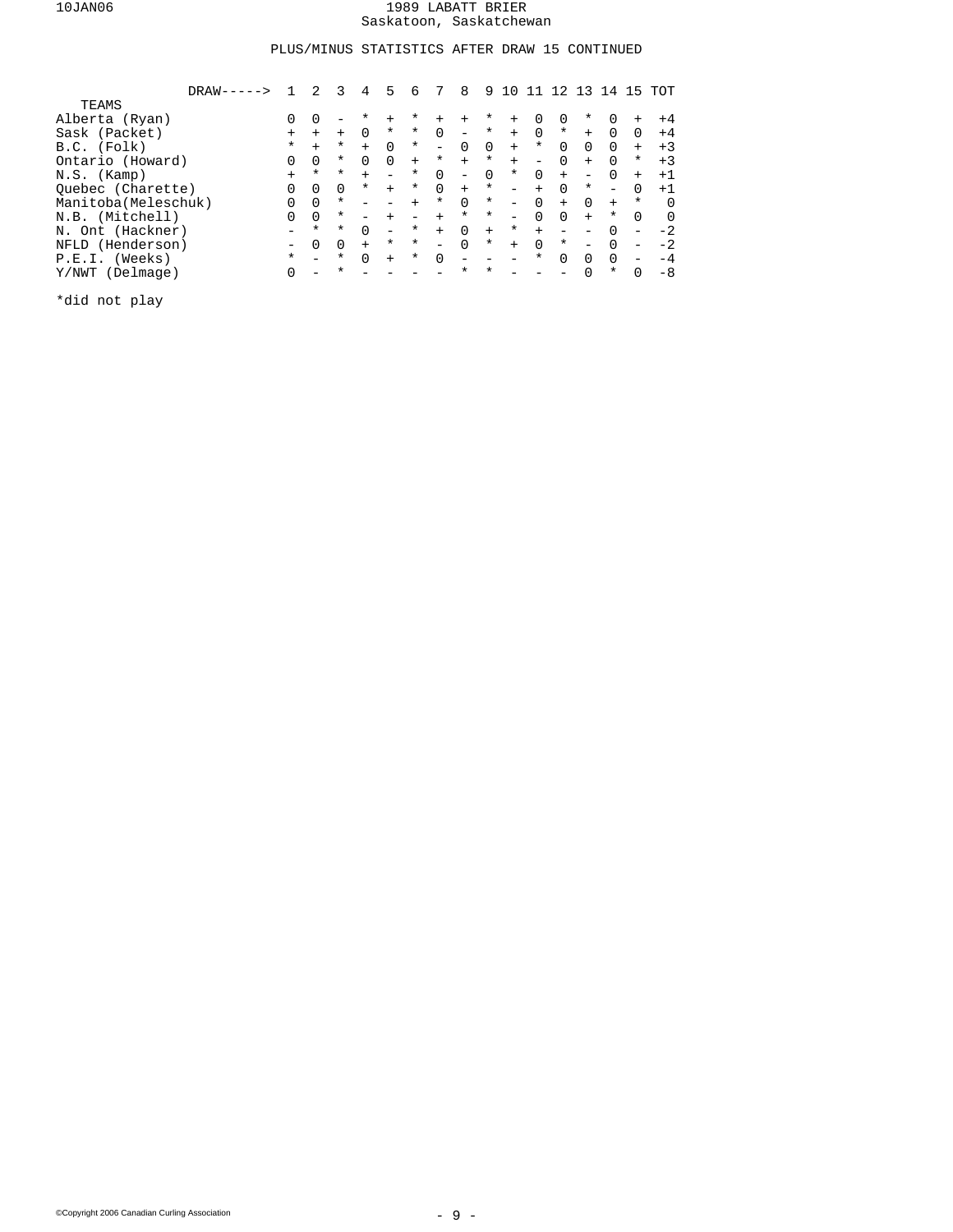## PLUS/MINUS STATISTICS AFTER DRAW 15 CONTINUED

| $DRAW-----$          |              | 2        | 3        | 4        | 5         | 6        | 7                        | 8                        | 9        | 1 ດ      |          | 12       | 13                       | 14           | 15                       | TOT      |
|----------------------|--------------|----------|----------|----------|-----------|----------|--------------------------|--------------------------|----------|----------|----------|----------|--------------------------|--------------|--------------------------|----------|
| TEAMS                |              |          |          |          |           |          |                          |                          |          |          |          |          |                          |              |                          |          |
| Alberta (Ryan)       |              |          |          |          |           | *        | $\ddot{}$                | $+$                      | *        | $+$      | O        | 0        | *                        | U            | $\overline{+}$           | $+4$     |
| Sask (Packet)        | $+$          | $+$      | $+$      | $\Omega$ | $\ast$    | $^\star$ | $\Omega$                 |                          | $\star$  | $+$      | $\Omega$ | $^\star$ | $+$                      | <sup>n</sup> | $\Omega$                 | $+4$     |
| B.C. (Folk)          | $^\star$     | $+$      | $^\star$ | $+$      | $\Omega$  | $\ast$   | $\overline{\phantom{0}}$ | $\Omega$                 | $\Omega$ | $+$      | $^\star$ | $\Omega$ | $\Omega$                 | $\Omega$     | $+$                      | $+3$     |
| Ontario (Howard)     | <sup>0</sup> | $\Omega$ | $^\star$ | $\Omega$ | $\Omega$  | $+$      | *                        | $+$                      | $\star$  | $+$      | -        | $\Omega$ | $+$                      | $\Omega$     | $^\star$                 | $+3$     |
| $N.S.$ (Kamp)        | $+$          | $^\star$ | $\star$  | $+$      |           | $^\star$ | $\Omega$                 | $\overline{\phantom{0}}$ | $\Omega$ | $^\star$ | $\Omega$ | $+$      |                          | $\Omega$     | $+$                      | +1       |
| Ouebec (Charette)    | <sup>0</sup> | $\Omega$ | $\Omega$ | $^\star$ | $+$       | $^\star$ | $\Omega$                 | $+$                      | $^\star$ | -        | $^{+}$   | $\Omega$ | $^\star$                 | -            | $\Omega$                 | $+1$     |
| Manitoba (Meleschuk) |              | $\Omega$ | $^\star$ |          |           | $+$      | *                        | $\Omega$                 | $^\star$ |          | $\Omega$ | $+$      | $\Omega$                 | $+$          | $^\star$                 | $\Omega$ |
| N.B. (Mitchell)      |              | $\Omega$ | $^\star$ |          | $\ddot{}$ |          | $+$                      | $\star$                  | $\ast$   | -        | $\Omega$ | $\Omega$ | $+$                      | *            | $\Omega$                 | $\Omega$ |
| N. Ont (Hackner)     |              | $^\star$ | $\star$  | $\Omega$ |           | $^\star$ | $+$                      | $\Omega$                 | $+$      | $^\star$ | $+$      |          |                          | $\Omega$     |                          | - 2      |
| (Henderson)<br>NFLD  |              | $\Omega$ | $\Omega$ | $+$      | $\star$   | $^\star$ | $\overline{\phantom{0}}$ | $\Omega$                 | $^\star$ | $+$      | $\Omega$ | $^\star$ | $\overline{\phantom{0}}$ | <sup>n</sup> | $\overline{\phantom{0}}$ | -2       |
| (Weeks)<br>P.E.I.    | $\star$      |          | *        | $\Omega$ | $+$       | $^\star$ | $\Omega$                 |                          |          |          | $^\star$ | $\Omega$ | $\Omega$                 | $\cap$       |                          | -4       |
| Y/NWT<br>(Delmage)   |              |          | $^\star$ |          |           |          |                          | $\star$                  | $^\star$ |          |          |          | $\Omega$                 | $^\star$     | $\Omega$                 | -8       |

\*did not play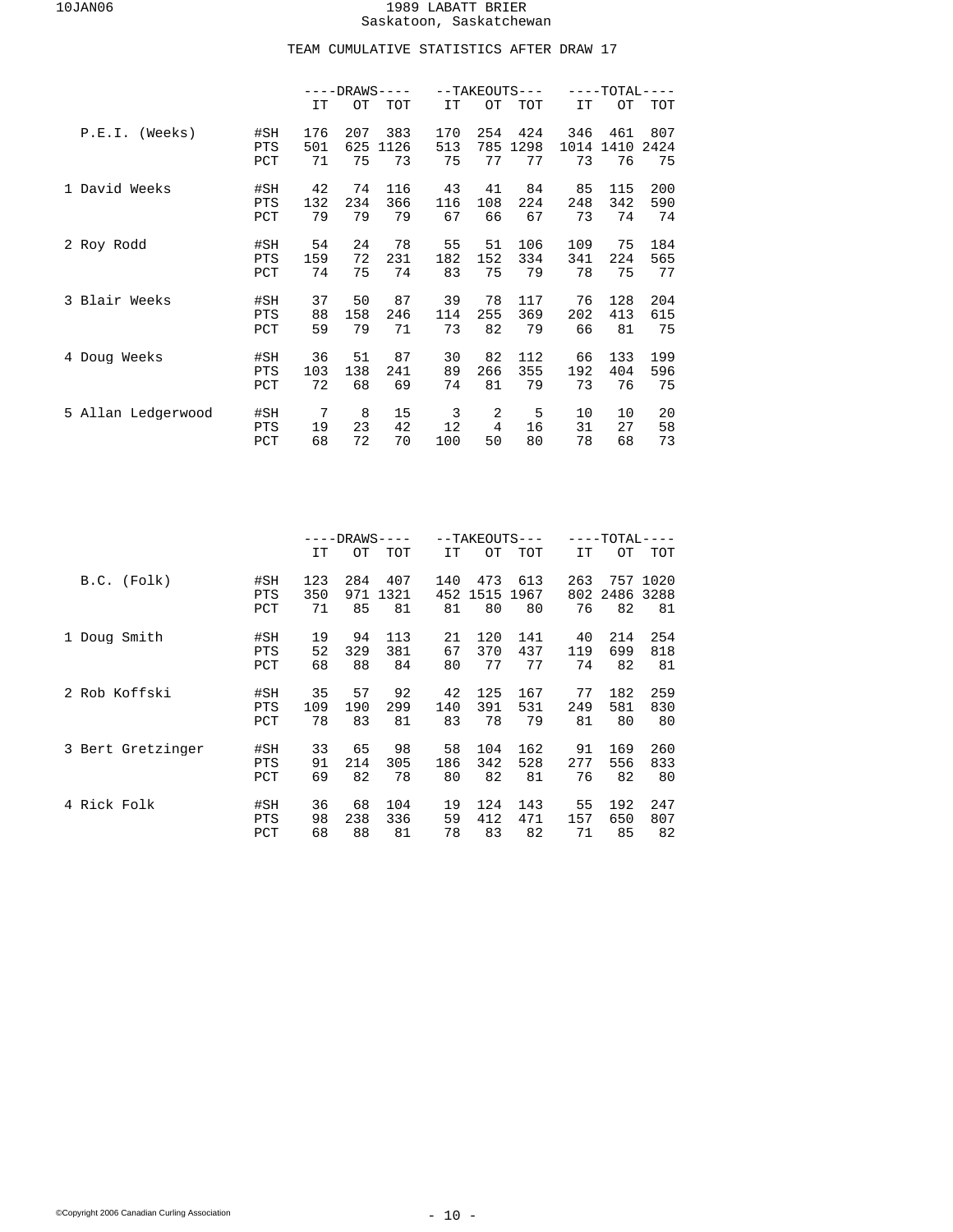## TEAM CUMULATIVE STATISTICS AFTER DRAW 17

|                    |                   | $---DRANS---$    |                  |                   |                  | $--TAKEOUTS---$  |                   | ----TOTAL-        |                   |                   |  |
|--------------------|-------------------|------------------|------------------|-------------------|------------------|------------------|-------------------|-------------------|-------------------|-------------------|--|
|                    |                   | IT               | OT               | <b>TOT</b>        | IT               | OT               | <b>TOT</b>        | <b>IT</b>         | OТ                | TOT               |  |
| P.E.I.<br>(Weeks)  | #SH<br>PTS<br>PCT | 176<br>501<br>71 | 207<br>625<br>75 | 383<br>1126<br>73 | 170<br>513<br>75 | 254<br>785<br>77 | 424<br>1298<br>77 | 346<br>1014<br>73 | 461<br>1410<br>76 | 807<br>2424<br>75 |  |
| 1 David Weeks      | #SH               | 42               | 74               | 116               | 43               | 41               | 84                | 85                | 115               | 200               |  |
|                    | <b>PTS</b>        | 132              | 234              | 366               | 116              | 108              | 224               | 248               | 342               | 590               |  |
|                    | PCT               | 79               | 79               | 79                | 67               | 66               | 67                | 73                | 74                | 74                |  |
| 2 Roy Rodd         | #SH               | 54               | 24               | 78                | 55               | 51               | 106               | 109               | 75                | 184               |  |
|                    | <b>PTS</b>        | 159              | 72               | 231               | 182              | 152              | 334               | 341               | 224               | 565               |  |
|                    | PCT               | 74               | 75               | 74                | 83               | 75               | 79                | 78                | 75                | 77                |  |
| 3 Blair Weeks      | #SH               | 37               | 50               | 87                | 39               | 78               | 117               | 76                | 128               | 204               |  |
|                    | PTS               | 88               | 158              | 246               | 114              | 255              | 369               | 202               | 413               | 615               |  |
|                    | PCT               | 59               | 79               | 71                | 73               | 82               | 79                | 66                | 81                | 75                |  |
| 4 Doug Weeks       | #SH               | 36               | 51               | 87                | 30               | 82               | 112               | 66                | 133               | 199               |  |
|                    | PTS               | 103              | 138              | 241               | 89               | 266              | 355               | 192               | 404               | 596               |  |
|                    | PCT               | 72               | 68               | 69                | 74               | 81               | 79                | 73                | 76                | 75                |  |
| 5 Allan Ledgerwood | #SH               | 7                | 8                | 15                | 3                | 2                | 5                 | 10                | 10                | 20                |  |
|                    | <b>PTS</b>        | 19               | 23               | 42                | 12               | $\overline{4}$   | 16                | 31                | 27                | 58                |  |
|                    | PCT               | 68               | 72               | 70                | 100              | 50               | 80                | 78                | 68                | 73                |  |

|                   |                   |            | -DRAWS·    |             |            | --TAKEOUTS--- |             |            | -TOTAL- |                  |
|-------------------|-------------------|------------|------------|-------------|------------|---------------|-------------|------------|---------|------------------|
|                   |                   | IT         | OТ         | TOT         | IT         | OТ            | TOT         | IT         | OТ      | TOT              |
| B.C. (Folk)       | #SH<br><b>PTS</b> | 123<br>350 | 284<br>971 | 407<br>1321 | 140<br>452 | 473<br>1515   | 613<br>1967 | 263<br>802 | 2486    | 757 1020<br>3288 |
|                   | PCT               | 71         | 85         | 81          | 81         | 80            | 80          | 76         | 82      | 81               |
| 1 Doug Smith      | #SH               | 19         | 94         | 113         | 21         | 120           | 141         | 40         | 214     | 254              |
|                   | <b>PTS</b>        | 52         | 329        | 381         | 67         | 370           | 437         | 119        | 699     | 818              |
|                   | PCT               | 68         | 88         | 84          | 80         | 77            | 77          | 74         | 82      | 81               |
| 2 Rob Koffski     | #SH               | 35         | 57         | 92          | 42         | 125           | 167         | 77         | 182     | 259              |
|                   | <b>PTS</b>        | 109        | 190        | 299         | 140        | 391           | 531         | 249        | 581     | 830              |
|                   | PCT               | 78         | 83         | 81          | 83         | 78            | 79          | 81         | 80      | 80               |
| 3 Bert Gretzinger | #SH               | 33         | 65         | 98          | 58         | 104           | 162         | 91         | 169     | 260              |
|                   | <b>PTS</b>        | 91         | 214        | 305         | 186        | 342           | 528         | 277        | 556     | 833              |
|                   | PCT               | 69         | 82         | 78          | 80         | 82            | 81          | 76         | 82      | 80               |
| 4 Rick Folk       | #SH               | 36         | 68         | 104         | 19         | 124           | 143         | 55         | 192     | 247              |
|                   | <b>PTS</b>        | 98         | 238        | 336         | 59         | 412           | 471         | 157        | 650     | 807              |
|                   | PCT               | 68         | 88         | 81          | 78         | 83            | 82          | 71         | 85      | 82               |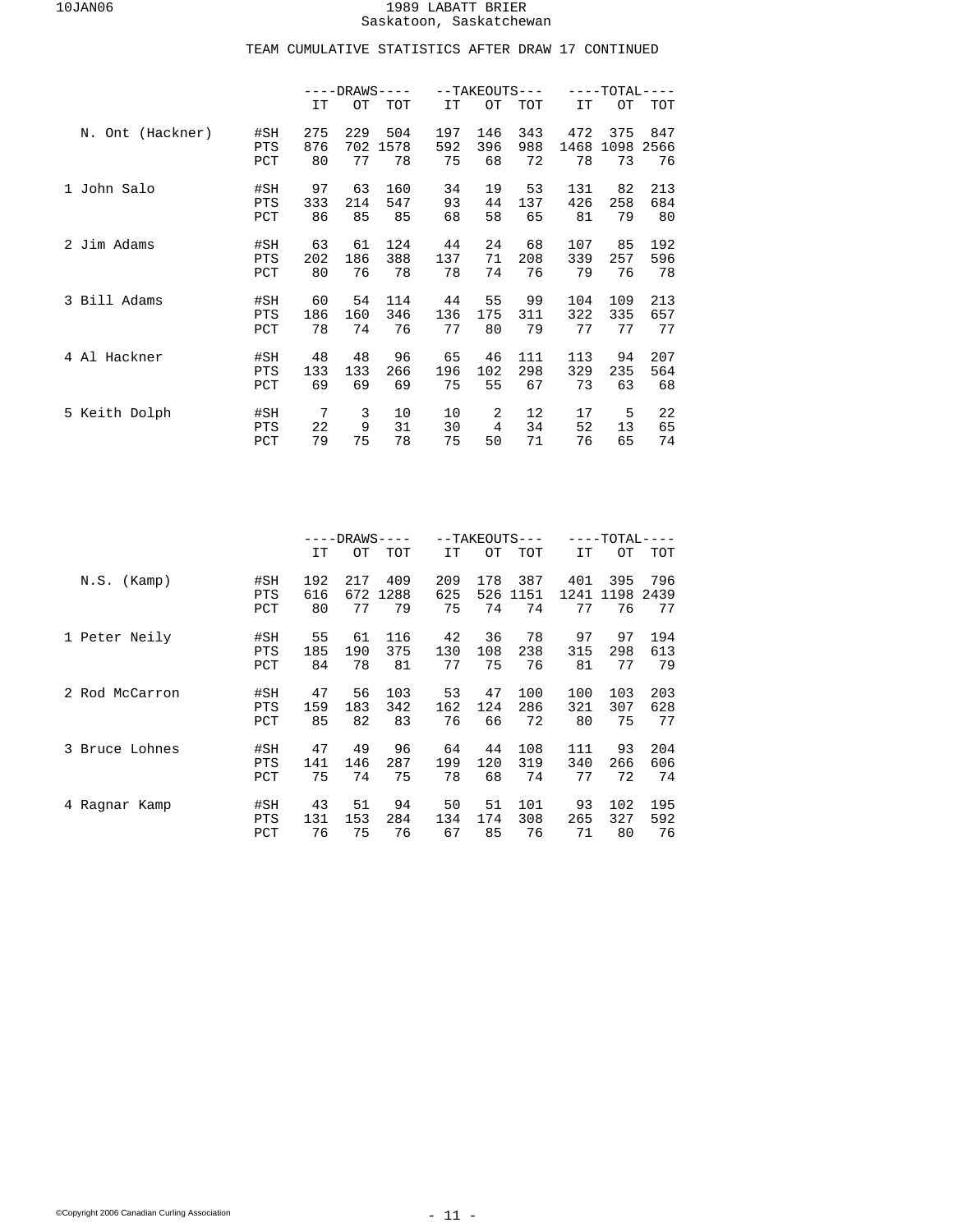|                  |                   | $---DRANS---$   |                 |                  | $--TAKEOUTS---$ |                 |                  | ----TOTAL-<br>$---$ |                 |                  |  |
|------------------|-------------------|-----------------|-----------------|------------------|-----------------|-----------------|------------------|---------------------|-----------------|------------------|--|
|                  |                   | IT              | OТ              | <b>TOT</b>       | IT              | OT              | TOT              | IT                  | OТ              | <b>TOT</b>       |  |
| N. Ont (Hackner) | #SH               | 275             | 229             | 504              | 197             | 146             | 343              | 472                 | 375             | 847              |  |
|                  | <b>PTS</b>        | 876             | 702             | 1578             | 592             | 396             | 988              | 1468                | 1098            | 2566             |  |
|                  | PCT               | 80              | 77              | 78               | 75              | 68              | 72               | 78                  | 73              | 76               |  |
| John Salo<br>1.  | #SH<br>PTS<br>PCT | 97<br>333<br>86 | 63<br>214<br>85 | 160<br>547<br>85 | 34<br>93<br>68  | 19<br>44<br>58  | 53<br>137<br>65  | 131<br>426<br>81    | 82<br>258<br>79 | 213<br>684<br>80 |  |
| 2 Jim Adams      | #SH               | 63              | 61              | 124              | 44              | 24              | 68               | 107                 | 85              | 192              |  |
|                  | <b>PTS</b>        | 202             | 186             | 388              | 137             | 71              | 208              | 339                 | 257             | 596              |  |
|                  | PCT               | 80              | 76              | 78               | 78              | 74              | 76               | 79                  | 76              | 78               |  |
| 3 Bill Adams     | #SH               | 60              | 54              | 114              | 44              | 55              | 99               | 104                 | 109             | 213              |  |
|                  | <b>PTS</b>        | 186             | 160             | 346              | 136             | 175             | 311              | 322                 | 335             | 657              |  |
|                  | PCT               | 78              | 74              | 76               | 77              | 80              | 79               | 77                  | 77              | 77               |  |
| Al Hackner<br>4  | #SH<br>PTS<br>PCT | 48<br>133<br>69 | 48<br>133<br>69 | 96<br>266<br>69  | 65<br>196<br>75 | 46<br>102<br>55 | 111<br>298<br>67 | 113<br>329<br>73    | 94<br>235<br>63 | 207<br>564<br>68 |  |
| 5 Keith Dolph    | #SH               | 7               | 3               | 10               | 10              | 2               | 12               | 17                  | 5               | 22               |  |
|                  | <b>PTS</b>        | 22              | 9               | 31               | 30              | $\overline{4}$  | 34               | 52                  | 13              | 65               |  |
|                  | PCT               | 79              | 75              | 78               | 75              | 50              | 71               | 76                  | 65              | 74               |  |

|                |            | -DRAWS· |     |      |     |     | --TAKEOUTS--- | -TOTAL· |      |      |
|----------------|------------|---------|-----|------|-----|-----|---------------|---------|------|------|
|                |            | IT      | OТ  | TOT  | IT  | OТ  | TOT           | IT      | OТ   | TOT  |
| $N.S.$ (Kamp)  | #SH        | 192     | 217 | 409  | 209 | 178 | 387           | 401     | 395  | 796  |
|                | <b>PTS</b> | 616     | 672 | 1288 | 625 | 526 | 1151          | 1241    | 1198 | 2439 |
|                | PCT        | 80      | 77  | 79   | 75  | 74  | 74            | 77      | 76   | 77   |
| 1 Peter Neily  | #SH        | 55      | 61  | 116  | 42  | 36  | 78            | 97      | 97   | 194  |
|                | <b>PTS</b> | 185     | 190 | 375  | 130 | 108 | 238           | 315     | 298  | 613  |
|                | PCT        | 84      | 78  | 81   | 77  | 75  | 76            | 81      | 77   | 79   |
| 2 Rod McCarron | #SH        | 47      | 56  | 103  | 53  | 47  | 100           | 100     | 103  | 203  |
|                | <b>PTS</b> | 159     | 183 | 342  | 162 | 124 | 286           | 321     | 307  | 628  |
|                | PCT        | 85      | 82  | 83   | 76  | 66  | 72            | 80      | 75   | 77   |
| 3 Bruce Lohnes | #SH        | 47      | 49  | 96   | 64  | 44  | 108           | 111     | 93   | 204  |
|                | <b>PTS</b> | 141     | 146 | 287  | 199 | 120 | 319           | 340     | 266  | 606  |
|                | PCT        | 75      | 74  | 75   | 78  | 68  | 74            | 77      | 72   | 74   |
| 4 Ragnar Kamp  | #SH        | 43      | 51  | 94   | 50  | 51  | 101           | 93      | 102  | 195  |
|                | <b>PTS</b> | 131     | 153 | 284  | 134 | 174 | 308           | 265     | 327  | 592  |
|                | PCT        | 76      | 75  | 76   | 67  | 85  | 76            | 71      | 80   | 76   |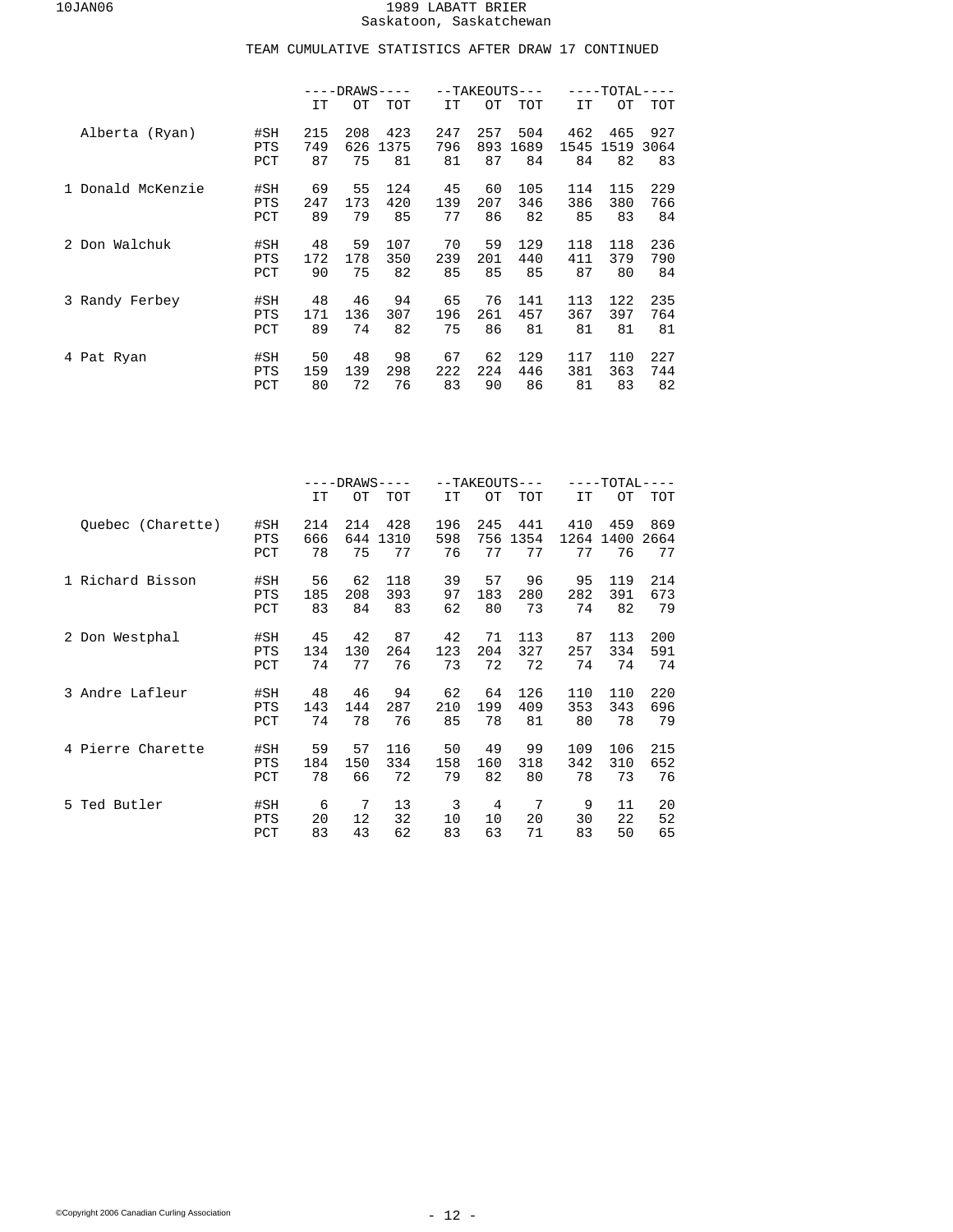|                   |            | $-DRANS-$ |     |      |     | --TAKEOUTS--- |      | -TOTAL |      |      |
|-------------------|------------|-----------|-----|------|-----|---------------|------|--------|------|------|
|                   |            | IT        | OТ  | TOT  | IT  | OТ            | TOT  | IT     | OТ   | TOT  |
| Alberta (Ryan)    | #SH        | 215       | 208 | 423  | 247 | 257           | 504  | 462    | 465  | 927  |
|                   | <b>PTS</b> | 749       | 626 | 1375 | 796 | 893           | 1689 | 1545   | 1519 | 3064 |
|                   | PCT        | 87        | 75  | 81   | 81  | 87            | 84   | 84     | 82   | 83   |
| 1 Donald McKenzie | #SH        | 69        | 55  | 124  | 45  | 60            | 105  | 114    | 115  | 229  |
|                   | <b>PTS</b> | 247       | 173 | 420  | 139 | 207           | 346  | 386    | 380  | 766  |
|                   | PCT        | 89        | 79  | 85   | 77  | 86            | 82   | 85     | 83   | 84   |
| 2 Don Walchuk     | #SH        | 48        | 59  | 107  | 70  | 59            | 129  | 118    | 118  | 236  |
|                   | <b>PTS</b> | 172       | 178 | 350  | 239 | 201           | 440  | 411    | 379  | 790  |
|                   | PCT        | 90        | 75  | 82   | 85  | 85            | 85   | 87     | 80   | 84   |
| 3 Randy Ferbey    | #SH        | 48        | 46  | 94   | 65  | 76            | 141  | 113    | 122  | 235  |
|                   | <b>PTS</b> | 171       | 136 | 307  | 196 | 261           | 457  | 367    | 397  | 764  |
|                   | PCT        | 89        | 74  | 82   | 75  | 86            | 81   | 81     | 81   | 81   |
| 4 Pat Ryan        | #SH        | 50        | 48  | 98   | 67  | 62            | 129  | 117    | 110  | 227  |
|                   | <b>PTS</b> | 159       | 139 | 298  | 222 | 224           | 446  | 381    | 363  | 744  |
|                   | PCT        | 80        | 72  | 76   | 83  | 90            | 86   | 81     | 83   | 82   |

|                      |                   | $---DRANS---$   |                 |                  |                 |                 | $--TAKEOUTS---$ | $---TOTAL---$    |                  |                  |
|----------------------|-------------------|-----------------|-----------------|------------------|-----------------|-----------------|-----------------|------------------|------------------|------------------|
|                      |                   | IT              | OТ              | <b>TOT</b>       | IT              | OТ              | <b>TOT</b>      | IT               | OТ               | TOT              |
| Ouebec (Charette)    | #SH               | 214             | 214             | 428              | 196             | 245             | 441             | 410              | 459              | 869              |
|                      | PTS               | 666             | 644             | 1310             | 598             | 756             | 1354            | 1264             | 1400             | 2664             |
|                      | PCT               | 78              | 75              | 77               | 76              | 77              | 77              | 77               | 76               | 77               |
| 1 Richard Bisson     | #SH               | 56              | 62              | 118              | 39              | 57              | 96              | 95               | 119              | 214              |
|                      | <b>PTS</b>        | 185             | 208             | 393              | 97              | 183             | 280             | 282              | 391              | 673              |
|                      | PCT               | 83              | 84              | 83               | 62              | 80              | 73              | 74               | 82               | 79               |
| 2 Don Westphal       | #SH               | 45              | 42              | 87               | 42              | 71              | 113             | 87               | 113              | 200              |
|                      | PTS               | 134             | 130             | 264              | 123             | 204             | 327             | 257              | 334              | 591              |
|                      | PCT               | 74              | 77              | 76               | 73              | 72              | 72              | 74               | 74               | 74               |
| 3 Andre Lafleur      | #SH               | 48              | 46              | 94               | 62              | 64              | 126             | 110              | 110              | 220              |
|                      | <b>PTS</b>        | 143             | 144             | 287              | 210             | 199             | 409             | 353              | 343              | 696              |
|                      | PCT               | 74              | 78              | 76               | 85              | 78              | 81              | 80               | 78               | 79               |
| Pierre Charette<br>4 | #SH<br>PTS<br>PCT | 59<br>184<br>78 | 57<br>150<br>66 | 116<br>334<br>72 | 50<br>158<br>79 | 49<br>160<br>82 | 99<br>318<br>80 | 109<br>342<br>78 | 106<br>310<br>73 | 215<br>652<br>76 |
| 5 Ted Butler         | #SH               | 6               | 7               | 13               | 3               | 4               | 7               | 9                | 11               | 20               |
|                      | <b>PTS</b>        | 20              | 12              | 32               | 10              | 10              | 20              | 30               | 22               | 52               |
|                      | PCT               | 83              | 43              | 62               | 83              | 63              | 71              | 83               | 50               | 65               |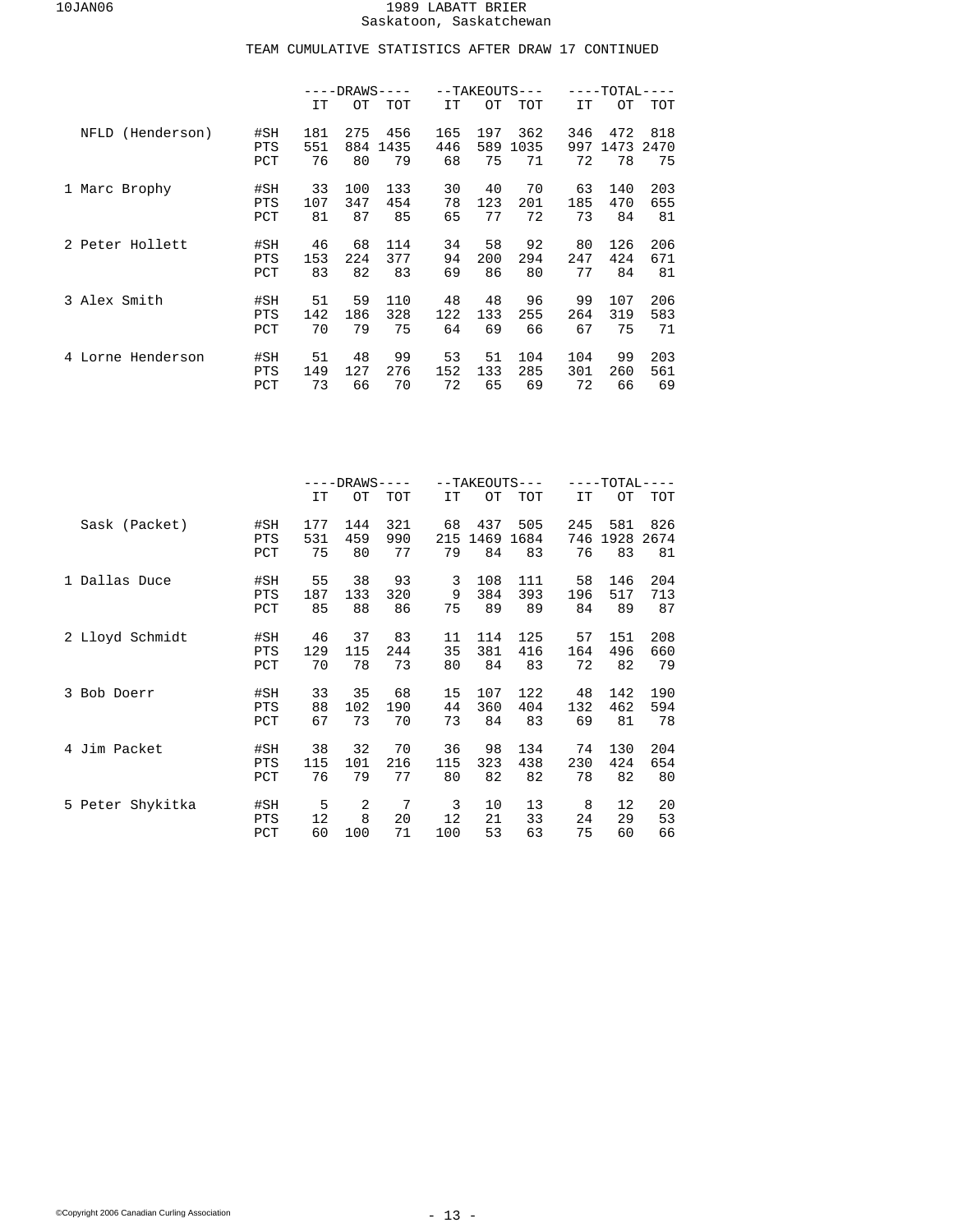|                     |                          | -DRAWS-          |                  |                   |                  | --TAKEOUTS---    |                   | -TOTAL           |                   |                   |
|---------------------|--------------------------|------------------|------------------|-------------------|------------------|------------------|-------------------|------------------|-------------------|-------------------|
|                     |                          | IT               | OТ               | TOT               | IT               | OТ               | TOT               | IT               | OТ                | <b>TOT</b>        |
| (Henderson)<br>NFLD | #SH<br><b>PTS</b><br>PCT | 181<br>551<br>76 | 275<br>884<br>80 | 456<br>1435<br>79 | 165<br>446<br>68 | 197<br>589<br>75 | 362<br>1035<br>71 | 346<br>997<br>72 | 472<br>1473<br>78 | 818<br>2470<br>75 |
| 1 Marc Brophy       | #SH                      | 33               | 100              | 133               | 30               | 40               | 70                | 63               | 140               | 203               |
|                     | <b>PTS</b>               | 107              | 347              | 454               | 78               | 123              | 201               | 185              | 470               | 655               |
|                     | PCT                      | 81               | 87               | 85                | 65               | 77               | 72                | 73               | 84                | 81                |
| 2 Peter Hollett     | #SH                      | 46               | 68               | 114               | 34               | 58               | 92                | 80               | 126               | 206               |
|                     | <b>PTS</b>               | 153              | 224              | 377               | 94               | 200              | 294               | 247              | 424               | 671               |
|                     | PCT                      | 83               | 82               | 83                | 69               | 86               | 80                | 77               | 84                | 81                |
| 3 Alex Smith        | #SH                      | 51               | 59               | 110               | 48               | 48               | 96                | 99               | 107               | 206               |
|                     | <b>PTS</b>               | 142              | 186              | 328               | 122              | 133              | 255               | 264              | 319               | 583               |
|                     | PCT                      | 70               | 79               | 75                | 64               | 69               | 66                | 67               | 75                | 71                |
| 4 Lorne Henderson   | #SH                      | 51               | 48               | 99                | 53               | 51               | 104               | 104              | 99                | 203               |
|                     | <b>PTS</b>               | 149              | 127              | 276               | 152              | 133              | 285               | 301              | 260               | 561               |
|                     | PCT                      | 73               | 66               | 70                | 72               | 65               | 69                | 72               | 66                | 69                |

|                  |            | $---DRANS---$ |     |     |     | --TAKEOUTS--- |            | $---TOTAL-$<br>$---$ |      |      |
|------------------|------------|---------------|-----|-----|-----|---------------|------------|----------------------|------|------|
|                  |            | IT            | OТ  | TOT | IT  | ОT            | <b>TOT</b> | <b>IT</b>            | OТ   | TOT  |
| Sask (Packet)    | #SH        | 177           | 144 | 321 | 68  | 437           | 505        | 245                  | 581  | 826  |
|                  | <b>PTS</b> | 531           | 459 | 990 | 215 | 1469          | 1684       | 746                  | 1928 | 2674 |
|                  | PCT        | 75            | 80  | 77  | 79  | 84            | 83         | 76                   | 83   | 81   |
| 1 Dallas Duce    | #SH        | 55            | 38  | 93  | 3   | 108           | 111        | 58                   | 146  | 204  |
|                  | <b>PTS</b> | 187           | 133 | 320 | 9   | 384           | 393        | 196                  | 517  | 713  |
|                  | PCT        | 85            | 88  | 86  | 75  | 89            | 89         | 84                   | 89   | 87   |
| 2 Lloyd Schmidt  | #SH        | 46            | 37  | 83  | 11  | 114           | 125        | 57                   | 151  | 208  |
|                  | <b>PTS</b> | 129           | 115 | 244 | 35  | 381           | 416        | 164                  | 496  | 660  |
|                  | PCT        | 70            | 78  | 73  | 80  | 84            | 83         | 72                   | 82   | 79   |
| 3 Bob Doerr      | #SH        | 33            | 35  | 68  | 15  | 107           | 122        | 48                   | 142  | 190  |
|                  | PTS        | 88            | 102 | 190 | 44  | 360           | 404        | 132                  | 462  | 594  |
|                  | PCT        | 67            | 73  | 70  | 73  | 84            | 83         | 69                   | 81   | 78   |
| 4 Jim Packet     | #SH        | 38            | 32  | 70  | 36  | 98            | 134        | 74                   | 130  | 204  |
|                  | <b>PTS</b> | 115           | 101 | 216 | 115 | 323           | 438        | 230                  | 424  | 654  |
|                  | PCT        | 76            | 79  | 77  | 80  | 82            | 82         | 78                   | 82   | 80   |
| 5 Peter Shykitka | #SH        | 5             | 2   | 7   | 3   | 10            | 13         | 8                    | 12   | 20   |
|                  | PTS        | 12            | 8   | 20  | 12  | 21            | 33         | 24                   | 29   | 53   |
|                  | PCT        | 60            | 100 | 71  | 100 | 53            | 63         | 75                   | 60   | 66   |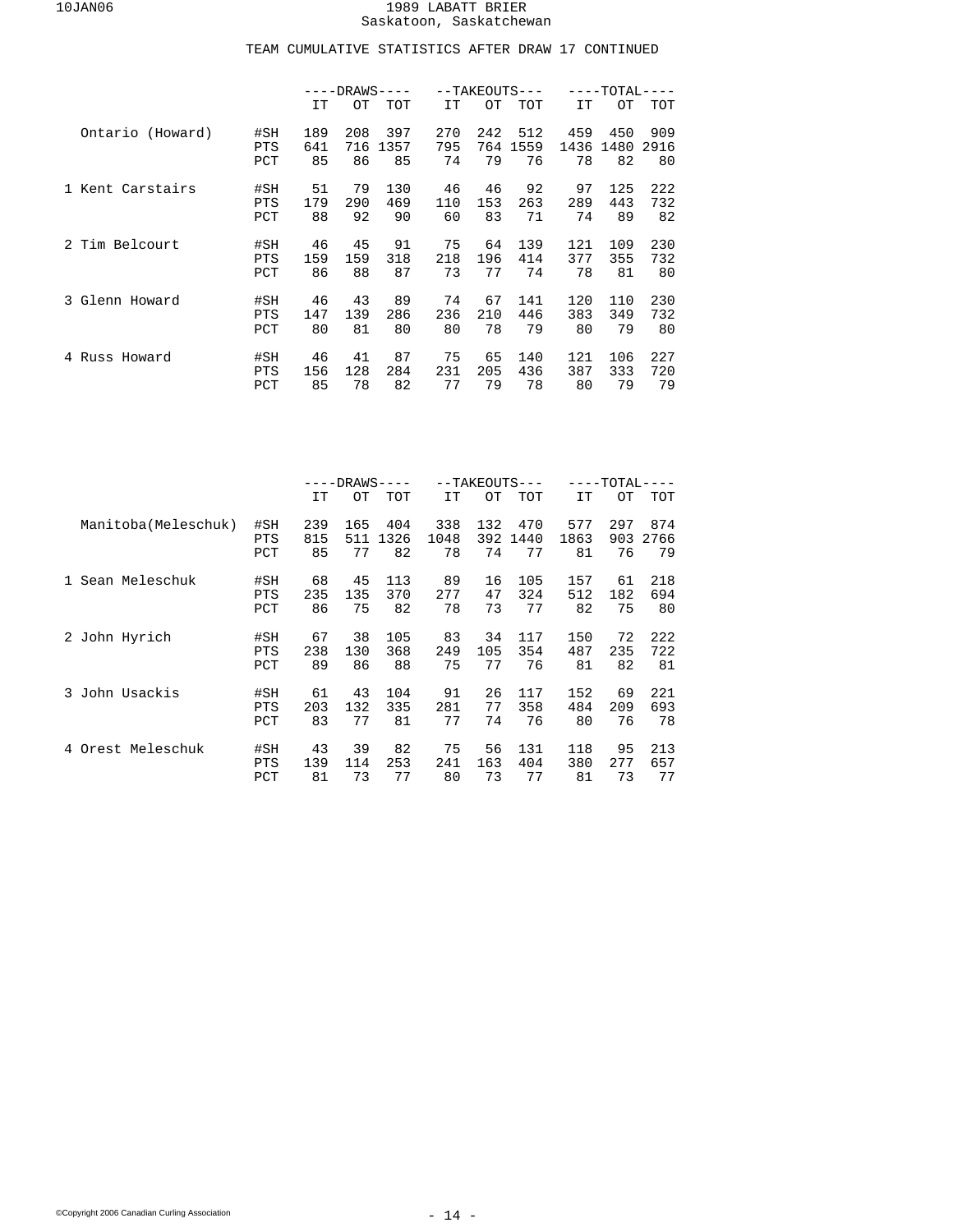|                  |            | -DRAWS· |     |      |     | --TAKEOUTS--- |            | -TOTAL |      |      |
|------------------|------------|---------|-----|------|-----|---------------|------------|--------|------|------|
|                  |            | IT      | OТ  | TOT  | IT  | OТ            | <b>TOT</b> | IT     | OТ   | TOT  |
| Ontario (Howard) | #SH        | 189     | 208 | 397  | 270 | 242           | 512        | 459    | 450  | 909  |
|                  | <b>PTS</b> | 641     | 716 | 1357 | 795 | 764           | 1559       | 1436   | 1480 | 2916 |
|                  | PCT        | 85      | 86  | 85   | 74  | 79            | 76         | 78     | 82   | 80   |
| 1 Kent Carstairs | #SH        | 51      | 79  | 130  | 46  | 46            | 92         | 97     | 125  | 222  |
|                  | <b>PTS</b> | 179     | 290 | 469  | 110 | 153           | 263        | 289    | 443  | 732  |
|                  | PCT        | 88      | 92  | 90   | 60  | 83            | 71         | 74     | 89   | 82   |
| 2 Tim Belcourt   | #SH        | 46      | 45  | 91   | 75  | 64            | 139        | 121    | 109  | 230  |
|                  | <b>PTS</b> | 159     | 159 | 318  | 218 | 196           | 414        | 377    | 355  | 732  |
|                  | PCT        | 86      | 88  | 87   | 73  | 77            | 74         | 78     | 81   | 80   |
| 3 Glenn Howard   | #SH        | 46      | 43  | 89   | 74  | 67            | 141        | 120    | 110  | 230  |
|                  | <b>PTS</b> | 147     | 139 | 286  | 236 | 210           | 446        | 383    | 349  | 732  |
|                  | PCT        | 80      | 81  | 80   | 80  | 78            | 79         | 80     | 79   | 80   |
| 4 Russ Howard    | #SH        | 46      | 41  | 87   | 75  | 65            | 140        | 121    | 106  | 227  |
|                  | <b>PTS</b> | 156     | 128 | 284  | 231 | 205           | 436        | 387    | 333  | 720  |
|                  | PCT        | 85      | 78  | 82   | 77  | 79            | 78         | 80     | 79   | 79   |

|                      |            | $---DRANS---$ |           |      |      | --TAKEOUTS--- |      | ----TOTAL- |     |      |
|----------------------|------------|---------------|-----------|------|------|---------------|------|------------|-----|------|
|                      |            | IT            | OТ<br>TOT |      | IT   | OТ            | TOT  | IT         | OТ  | TOT  |
| Manitoba (Meleschuk) | #SH        | 239           | 165       | 404  | 338  | 132           | 470  | 577        | 297 | 874  |
|                      | PTS        | 815           | 511       | 1326 | 1048 | 392           | 1440 | 1863       | 903 | 2766 |
|                      | PCT        | 85            | 77        | 82   | 78   | 74            | 77   | 81         | 76  | 79   |
| Sean Meleschuk       | #SH        | 68            | 45        | 113  | 89   | 16            | 105  | 157        | 61  | 218  |
|                      | <b>PTS</b> | 235           | 135       | 370  | 277  | 47            | 324  | 512        | 182 | 694  |
|                      | PCT        | 86            | 75        | 82   | 78   | 73            | 77   | 82         | 75  | 80   |
| 2 John Hyrich        | #SH        | 67            | 38        | 105  | 83   | 34            | 117  | 150        | 72  | 222  |
|                      | <b>PTS</b> | 238           | 130       | 368  | 249  | 105           | 354  | 487        | 235 | 722  |
|                      | PCT        | 89            | 86        | 88   | 75   | 77            | 76   | 81         | 82  | 81   |
| 3 John Usackis       | #SH        | 61            | 43        | 104  | 91   | 26            | 117  | 152        | 69  | 221  |
|                      | <b>PTS</b> | 203           | 132       | 335  | 281  | 77            | 358  | 484        | 209 | 693  |
|                      | PCT        | 83            | 77        | 81   | 77   | 74            | 76   | 80         | 76  | 78   |
| Orest Meleschuk<br>4 | #SH        | 43            | 39        | 82   | 75   | 56            | 131  | 118        | 95  | 213  |
|                      | <b>PTS</b> | 139           | 114       | 253  | 241  | 163           | 404  | 380        | 277 | 657  |
|                      | PCT        | 81            | 73        | 77   | 80   | 73            | 77   | 81         | 73  | 77   |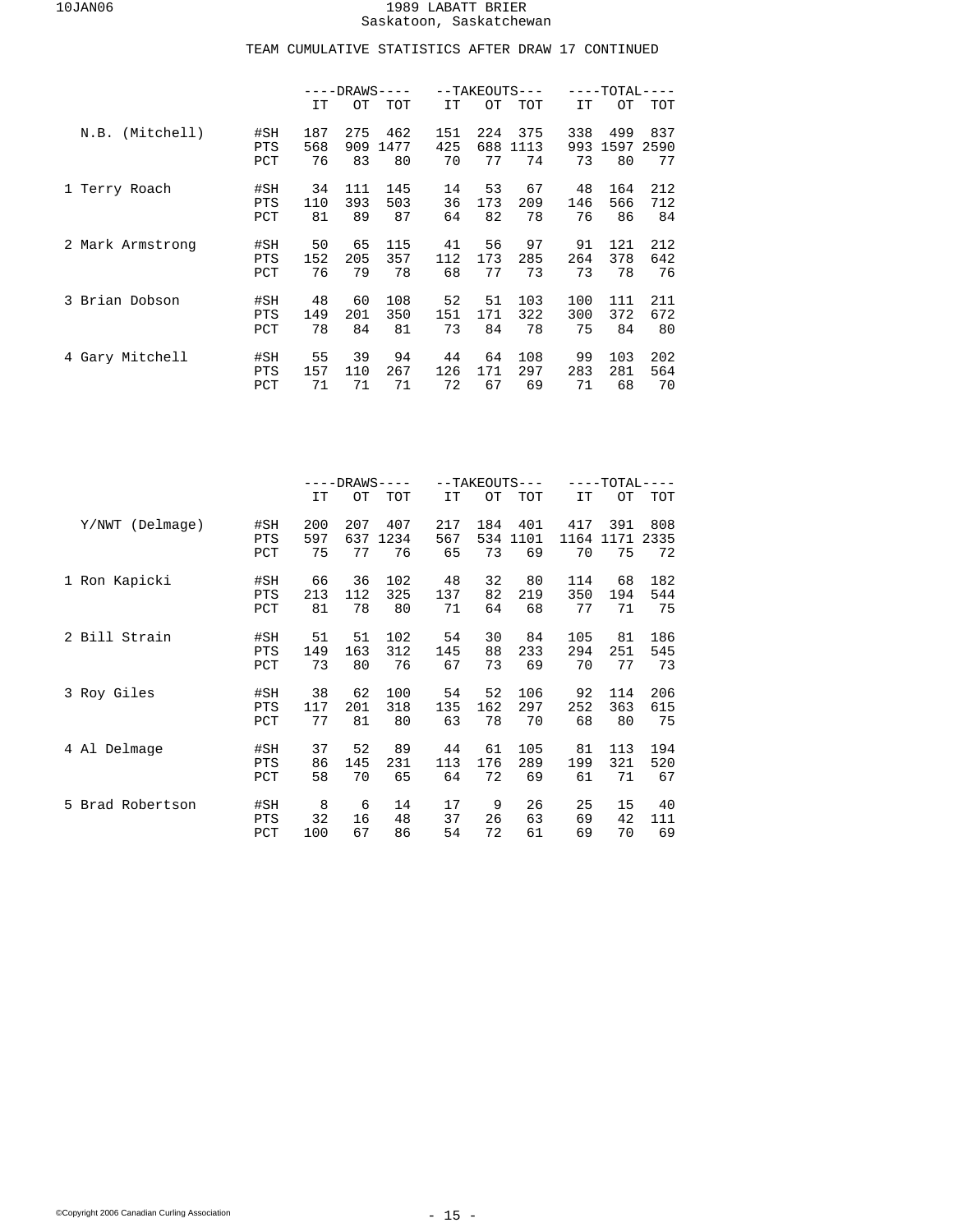|                    |                          | $-DRANS---$      |                  |                   |                  |                  | $--TAKEOUTS---$   | $-TOTAL$         |                   |                   |
|--------------------|--------------------------|------------------|------------------|-------------------|------------------|------------------|-------------------|------------------|-------------------|-------------------|
|                    |                          | IT               | OТ               | TOT               | IT               | OТ               | TOT               | IT               | OТ                | TOT               |
| (Mitchell)<br>N.B. | #SH<br><b>PTS</b><br>PCT | 187<br>568<br>76 | 275<br>909<br>83 | 462<br>1477<br>80 | 151<br>425<br>70 | 224<br>688<br>77 | 375<br>1113<br>74 | 338<br>993<br>73 | 499<br>1597<br>80 | 837<br>2590<br>77 |
| 1 Terry Roach      | #SH                      | 34               | 111              | 145               | 14               | 53               | 67                | 48               | 164               | 212               |
|                    | <b>PTS</b>               | 110              | 393              | 503               | 36               | 173              | 209               | 146              | 566               | 712               |
|                    | PCT                      | 81               | 89               | 87                | 64               | 82               | 78                | 76               | 86                | 84                |
| 2 Mark Armstrong   | #SH                      | 50               | 65               | 115               | 41               | 56               | 97                | 91               | 121               | 212               |
|                    | <b>PTS</b>               | 152              | 205              | 357               | 112              | 173              | 285               | 264              | 378               | 642               |
|                    | PCT                      | 76               | 79               | 78                | 68               | 77               | 73                | 73               | 78                | 76                |
| 3 Brian Dobson     | #SH                      | 48               | 60               | 108               | 52               | 51               | 103               | 100              | 111               | 211               |
|                    | <b>PTS</b>               | 149              | 201              | 350               | 151              | 171              | 322               | 300              | 372               | 672               |
|                    | PCT                      | 78               | 84               | 81                | 73               | 84               | 78                | 75               | 84                | 80                |
| 4 Gary Mitchell    | #SH                      | 55               | 39               | 94                | 44               | 64               | 108               | 99               | 103               | 202               |
|                    | <b>PTS</b>               | 157              | 110              | 267               | 126              | 171              | 297               | 283              | 281               | 564               |
|                    | PCT                      | 71               | 71               | 71                | 72               | 67               | 69                | 71               | 68                | 70                |

|                  |            | $---DRANS---$ |     |      |     |     | --TAKEOUTS--- | $---TOTAL-$<br>$---$ |      |      |
|------------------|------------|---------------|-----|------|-----|-----|---------------|----------------------|------|------|
|                  |            | IT            | OТ  | TOT  | IT  | ОT  | <b>TOT</b>    | IT                   | OТ   | TOT  |
| Y/NWT (Delmage)  | #SH        | 200           | 207 | 407  | 217 | 184 | 401           | 417                  | 391  | 808  |
|                  | PTS        | 597           | 637 | 1234 | 567 | 534 | 1101          | 1164                 | 1171 | 2335 |
|                  | PCT        | 75            | 77  | 76   | 65  | 73  | 69            | 70                   | 75   | 72   |
| 1 Ron Kapicki    | #SH        | 66            | 36  | 102  | 48  | 32  | 80            | 114                  | 68   | 182  |
|                  | <b>PTS</b> | 213           | 112 | 325  | 137 | 82  | 219           | 350                  | 194  | 544  |
|                  | PCT        | 81            | 78  | 80   | 71  | 64  | 68            | 77                   | 71   | 75   |
| 2 Bill Strain    | #SH        | 51            | 51  | 102  | 54  | 30  | 84            | 105                  | 81   | 186  |
|                  | <b>PTS</b> | 149           | 163 | 312  | 145 | 88  | 233           | 294                  | 251  | 545  |
|                  | PCT        | 73            | 80  | 76   | 67  | 73  | 69            | 70                   | 77   | 73   |
| 3 Roy Giles      | #SH        | 38            | 62  | 100  | 54  | 52  | 106           | 92                   | 114  | 206  |
|                  | PTS        | 117           | 201 | 318  | 135 | 162 | 297           | 252                  | 363  | 615  |
|                  | PCT        | 77            | 81  | 80   | 63  | 78  | 70            | 68                   | 80   | 75   |
| 4 Al Delmage     | #SH        | 37            | 52  | 89   | 44  | 61  | 105           | 81                   | 113  | 194  |
|                  | PTS        | 86            | 145 | 231  | 113 | 176 | 289           | 199                  | 321  | 520  |
|                  | PCT        | 58            | 70  | 65   | 64  | 72  | 69            | 61                   | 71   | 67   |
| 5 Brad Robertson | #SH        | 8             | 6   | 14   | 17  | 9   | 26            | 25                   | 15   | 40   |
|                  | PTS        | 32            | 16  | 48   | 37  | 26  | 63            | 69                   | 42   | 111  |
|                  | PCT        | 100           | 67  | 86   | 54  | 72  | 61            | 69                   | 70   | 69   |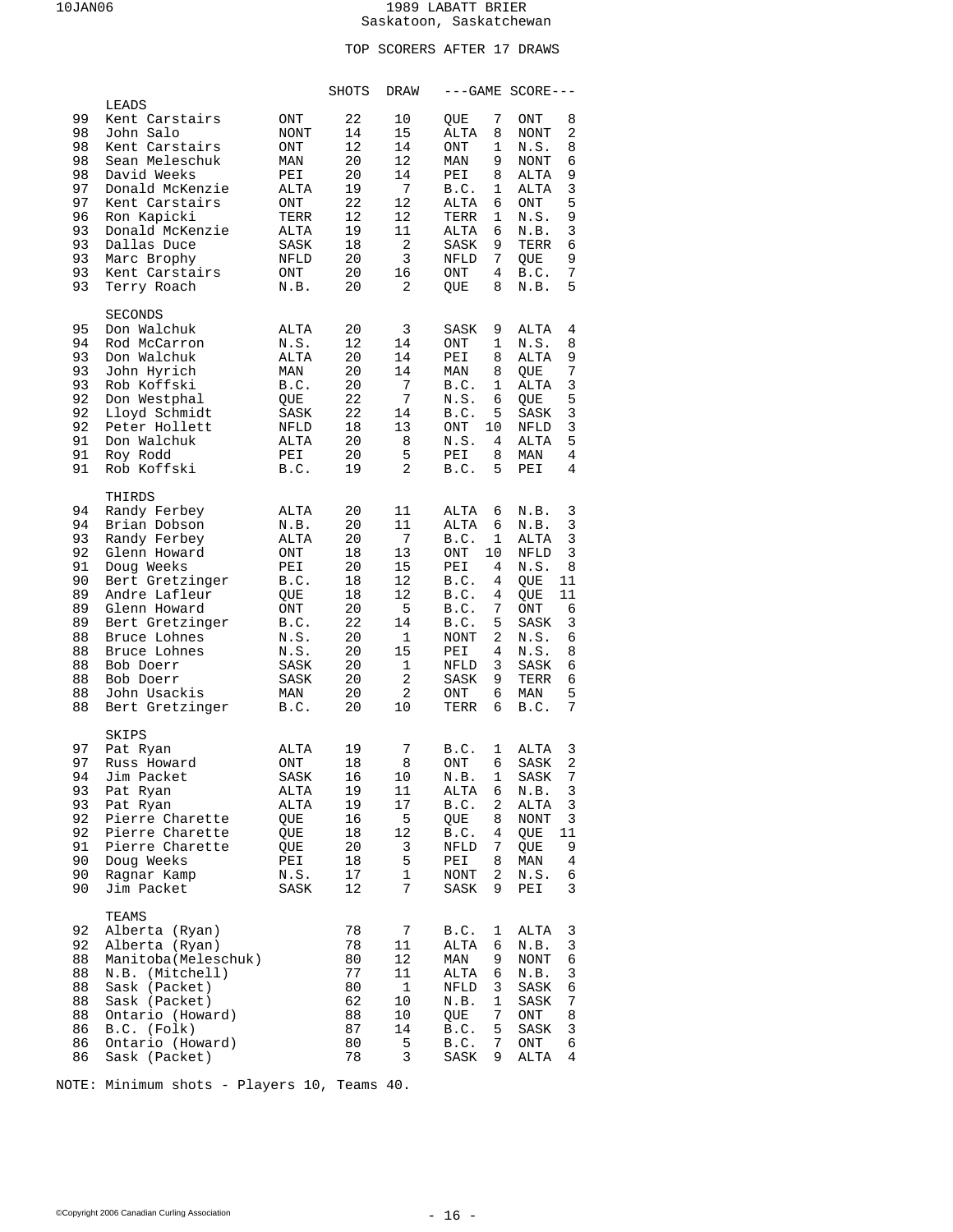# TOP SCORERS AFTER 17 DRAWS

|                                                                                        |                                                                                                                                                                                                                                                          |                                                                                                                        | SHOTS                                                                                  | DRAW                                                                                 |                                                                                                                                                                                                 | ---GAME SCORE---                                                                                                                                                                                            |
|----------------------------------------------------------------------------------------|----------------------------------------------------------------------------------------------------------------------------------------------------------------------------------------------------------------------------------------------------------|------------------------------------------------------------------------------------------------------------------------|----------------------------------------------------------------------------------------|--------------------------------------------------------------------------------------|-------------------------------------------------------------------------------------------------------------------------------------------------------------------------------------------------|-------------------------------------------------------------------------------------------------------------------------------------------------------------------------------------------------------------|
| 99<br>98<br>98<br>98<br>98<br>97<br>97<br>96<br>93<br>93<br>93<br>93<br>93             | LEADS<br>Kent Carstairs<br>John Salo<br>Kent Carstairs<br>Sean Meleschuk<br>David Weeks<br>Donald McKenzie<br>Kent Carstairs<br>Ron Kapicki<br>Donald McKenzie<br>Dallas Duce<br>Marc Brophy<br>Kent Carstairs<br>Terry Roach                            | ONT<br>NONT<br>ONT<br>MAN<br>PEI<br>ALTA<br>ONT<br>TERR<br>ALTA<br>SASK<br>NFLD<br>$\mathop{\rm ONT}\nolimits$<br>N.B. | 22<br>14<br>12<br>20<br>20<br>19<br>22<br>12<br>19<br>18<br>20<br>20<br>20             | 10<br>15<br>14<br>12<br>14<br>7<br>12<br>12<br>11<br>2<br>3<br>16<br>2               | 7<br>QUE<br>ALTA<br>8<br>$\mathop{\rm ONT}\nolimits$<br>1<br>9<br>MAN<br>PEI<br>8<br>B.C.<br>1<br>ALTA<br>6<br>TERR<br>1<br>ALTA<br>6<br>${\tt SASK}$<br>9<br>7<br>NFLD<br>4<br>ONT<br>8<br>QUE | ONT<br>8<br>2<br><b>NONT</b><br>8<br>N.S.<br>6<br><b>NONT</b><br>9<br>ALTA<br>$\mathsf 3$<br><b>ALTA</b><br>5<br>ONT<br>9<br>N.S.<br>$\mathsf 3$<br>N.B.<br>6<br>TERR<br>9<br>QUE<br>7<br>B.C.<br>5<br>N.B. |
| 95<br>94<br>93<br>93<br>93<br>92<br>92<br>92<br>91<br>91<br>91                         | <b>SECONDS</b><br>Don Walchuk<br>Rod McCarron<br>Don Walchuk<br>John Hyrich<br>Rob Koffski<br>Don Westphal<br>Lloyd Schmidt<br>Peter Hollett<br>Don Walchuk<br>Roy Rodd<br>Rob Koffski                                                                   | ALTA<br>N.S.<br>ALTA<br>MAN<br>B.C.<br>QUE<br>SASK<br>NFLD<br>ALTA<br>PEI<br>B.C.                                      | 20<br>12<br>20<br>20<br>20<br>22<br>22<br>18<br>20<br>20<br>19                         | 3<br>14<br>14<br>14<br>7<br>7<br>14<br>13<br>8<br>5<br>2                             | 9<br>SASK<br>1<br>ONT<br>PEI<br>8<br>MAN<br>8<br>B.C.<br>1<br>N.S.<br>6<br>B.C.<br>5<br>ONT<br>10<br>N.S.<br>4<br>PEI<br>8<br>5<br>B.C.                                                         | ALTA<br>4<br>N.S.<br>8<br>9<br>ALTA<br>$\overline{7}$<br>QUE<br>3<br>ALTA<br>5<br>QUE<br>3<br>SASK<br>$\mathsf 3$<br>NFLD<br>5<br><b>ALTA</b><br>4<br>MAN<br>PEI<br>4                                       |
| 94<br>94<br>93<br>92<br>91<br>90<br>89<br>89<br>89<br>88<br>88<br>88<br>88<br>88<br>88 | THIRDS<br>Randy Ferbey<br>Brian Dobson<br>Randy Ferbey<br>Glenn Howard<br>Doug Weeks<br>Bert Gretzinger<br>Andre Lafleur<br>Glenn Howard<br>Bert Gretzinger<br>Bruce Lohnes<br>Bruce Lohnes<br>Bob Doerr<br>Bob Doerr<br>John Usackis<br>Bert Gretzinger | ALTA<br>N.B.<br>ALTA<br>ONT<br>PEI<br>B.C.<br>QUE<br>ONT<br>B.C.<br>N.S.<br>N.S.<br>SASK<br>SASK<br>MAN<br>B.C.        | 20<br>20<br>20<br>18<br>20<br>18<br>18<br>20<br>22<br>20<br>20<br>20<br>20<br>20<br>20 | 11<br>11<br>7<br>13<br>15<br>$12\,$<br>12<br>5<br>14<br>1<br>15<br>1<br>2<br>2<br>10 | ALTA<br>6<br>ALTA<br>6<br>B.C.<br>1<br>ONT<br>10<br>PEI<br>4<br>B.C.<br>4<br>B.C.<br>4<br>B.C.<br>7<br>5<br>B.C.<br>NONT<br>2<br>PEI<br>4<br>3<br>NFLD<br>9<br>SASK<br>ONT<br>6<br>TERR<br>6    | 3<br>N.B.<br>3<br>N.B.<br>3<br>ALTA<br>3<br>NFLD<br>8<br>N.S.<br>QUE<br>11<br>11<br>QUE<br>ONT<br>6<br>SASK<br>3<br>N.S.<br>6<br>N.S.<br>8<br>SASK<br>6<br>TERR<br>6<br>5<br>MAN<br>7<br>B.C.               |
| 97<br>97<br>94<br>93<br>93<br>92<br>92<br>91<br>90<br>90<br>90                         | SKIPS<br>Pat Ryan<br>Russ Howard<br>Jim Packet<br>Pat Ryan<br>Pat Ryan<br>Pierre Charette<br>Pierre Charette<br>Pierre Charette<br>Doug Weeks<br>Ragnar Kamp<br>Jim Packet                                                                               | ALTA<br>ONT<br>SASK<br>ALTA<br>ALTA<br>QUE<br>OUE<br>QUE<br>PEI<br>N.S.<br>SASK                                        | 19<br>18<br>16<br>19<br>19<br>16<br>18<br>20<br>18<br>17<br>12                         | 7<br>8<br>10<br>11<br>17<br>5<br>12<br>3<br>5<br>1<br>7                              | B.C.<br>1<br>ONT<br>6<br>$\mathbf{1}$<br>N.B.<br>ALTA<br>6<br>B.C.<br>2<br>QUE<br>8<br>B.C.<br>4<br>NFLD<br>7<br>PEI<br>8<br>NONT<br>2<br>SASK<br>9                                             | ALTA<br>3<br>2<br>SASK<br>7<br>SASK<br>3<br>N.B.<br>3<br>ALTA<br>3<br>NONT<br>QUE<br>11<br>9<br>QUE<br>$\overline{4}$<br>MAN<br>N.S.<br>6<br>PEI<br>3                                                       |
| 92<br>92<br>88<br>88<br>88<br>88<br>88<br>86<br>86<br>86                               | TEAMS<br>Alberta (Ryan)<br>Alberta (Ryan)<br>Manitoba (Meleschuk)<br>N.B. (Mitchell)<br>Sask (Packet)<br>Sask (Packet)<br>Ontario (Howard)<br>B.C. (Folk)<br>Ontario (Howard)<br>Sask (Packet)                                                           |                                                                                                                        | 78<br>78<br>80<br>77<br>80<br>62<br>88<br>87<br>80<br>78                               | 7<br>11<br>12<br>11<br>$\mathbf 1$<br>10<br>10<br>14<br>5<br>3                       | B.C.<br>1<br>ALTA<br>6<br>MAN<br>9<br>6<br>ALTA<br>NFLD<br>3<br>N.B.<br>1<br>7<br>QUE<br>B.C.<br>5<br>7<br>B.C.<br>SASK<br>9                                                                    | <b>ALTA</b><br>3<br>3<br>N.B.<br>6<br>NONT<br>N.B.<br>3<br>6<br>SASK<br>7<br>SASK<br>8<br>ONT<br>SASK<br>3<br>6<br>ONT<br>ALTA<br>4                                                                         |

NOTE: Minimum shots - Players 10, Teams 40.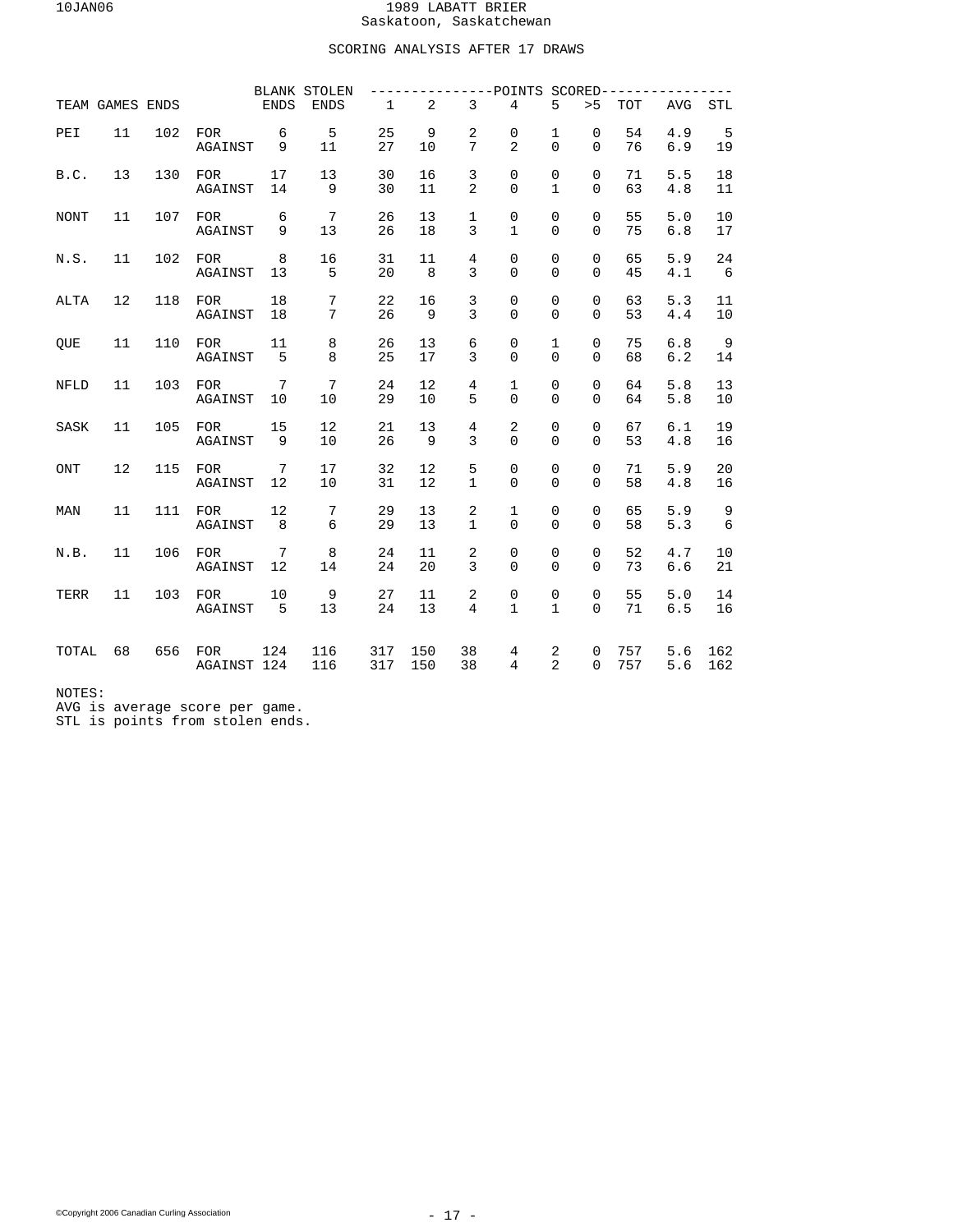## SCORING ANALYSIS AFTER 17 DRAWS

|             | TEAM GAMES ENDS |     |                       | ENDS                  | <b>BLANK STOLEN</b><br><b>ENDS</b> | $\mathbf{1}$ | 2          | 3                                | ----POINTS SCORED--------<br>$\overline{4}$ | 5                       | > 5                        | TOT        | <b>AVG</b> | <b>STL</b>            |
|-------------|-----------------|-----|-----------------------|-----------------------|------------------------------------|--------------|------------|----------------------------------|---------------------------------------------|-------------------------|----------------------------|------------|------------|-----------------------|
|             |                 |     |                       |                       |                                    |              |            |                                  |                                             |                         |                            |            |            |                       |
| PEI         | 11              | 102 | <b>FOR</b><br>AGAINST | 6<br>9                | 5<br>11                            | 25<br>27     | 9<br>10    | 2<br>7                           | 0<br>2                                      | 1<br>$\Omega$           | $\mathbf 0$<br>$\Omega$    | 54<br>76   | 4.9<br>6.9 | 5<br>19               |
| B.C.        | 13              | 130 | <b>FOR</b><br>AGAINST | 17<br>14              | 13<br>9                            | 30<br>30     | 16<br>11   | $\mathsf 3$<br>2                 | 0<br>0                                      | 0<br>$\mathbf{1}$       | $\Omega$<br>$\Omega$       | 71<br>63   | 5.5<br>4.8 | 18<br>11              |
| <b>NONT</b> | 11              | 107 | <b>FOR</b><br>AGAINST | 6<br>9                | $7\phantom{.0}$<br>13              | 26<br>26     | 13<br>18   | 1<br>3                           | 0<br>1                                      | 0<br>$\mathbf 0$        | $\mathbf 0$<br>$\Omega$    | 55<br>75   | 5.0<br>6.8 | 10<br>17              |
| N.S.        | 11              | 102 | <b>FOR</b><br>AGAINST | 8<br>13               | 16<br>5                            | 31<br>20     | 11<br>8    | 4<br>3                           | 0<br>0                                      | $\mathbf 0$<br>$\Omega$ | $\Omega$<br>$\Omega$       | 65<br>45   | 5.9<br>4.1 | 24<br>$6\overline{6}$ |
| ALTA        | 12              | 118 | <b>FOR</b><br>AGAINST | 18<br>18              | 7<br>7                             | 22<br>26     | 16<br>9    | 3<br>3                           | 0<br>$\Omega$                               | 0<br>$\Omega$           | $\mathbf 0$<br>$\Omega$    | 63<br>53   | 5.3<br>4.4 | 11<br>10              |
| OUE         | 11              | 110 | <b>FOR</b><br>AGAINST | 11<br>5               | $\,8\,$<br>8                       | 26<br>25     | 13<br>17   | 6<br>3                           | 0<br>$\Omega$                               | $\mathbf 1$<br>$\Omega$ | $\mathbf 0$<br>$\Omega$    | 75<br>68   | 6.8<br>6.2 | 9<br>14               |
| NFLD        | 11              | 103 | <b>FOR</b><br>AGAINST | 7<br>10               | 7<br>10                            | 24<br>29     | 12<br>10   | 4<br>5                           | 1<br>0                                      | 0<br>$\mathbf 0$        | $\mathbf 0$<br>$\Omega$    | 64<br>64   | 5.8<br>5.8 | 13<br>10              |
| SASK        | 11              | 105 | <b>FOR</b><br>AGAINST | 15<br>9               | 12<br>10                           | 21<br>26     | 13<br>9    | $\overline{4}$<br>$\overline{3}$ | $\overline{2}$<br>$\Omega$                  | 0<br>$\Omega$           | 0<br>$\Omega$              | 67<br>53   | 6.1<br>4.8 | 19<br>16              |
| ONT         | 12              | 115 | <b>FOR</b><br>AGAINST | $7\phantom{.0}$<br>12 | 17<br>10                           | 32<br>31     | 12<br>12   | 5<br>1                           | 0<br>0                                      | 0<br>$\Omega$           | $\mathbf 0$<br>$\Omega$    | 71<br>58   | 5.9<br>4.8 | 20<br>16              |
| MAN         | 11              | 111 | <b>FOR</b><br>AGAINST | 12<br>8               | 7<br>6                             | 29<br>29     | 13<br>13   | 2<br>1                           | 1<br>0                                      | $\mathbf 0$<br>$\Omega$ | $\mathbf 0$<br>$\Omega$    | 65<br>58   | 5.9<br>5.3 | 9<br>6                |
| N.B.        | 11              | 106 | <b>FOR</b><br>AGAINST | 7<br>12               | 8<br>14                            | 24<br>24     | 11<br>20   | 2<br>3                           | 0<br>0                                      | $\mathbf 0$<br>$\Omega$ | $\mathbf 0$<br>$\Omega$    | 52<br>73   | 4.7<br>6.6 | 10<br>21              |
| <b>TERR</b> | 11              | 103 | <b>FOR</b><br>AGAINST | 10<br>5               | 9<br>13                            | 27<br>24     | 11<br>13   | 2<br>$\overline{4}$              | 0<br>$\mathbf{1}$                           | 0<br>$\mathbf{1}$       | $\mathbf 0$<br>$\Omega$    | 55<br>71   | 5.0<br>6.5 | 14<br>16              |
| TOTAL       | 68              | 656 | FOR<br>AGAINST 124    | 124                   | 116<br>116                         | 317<br>317   | 150<br>150 | 38<br>38                         | 4<br>$\overline{4}$                         | 2<br>2                  | $\mathbf 0$<br>$\mathbf 0$ | 757<br>757 | 5.6<br>5.6 | 162<br>162            |

NOTES:

AVG is average score per game. STL is points from stolen ends.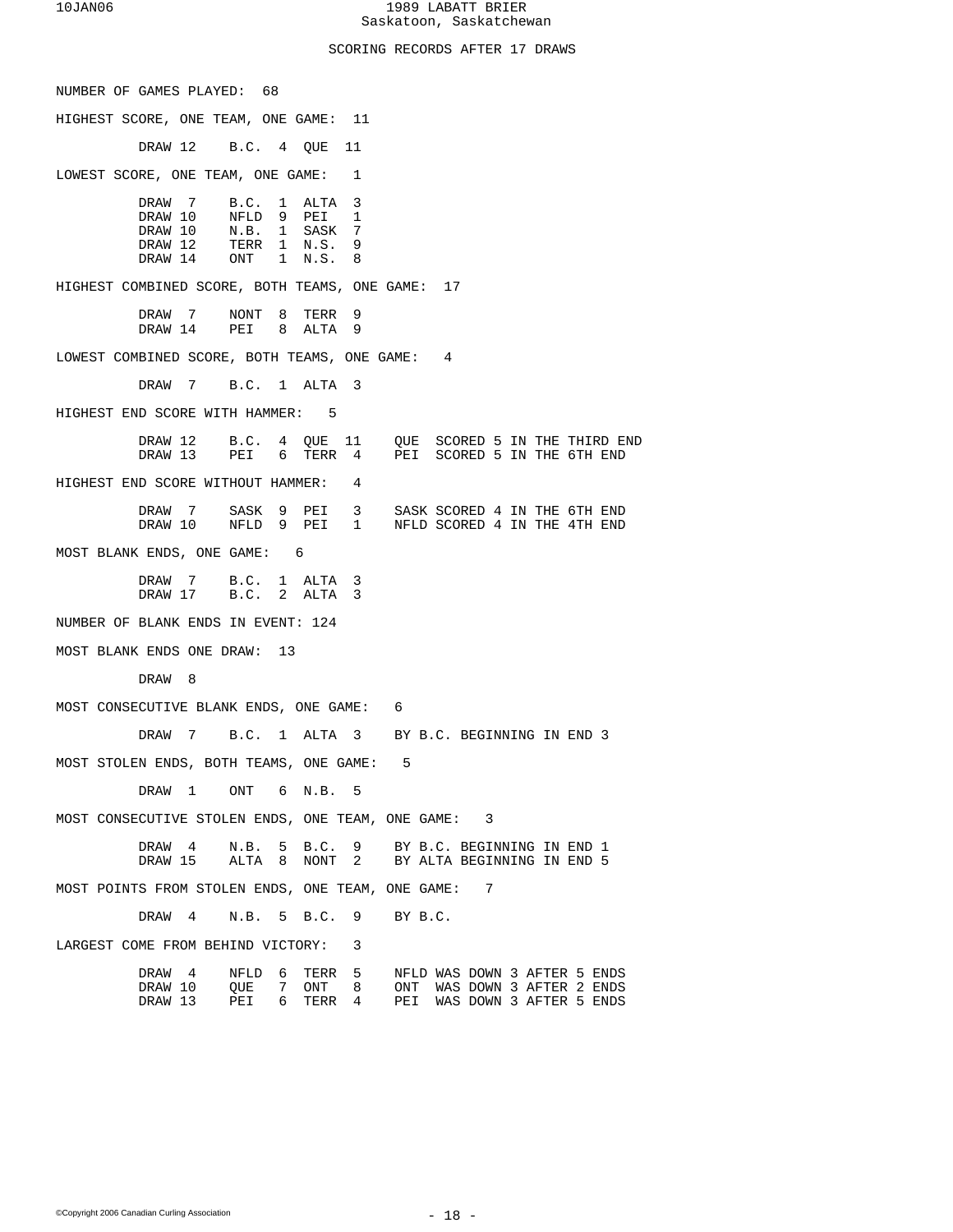## SCORING RECORDS AFTER 17 DRAWS

NUMBER OF GAMES PLAYED: 68 HIGHEST SCORE, ONE TEAM, ONE GAME: 11 DRAW 12 B.C. 4 QUE 11 LOWEST SCORE, ONE TEAM, ONE GAME: 1 DRAW 7 B.C. 1 ALTA 3<br>DRAW 10 NFLD 9 PEI 1 DRAW 10 NFLD 9 PEI<br>DRAW 10 N.B. 1 SASK DRAW 10 N.B. 1 SASK 7 DRAW 12 TERR 1 N.S. 9 DRAW 14 ONT 1 N.S. 8 HIGHEST COMBINED SCORE, BOTH TEAMS, ONE GAME: 17 DRAW 7 NONT 8 TERR 9<br>DRAW 14 PEI 8 ALTA 9 PEI 8 ALTA 9 LOWEST COMBINED SCORE, BOTH TEAMS, ONE GAME: 4 DRAW 7 B.C. 1 ALTA 3 HIGHEST END SCORE WITH HAMMER: 5 QUE SCORED 5 IN THE THIRD END<br>PEI SCORED 5 IN THE 6TH END DRAW 12 B.C. 4 QUE 11<br>DRAW 13 PEI 6 TERR 4 HIGHEST END SCORE WITHOUT HAMMER: 4 DRAW 7 SASK 9 PEI 3 SASK SCORED 4 IN THE 6TH END DRAW 10 NFLD 9 PEI 1 NFLD SCORED 4 IN THE 4TH END MOST BLANK ENDS, ONE GAME: 6 DRAW 7 B.C. 1 ALTA 3 DRAW 17 B.C. 2 ALTA 3 NUMBER OF BLANK ENDS IN EVENT: 124 MOST BLANK ENDS ONE DRAW: 13 DRAW 8 MOST CONSECUTIVE BLANK ENDS, ONE GAME: 6 DRAW 7 B.C. 1 ALTA 3 BY B.C. BEGINNING IN END 3 MOST STOLEN ENDS, BOTH TEAMS, ONE GAME: 5 DRAW 1 ONT 6 N.B. 5 MOST CONSECUTIVE STOLEN ENDS, ONE TEAM, ONE GAME: 3 DRAW 4 N.B. 5 B.C. 9 BY B.C. BEGINNING IN END 1 DRAW 15 ALTA 8 NONT 2 BY ALTA BEGINNING IN END 5 MOST POINTS FROM STOLEN ENDS, ONE TEAM, ONE GAME: 7 DRAW 4 N.B. 5 B.C. 9 BY B.C. LARGEST COME FROM BEHIND VICTORY: 3 DRAW 4 NFLD 6 TERR 5 NFLD WAS DOWN 3 AFTER 5 ENDS<br>DRAW 10 QUE 7 ONT 8 ONT WAS DOWN 3 AFTER 2 ENDS<br>DRAW 13 PEI 6 TERR 4 PEI WAS DOWN 3 AFTER 5 ENDS DRAW 10 QUE 7 ONT 8 ONT WAS DOWN 3 AFTER 2 ENDS

DRAW 13 PEI 6 TERR 4 PEI WAS DOWN 3 AFTER 5 ENDS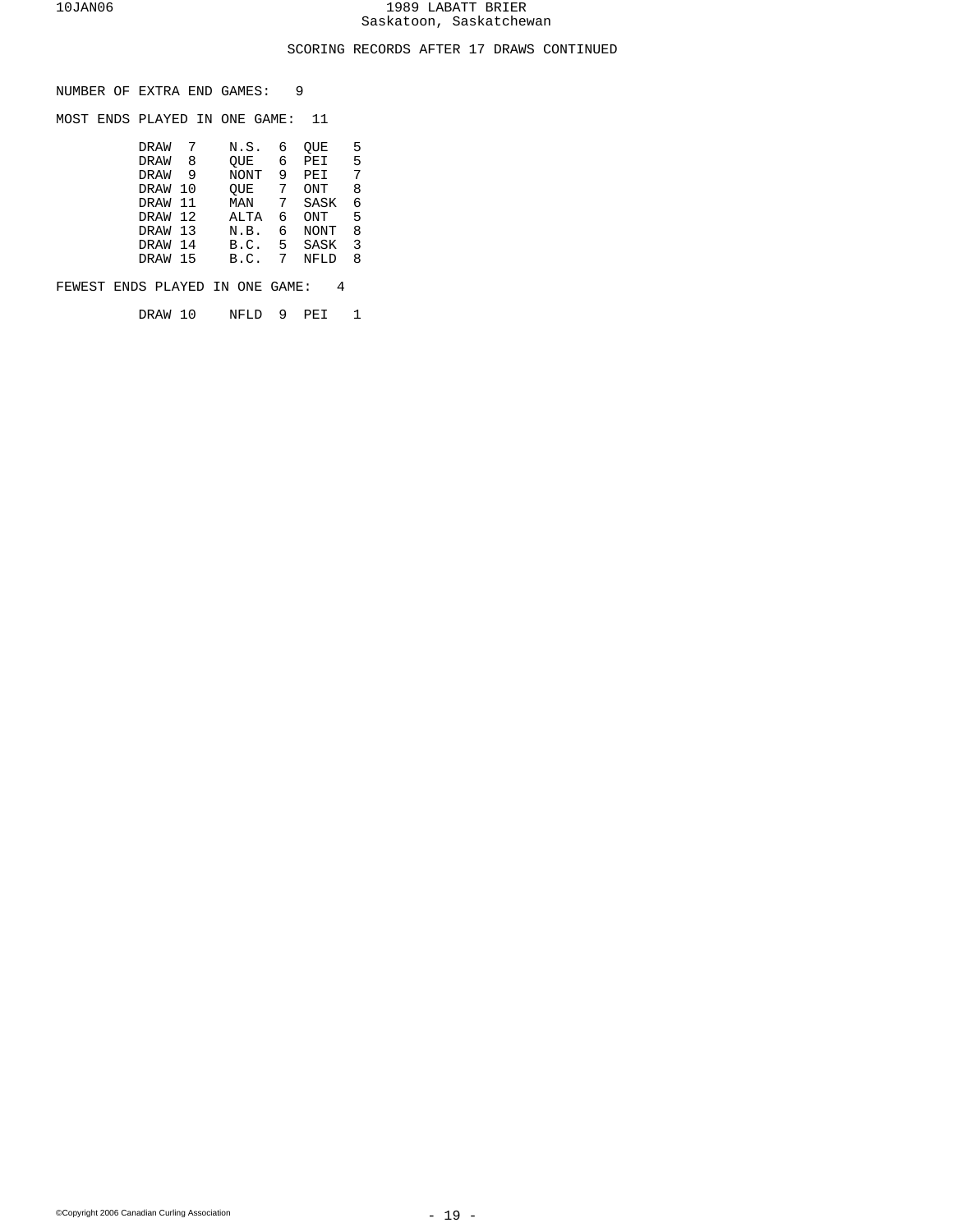## SCORING RECORDS AFTER 17 DRAWS CONTINUED

NUMBER OF EXTRA END GAMES: 9

MOST ENDS PLAYED IN ONE GAME: 11

| DRAW        |    | N.S.        | 6 | OUE         | 5 |
|-------------|----|-------------|---|-------------|---|
| <b>DRAW</b> | 8  | OUE         | 6 | PEI         | 5 |
| <b>DRAW</b> | 9  | <b>NONT</b> | 9 | PEI         | 7 |
| DRAW 10     |    | OUE         | 7 | ONT         | 8 |
| DRAW        | 11 | MAN         | 7 | <b>SASK</b> | 6 |
| DRAW 12     |    | ALTA        | 6 | ONT         | 5 |
| DRAW        | 13 | N.B.        | 6 | <b>NONT</b> | 8 |
| <b>DRAW</b> | 14 | B.C.        | 5 | SASK        | 3 |
| DRAW        | 15 | B.C.        | 7 | NFLD        | 8 |
|             |    |             |   |             |   |

FEWEST ENDS PLAYED IN ONE GAME: 4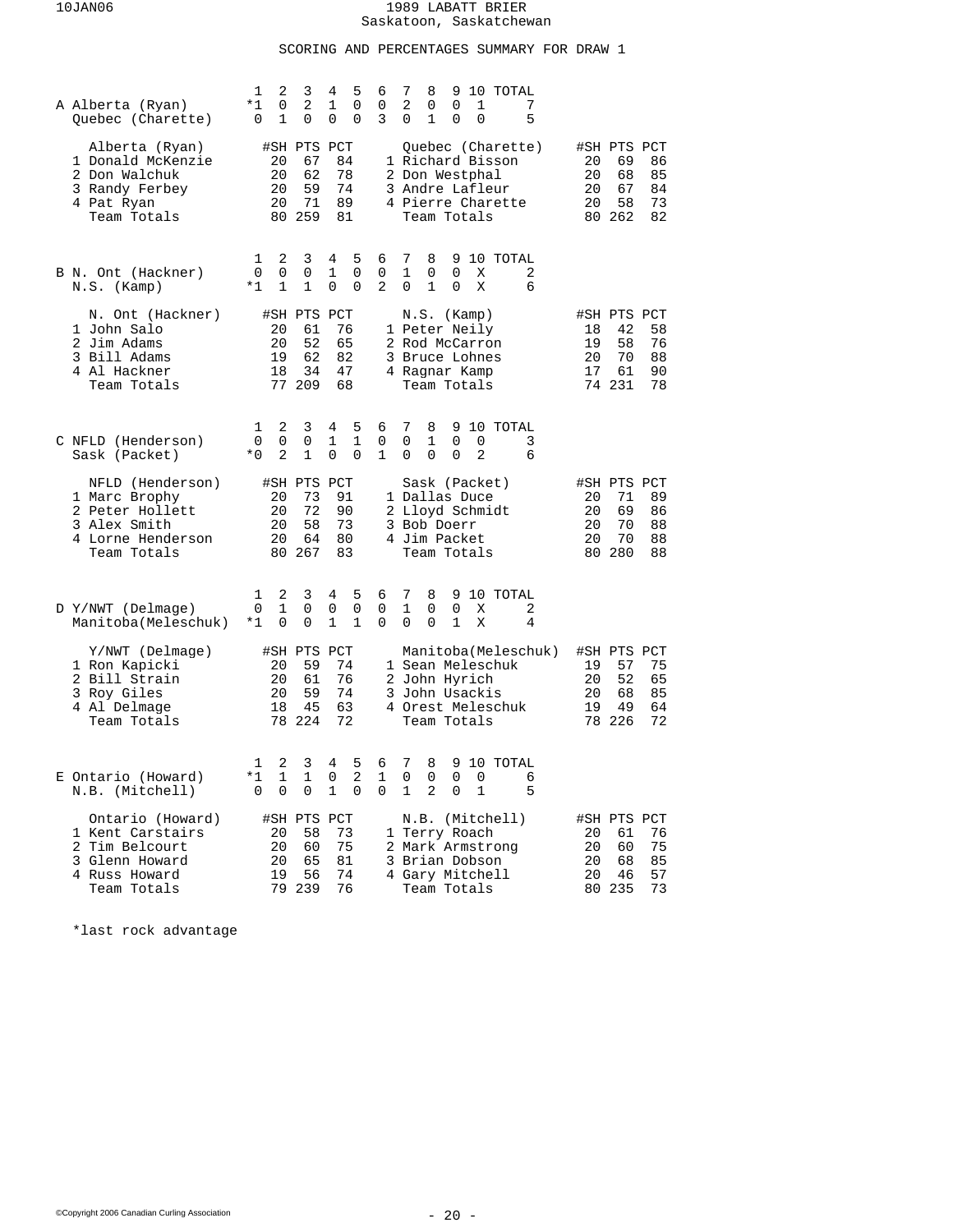# SCORING AND PERCENTAGES SUMMARY FOR DRAW 1

| A Alberta (Ryan)<br>Quebec (Charette)                                                                    | 1<br>2<br>*1<br>0<br>1<br>0         | 5<br>3<br>4<br>2<br>$\mathbf 0$<br>1<br>0<br>0<br>0                          | 6<br>7<br>8<br>9<br>10 TOTAL<br>2<br>0<br>0<br>0<br>1<br>7<br>3<br>5<br>0<br>1<br>0<br>0                        |                                                                                                     |
|----------------------------------------------------------------------------------------------------------|-------------------------------------|------------------------------------------------------------------------------|-----------------------------------------------------------------------------------------------------------------|-----------------------------------------------------------------------------------------------------|
| Alberta (Ryan)<br>1 Donald McKenzie<br>2 Don Walchuk<br>3 Randy Ferbey<br>4 Pat Ryan<br>Team Totals      | 20<br>20<br>20<br>20<br>80 259      | #SH PTS PCT<br>84<br>67<br>62<br>78<br>59<br>74<br>71<br>89<br>81            | Quebec (Charette)<br>1 Richard Bisson<br>2 Don Westphal<br>3 Andre Lafleur<br>4 Pierre Charette<br>Team Totals  | #SH PTS PCT<br>69<br>86<br>20<br>20<br>85<br>68<br>20<br>67<br>84<br>20<br>58<br>73<br>80 262<br>82 |
| B N. Ont (Hackner)<br>$N.S.$ (Kamp)                                                                      | 2<br>1<br>0<br>0<br>1<br>*1         | 3<br>5<br>4<br>$\mathbf 0$<br>0<br>1<br>1<br>$\Omega$<br>0                   | 8<br>6<br>7<br>9 10 TOTAL<br>$\mathbf{1}$<br>0<br>0<br>0<br>X<br>2<br>2<br>0<br>1<br>0<br>X<br>6                |                                                                                                     |
| N. Ont (Hackner)<br>1 John Salo<br>2 Jim Adams<br>3 Bill Adams<br>4 Al Hackner<br>Team Totals            | 20<br>20<br>19<br>18<br>77 209      | #SH PTS PCT<br>76<br>61<br>52<br>65<br>62<br>82<br>34<br>47<br>68            | $N.S.$ (Kamp)<br>1 Peter Neily<br>2 Rod McCarron<br>3 Bruce Lohnes<br>4 Ragnar Kamp<br>Team Totals              | #SH PTS PCT<br>42<br>58<br>18<br>58<br>76<br>19<br>70<br>20<br>88<br>17<br>61<br>90<br>74 231<br>78 |
| C NFLD (Henderson)<br>Sask (Packet)                                                                      | 2<br>1<br>0<br>0<br>2<br>$*0$       | 3<br>5<br>4<br>$\mathbf{1}$<br>0<br>1<br>1<br>0<br>0                         | 9 10 TOTAL<br>6<br>7<br>8<br>$\mathbf 0$<br>0<br>1<br>0<br>0<br>3<br>2<br>1<br>0<br>0<br>0<br>6                 |                                                                                                     |
| NFLD (Henderson)<br>1 Marc Brophy<br>2 Peter Hollett<br>3 Alex Smith<br>4 Lorne Henderson<br>Team Totals | 20<br>20<br>20<br>20<br>80 267      | #SH PTS PCT<br>73<br>91<br>72<br>90<br>58<br>73<br>64<br>80<br>83            | Sask (Packet)<br>1 Dallas Duce<br>2 Lloyd Schmidt<br>3 Bob Doerr<br>4 Jim Packet<br>Team Totals                 | #SH PTS PCT<br>89<br>20<br>71<br>20<br>69<br>86<br>20<br>70<br>88<br>20<br>70<br>88<br>80 280<br>88 |
| D Y/NWT (Delmage)<br>Manitoba (Meleschuk)                                                                | 2<br>1<br>1<br>0<br>*1<br>0         | 3<br>4<br>5<br>$\mathbf 0$<br>0<br>0<br>1<br>0<br>1                          | 8<br>9 10 TOTAL<br>6<br>7<br>$\mathbf{1}$<br>0<br>0<br>0<br>Χ<br>2<br>0<br>0<br>0<br>1<br>X<br>4                |                                                                                                     |
| Y/NWT (Delmage)<br>1 Ron Kapicki<br>2 Bill Strain<br>3 Roy Giles<br>4 Al Delmage<br>Team Totals          | 20<br>20<br>20<br>18<br>78 224      | #SH PTS PCT<br>59<br>74<br>61<br>76<br>59<br>74<br>45<br>63<br>72            | Manitoba (Meleschuk)<br>1 Sean Meleschuk<br>2 John Hyrich<br>3 John Usackis<br>4 Orest Meleschuk<br>Team Totals | #SH PTS PCT<br>57<br>75<br>19<br>20<br>52<br>65<br>20<br>68<br>85<br>19<br>49<br>64<br>78 226<br>72 |
| E Ontario (Howard)<br>N.B. (Mitchell)                                                                    | 2<br>1<br>*1<br>$1 \quad$<br>0<br>0 | 3<br>4<br>5<br>$\mathbf{2}$<br>$\overline{0}$<br>$\mathbf{1}$<br>1<br>0<br>0 | 6<br>7<br>8<br>9 10 TOTAL<br>1<br>0 0 0 6<br>$\mathbf{0}$<br>0<br>1<br>2<br>1<br>5<br>0                         |                                                                                                     |
| Ontario (Howard)<br>1 Kent Carstairs<br>2 Tim Belcourt<br>3 Glenn Howard<br>4 Russ Howard<br>Team Totals | 20<br>20<br>20<br>19<br>79 239      | #SH PTS PCT<br>58<br>73<br>60<br>75<br>65<br>81<br>56<br>74<br>76            | N.B. (Mitchell)<br>1 Terry Roach<br>2 Mark Armstrong<br>3 Brian Dobson<br>4 Gary Mitchell<br>Team Totals        | #SH PTS PCT<br>20<br>61<br>76<br>20<br>60<br>75<br>20<br>68<br>85<br>20<br>46<br>57<br>80 235<br>73 |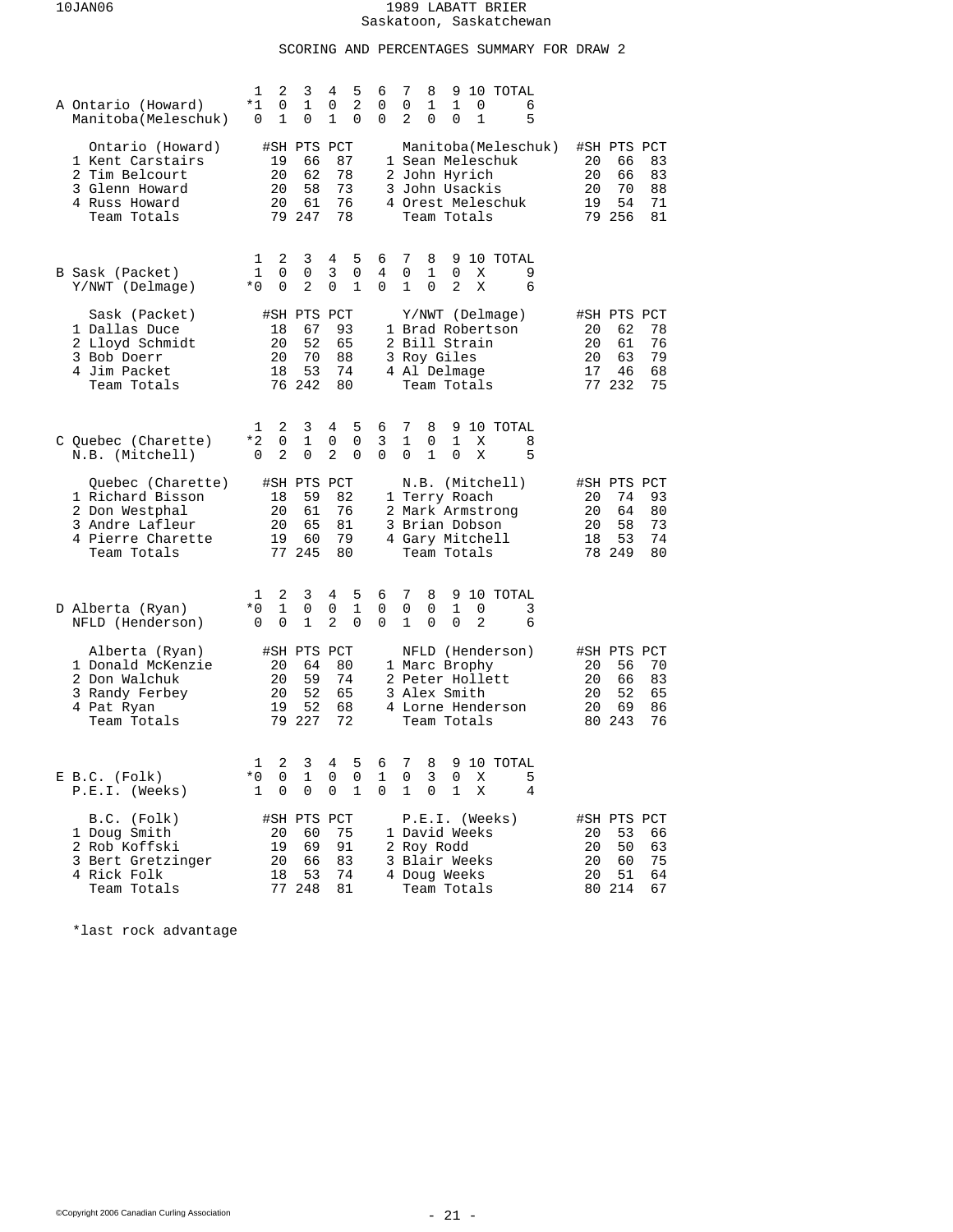# SCORING AND PERCENTAGES SUMMARY FOR DRAW 2

| A Ontario (Howard)<br>Manitoba (Meleschuk)                                                                     | 2<br>3<br>5<br>1<br>4<br>2<br>$\mathbf 0$<br>$\mathbf{1}$<br>0<br>$*1$<br>$\mathbf{1}$<br>$\mathbf{1}$<br>$\Omega$<br>$\Omega$<br>$\Omega$                      | 9 10 TOTAL<br>6<br>7<br>8<br>$\mathbf{1}$<br>0<br>0<br>1<br>0<br>6<br>$\Omega$<br>2<br>$\mathbf{1}$<br>5<br>0<br>$\Omega$              |                                                                                                     |
|----------------------------------------------------------------------------------------------------------------|-----------------------------------------------------------------------------------------------------------------------------------------------------------------|----------------------------------------------------------------------------------------------------------------------------------------|-----------------------------------------------------------------------------------------------------|
| Ontario (Howard)<br>1 Kent Carstairs<br>2 Tim Belcourt<br>3 Glenn Howard<br>4 Russ Howard<br>Team Totals       | #SH PTS PCT<br>19<br>66<br>87<br>78<br>20<br>62<br>73<br>20<br>58<br>76<br>20<br>61<br>79 247<br>78                                                             | Manitoba(Meleschuk)<br>1 Sean Meleschuk<br>2 John Hyrich<br>3 John Usackis<br>4 Orest Meleschuk<br>Team Totals                         | #SH PTS PCT<br>83<br>20<br>66<br>20<br>66<br>83<br>20<br>70<br>88<br>54<br>19<br>71<br>79 256<br>81 |
| B Sask (Packet)<br>Y/NWT (Delmage)                                                                             | 2<br>3<br>4<br>5<br>1<br>$\mathbf 0$<br>3<br>$\mathbf 0$<br>1<br>$\Omega$<br>$*0$<br>$\Omega$<br>2<br>$\Omega$<br>$\mathbf{1}$                                  | 6<br>7<br>8<br>9 10 TOTAL<br>4<br>$\mathbf 0$<br>$\mathbf 0$<br>9<br>1<br>X<br>0<br>$\mathbf{1}$<br>2<br>X<br>6<br>$\Omega$            |                                                                                                     |
| Sask (Packet)<br>1 Dallas Duce<br>2 Lloyd Schmidt<br>3 Bob Doerr<br>4 Jim Packet<br>Team Totals                | #SH PTS PCT<br>18<br>67<br>93<br>52<br>20<br>65<br>70<br>20<br>88<br>53<br>18<br>74<br>76 242<br>80                                                             | Y/NWT (Delmage)<br>1 Brad Robertson<br>2 Bill Strain<br>3 Roy Giles<br>4 Al Delmage<br>Team Totals                                     | #SH PTS PCT<br>62<br>78<br>20<br>76<br>20<br>61<br>20<br>63<br>79<br>17<br>46<br>68<br>77 232<br>75 |
| C Quebec (Charette)<br>N.B. (Mitchell)                                                                         | 2<br>3<br>1<br>4<br>5<br>$*2$<br>$\Omega$<br>$\mathbf{1}$<br>$\mathbf 0$<br>$\mathbf 0$<br>2<br>$\Omega$<br>$\mathbf{2}$<br>$\Omega$<br>$\Omega$                | 6<br>7<br>8<br>9 10 TOTAL<br>3<br>$\mathbf{1}$<br>$\mathbf{1}$<br>0<br>X<br>8<br>0<br>$\mathbf{1}$<br>X<br>5<br>$\Omega$<br>$\Omega$   |                                                                                                     |
| Quebec (Charette)<br>1 Richard Bisson<br>2 Don Westphal<br>3 Andre Lafleur<br>4 Pierre Charette<br>Team Totals | #SH PTS PCT<br>18<br>59<br>82<br>20<br>61<br>76<br>20<br>65<br>81<br>79<br>19<br>60<br>77 245<br>80                                                             | N.B. (Mitchell)<br>1 Terry Roach<br>2 Mark Armstrong<br>3 Brian Dobson<br>4 Gary Mitchell<br>Team Totals                               | #SH PTS PCT<br>74<br>93<br>20<br>20<br>64<br>80<br>58<br>20<br>73<br>53<br>74<br>18<br>78 249<br>80 |
| D Alberta (Ryan)<br>NFLD (Henderson)                                                                           | 2<br>3<br>5<br>4<br>1<br>$*0$<br>$\mathbf{1}$<br>$\mathbf 0$<br>$\mathbf 0$<br>$\mathbf{1}$<br>$\Omega$<br>$\mathbf{1}$<br>$\mathbf{2}$<br>$\Omega$<br>$\Omega$ | 7<br>9 10 TOTAL<br>6<br>8<br>$\mathbf 0$<br>$\mathbf{1}$<br>0<br>0<br>0<br>3<br>$\mathbf{1}$<br>$\mathbf 0$<br>2<br>6<br>0<br>$\Omega$ |                                                                                                     |
| Alberta (Ryan)<br>1 Donald McKenzie<br>2 Don Walchuk<br>3 Randy Ferbey<br>4 Pat Ryan<br>Team Totals            | #SH PTS PCT<br>20<br>64<br>80<br>59<br>20<br>74<br>52<br>20<br>65<br>52<br>19<br>68<br>79 227<br>72                                                             | NFLD (Henderson)<br>1 Marc Brophy<br>2 Peter Hollett<br>3 Alex Smith<br>4 Lorne Henderson<br>Team Totals                               | #SH PTS PCT<br>56<br>70<br>20<br>20<br>66<br>83<br>52<br>20<br>65<br>20<br>69<br>86<br>80 243<br>76 |
| E B.C. (Folk)<br>$P.E.I.$ (Weeks)                                                                              | 2<br>3<br>4<br>5<br>1<br>$*0$ 0 1 0 0 1<br>0<br>0<br>$\mathsf{O}$<br>$\overline{1}$<br>1                                                                        | 6<br>7<br>8<br>9 10 TOTAL<br>3 0 X<br>5.<br>$\Omega$<br>$\overline{0}$<br>1<br>$0\quad1$<br>4<br>Χ                                     |                                                                                                     |
| B.C. (Folk)<br>1 Doug Smith<br>2 Rob Koffski<br>3 Bert Gretzinger<br>4 Rick Folk<br>Team Totals                | #SH PTS PCT<br>20<br>60<br>75<br>19<br>69<br>91<br>20<br>66<br>83<br>18<br>53<br>74<br>77 248<br>81                                                             | $P.E.I.$ (Weeks)<br>1 David Weeks<br>2 Roy Rodd<br>3 Blair Weeks<br>4 Doug Weeks<br>Team Totals                                        | #SH PTS PCT<br>53<br>66<br>20<br>20<br>50<br>63<br>20<br>60<br>75<br>51<br>20<br>64<br>80 214<br>67 |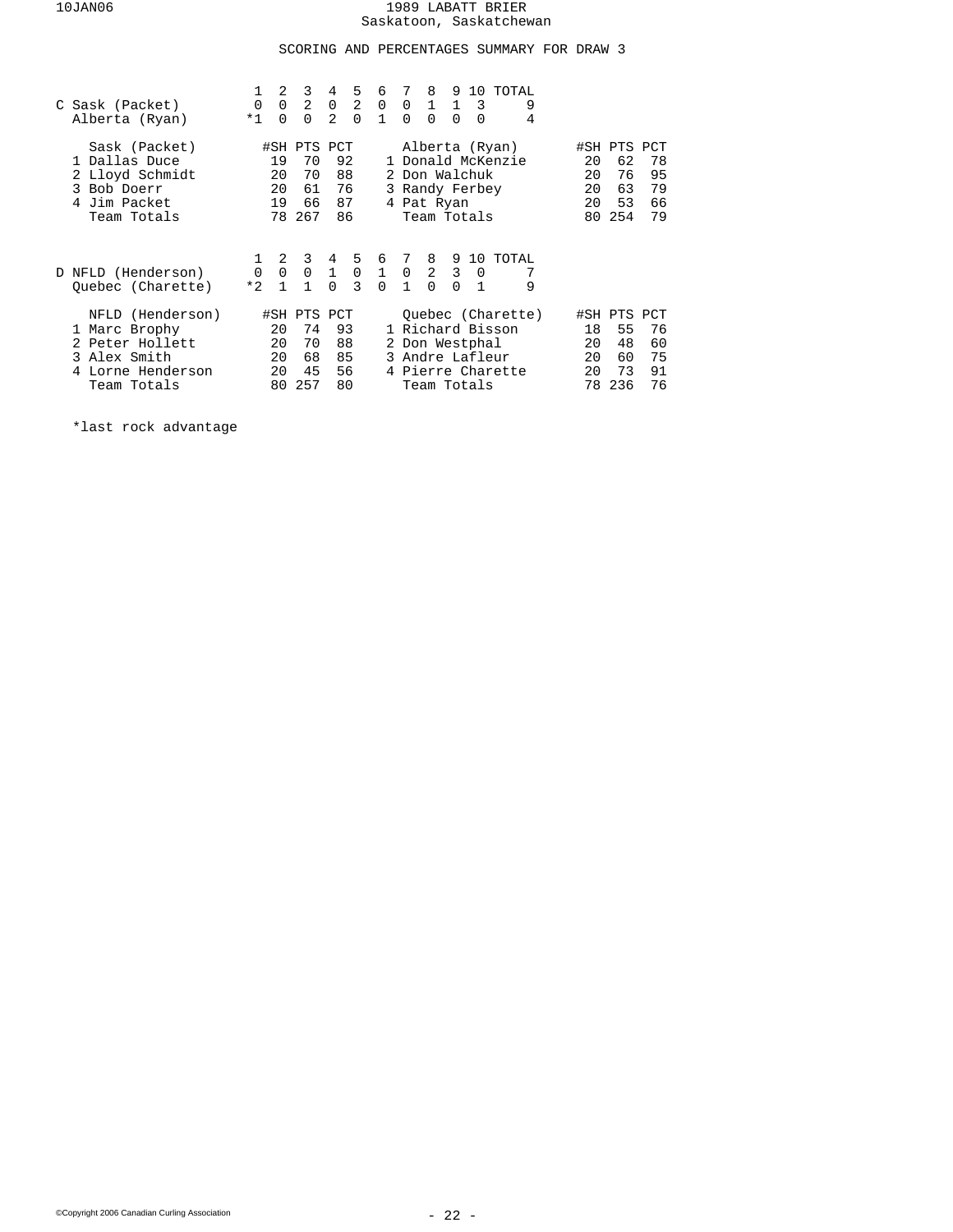## SCORING AND PERCENTAGES SUMMARY FOR DRAW 3

| C Sask (Packet)<br>Alberta (Ryan)                                                                           | 2<br>1<br>$\mathbf 0$<br>0<br>$\Omega$<br>*1    | 3<br>2<br>$\Omega$                         | 5<br>4<br>$\mathbf 0$<br>$\mathcal{L}$<br>$\Omega$ | 8<br>7<br>9<br>6<br>10<br>TOTAL<br>$2 \quad 0$<br>$0 \t1 \t1$<br>-3<br>9<br>$\mathbf{1}$<br>$\Omega$<br>$\Omega$<br>$\bigcap$<br>$\Omega$<br>4 |                                                                                                        |
|-------------------------------------------------------------------------------------------------------------|-------------------------------------------------|--------------------------------------------|----------------------------------------------------|------------------------------------------------------------------------------------------------------------------------------------------------|--------------------------------------------------------------------------------------------------------|
| Sask (Packet)<br>1 Dallas Duce<br>2 Lloyd Schmidt<br>3 Bob Doerr<br>Jim Packet<br>Team Totals               | 19<br>20<br>20<br>19<br>78                      | #SH PTS PCT<br>70<br>70<br>61<br>66<br>267 | 92<br>88<br>76<br>87<br>86                         | Alberta (Ryan)<br>1 Donald McKenzie<br>2 Don Walchuk<br>3 Randy Ferbey<br>4 Pat Ryan<br>Team Totals                                            | #SH PTS PCT<br>62<br>78<br>20<br>76<br>95<br>20<br>20<br>63<br>79<br>53<br>66<br>20<br>254<br>79<br>80 |
| D NFLD (Henderson)<br>Ouebec (Charette)                                                                     | 2<br>1<br>$\Omega$<br>0<br>$\mathbf{1}$<br>$*2$ | -3<br>$\mathbf 0$<br>$\mathbf{1}$          | 5<br>4<br>1 0 1 0<br>$\overline{3}$<br>$\Omega$    | 7<br>8<br>9 10 TOTAL<br>6<br>2 3<br>7<br>$\Omega$<br>$\mathbf{1}$<br>$\Omega$<br>$\Omega$<br>9<br>$\overline{0}$<br>$\overline{1}$             |                                                                                                        |
| (Henderson)<br>NFLD<br>1 Marc Brophy<br>2 Peter Hollett<br>3 Alex Smith<br>4 Lorne Henderson<br>Team Totals | 20<br>20<br>20<br>20<br>80                      | #SH PTS PCT<br>74<br>70<br>68<br>45<br>257 | 93<br>88<br>85<br>56<br>80                         | Ouebec (Charette)<br>1 Richard Bisson<br>2 Don Westphal<br>3 Andre Lafleur<br>4 Pierre Charette<br>Team Totals                                 | #SH PTS PCT<br>76<br>18<br>55<br>60<br>20<br>48<br>20<br>75<br>60<br>91<br>20<br>73<br>76<br>78<br>236 |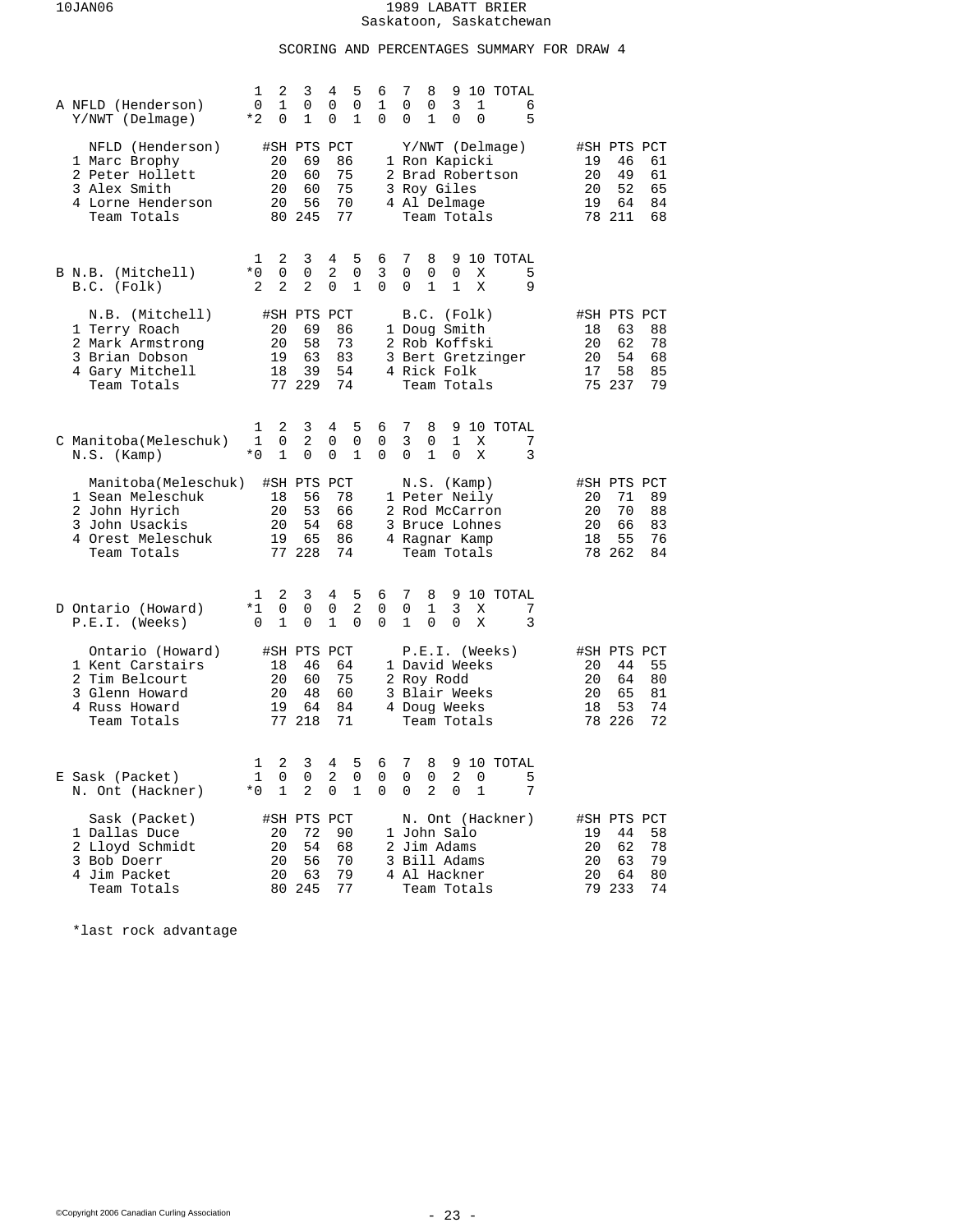# SCORING AND PERCENTAGES SUMMARY FOR DRAW 4

| A NFLD (Henderson)<br>Y/NWT (Delmage)                                                                           | 1<br>2<br>0<br>1<br>*2<br>$\mathbf 0$   | 3<br>0<br>1                                   | 5<br>4<br>$\mathbf 0$<br>0<br>$\mathbf{1}$<br>0 | 6<br>7<br>8<br>9<br>10 ТОТАL<br>3<br>1<br>0<br>0<br>1<br>6<br>5<br>0<br>0<br>1<br>0<br>0                    |                                                                                                     |
|-----------------------------------------------------------------------------------------------------------------|-----------------------------------------|-----------------------------------------------|-------------------------------------------------|-------------------------------------------------------------------------------------------------------------|-----------------------------------------------------------------------------------------------------|
| NFLD (Henderson)<br>1 Marc Brophy<br>2 Peter Hollett<br>3 Alex Smith<br>4 Lorne Henderson<br>Team Totals        | 20<br>20<br>20<br>20                    | #SH PTS PCT<br>69<br>60<br>60<br>56<br>80 245 | 86<br>75<br>75<br>70<br>77                      | Y/NWT (Delmage)<br>1 Ron Kapicki<br>2 Brad Robertson<br>3 Roy Giles<br>4 Al Delmage<br>Team Totals          | #SH PTS PCT<br>19<br>46<br>61<br>49<br>20<br>61<br>52<br>65<br>20<br>19<br>64<br>84<br>78 211<br>68 |
| B N.B. (Mitchell)<br>B.C. (Folk)                                                                                | 2<br>1<br>$\mathbf 0$<br>$*0$<br>2<br>2 | 3<br>$\mathbf 0$<br>2                         | 4<br>5<br>2<br>0<br>$\mathbf{1}$<br>$\Omega$    | 9 10 TOTAL<br>6<br>7<br>8<br>3<br>0<br>0<br>0<br>X<br>5<br>0<br>0<br>1<br>1<br>X<br>9                       |                                                                                                     |
| N.B. (Mitchell)<br>1 Terry Roach<br>2 Mark Armstrong<br>3 Brian Dobson<br>4 Gary Mitchell<br>Team Totals        | 20<br>20<br>19<br>18                    | #SH PTS PCT<br>69<br>58<br>63<br>39<br>77 229 | 86<br>73<br>83<br>54<br>74                      | B.C. (Folk)<br>1 Doug Smith<br>2 Rob Koffski<br>3 Bert Gretzinger<br>4 Rick Folk<br>Team Totals             | #SH PTS PCT<br>18<br>63<br>88<br>20<br>62<br>78<br>54<br>20<br>68<br>58<br>85<br>17<br>75 237<br>79 |
| C Manitoba (Meleschuk)<br>$N.S.$ (Kamp)                                                                         | 2<br>1<br>0<br>1<br>$*0$<br>1           | 3<br>2<br>0                                   | 5<br>4<br>0<br>$\mathbf 0$<br>1<br>$\Omega$     | 7<br>9 10 TOTAL<br>6<br>8<br>3<br>0<br>0<br>1<br>X<br>7<br>3<br>0<br>0<br>1<br>0<br>X                       |                                                                                                     |
| Manitoba (Meleschuk)<br>1 Sean Meleschuk<br>2 John Hyrich<br>3 John Usackis<br>4 Orest Meleschuk<br>Team Totals | 18<br>20<br>20<br>19                    | #SH PTS PCT<br>56<br>53<br>54<br>65<br>77 228 | 78<br>66<br>68<br>86<br>74                      | $N.S.$ (Kamp)<br>1 Peter Neily<br>2 Rod McCarron<br>3 Bruce Lohnes<br>4 Ragnar Kamp<br>Team Totals          | #SH PTS PCT<br>89<br>20<br>71<br>20<br>70<br>88<br>66<br>20<br>83<br>55<br>76<br>18<br>78 262<br>84 |
| D Ontario (Howard)<br>$P.E.I.$ (Weeks)                                                                          | 2<br>1<br>*1<br>0<br>0<br>1             | 3<br>0<br>0                                   | 5<br>4<br>$\overline{a}$<br>0<br>1<br>0         | 7<br>9 10 TOTAL<br>6<br>8<br>3<br>0<br>0<br>1<br>X<br>7<br>3<br>0<br>1<br>0<br>0<br>X                       |                                                                                                     |
| Ontario (Howard)<br>1 Kent Carstairs<br>2 Tim Belcourt<br>3 Glenn Howard<br>4 Russ Howard<br>Team Totals        | 18<br>20<br>20<br>19                    | #SH PTS PCT<br>46<br>60<br>48<br>64<br>77 218 | 64<br>75<br>60<br>84<br>71                      | $P.E.I.$ (Weeks)<br>1 David Weeks<br>2 Roy Rodd<br>3 Blair Weeks<br>4 Doug Weeks<br>Team Totals             | #SH PTS PCT<br>55<br>20<br>44<br>20<br>64<br>80<br>65<br>20<br>81<br>53<br>74<br>18<br>78 226<br>72 |
| E Sask (Packet)<br>N. Ont (Hackner)                                                                             | 2<br>1<br>1<br>0<br>1<br>* 0            | 3<br>$\overline{0}$<br>2                      | 5<br>4<br>2 0<br>$\mathbf 1$<br>0               | 6<br>7<br>8<br>9 10 TOTAL<br>0<br>0<br>$\overline{0}$<br>$2 \quad 0 \qquad 5$<br>2<br>0<br>0<br>7<br>0<br>1 |                                                                                                     |
| Sask (Packet)<br>1 Dallas Duce<br>2 Lloyd Schmidt<br>3 Bob Doerr<br>4 Jim Packet<br>Team Totals                 | 20<br>20<br>20<br>20                    | #SH PTS PCT<br>72<br>54<br>56<br>63<br>80 245 | 90<br>68<br>70<br>79<br>77                      | N. Ont (Hackner)<br>1 John Salo<br>2 Jim Adams<br>3 Bill Adams<br>4 Al Hackner<br>Team Totals               | #SH PTS PCT<br>58<br>19<br>44<br>20<br>62<br>78<br>20<br>63<br>79<br>20<br>64<br>80<br>79 233<br>74 |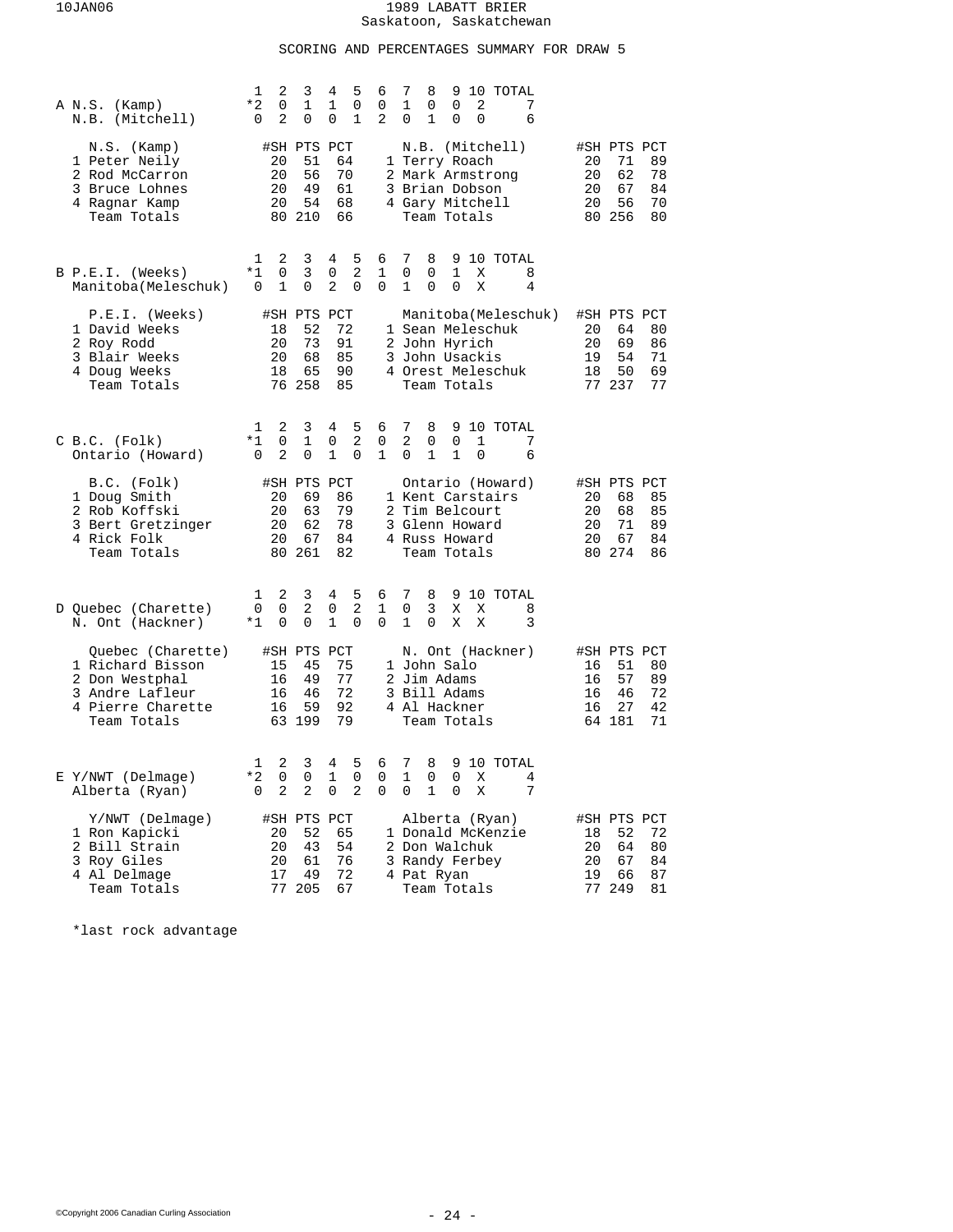# SCORING AND PERCENTAGES SUMMARY FOR DRAW 5

| A N.S. (Kamp)<br>N.B. (Mitchell)                                                                               | 2<br>3<br>4<br>5<br>1<br>$\mathbf 1$<br>$\mathbf 0$<br>*2<br>0<br>1<br>2<br>1<br>0<br>0<br>0                        | 7<br>8<br>10 TOTAL<br>6<br>9<br>1<br>2<br>0<br>0<br>0<br>7<br>2<br>$\Omega$<br>0<br>1<br>0<br>6                     |                                                                                                     |
|----------------------------------------------------------------------------------------------------------------|---------------------------------------------------------------------------------------------------------------------|---------------------------------------------------------------------------------------------------------------------|-----------------------------------------------------------------------------------------------------|
| N.S. (Kamp)<br>1 Peter Neily<br>2 Rod McCarron<br>3 Bruce Lohnes<br>4 Ragnar Kamp<br>Team Totals               | #SH PTS PCT<br>20<br>51<br>64<br>20<br>56<br>70<br>20<br>49<br>61<br>20<br>54<br>68<br>80 210<br>66                 | N.B. (Mitchell)<br>1 Terry Roach<br>2 Mark Armstrong<br>3 Brian Dobson<br>4 Gary Mitchell<br>Team Totals            | #SH PTS PCT<br>20<br>71<br>89<br>20<br>62<br>78<br>20<br>67<br>84<br>20<br>56<br>70<br>80 256<br>80 |
| B P.E.I. (Weeks)<br>Manitoba (Meleschuk)                                                                       | 2<br>3<br>4<br>5<br>1<br>$\overline{2}$<br>3<br>$\mathbf 0$<br>*1<br>0<br>$\mathbf{1}$<br>0<br>2<br>0<br>0          | 7<br>6<br>8<br>9 10 TOTAL<br>$\mathbf{1}$<br>0<br>$\mathbf{1}$<br>0<br>X<br>8<br>0<br>1<br>0<br>0<br>X<br>4         |                                                                                                     |
| $P.E.I.$ (Weeks)<br>1 David Weeks<br>2 Roy Rodd<br>3 Blair Weeks<br>4 Doug Weeks<br>Team Totals                | #SH PTS PCT<br>18<br>52<br>72<br>20<br>73<br>91<br>20<br>68<br>85<br>18<br>65<br>90<br>76 258<br>85                 | Manitoba (Meleschuk)<br>1 Sean Meleschuk<br>2 John Hyrich<br>3 John Usackis<br>4 Orest Meleschuk<br>Team Totals     | #SH PTS PCT<br>20<br>64<br>80<br>20<br>69<br>86<br>19<br>54<br>71<br>18<br>50<br>69<br>77 237<br>77 |
| C B.C. (Folk)<br>Ontario (Howard)                                                                              | 2<br>3<br>4<br>5<br>1<br>$\overline{a}$<br>$\mathbf 0$<br>$\mathbf 1$<br>*1<br>0<br>2<br>0<br>0<br>0<br>1           | 7<br>9 10 TOTAL<br>6<br>8<br>$\overline{a}$<br>$\mathbf 0$<br>0<br>0<br>1<br>7<br>1<br>1<br>1<br>0<br>$\Omega$<br>6 |                                                                                                     |
| B.C. (Folk)<br>1 Doug Smith<br>2 Rob Koffski<br>3 Bert Gretzinger<br>4 Rick Folk<br>Team Totals                | #SH PTS PCT<br>20<br>69<br>86<br>20<br>63<br>79<br>78<br>20<br>62<br>20<br>67<br>84<br>80 261<br>82                 | Ontario (Howard)<br>1 Kent Carstairs<br>2 Tim Belcourt<br>3 Glenn Howard<br>4 Russ Howard<br>Team Totals            | #SH PTS PCT<br>20<br>68<br>85<br>20<br>68<br>85<br>20<br>71<br>89<br>20<br>67<br>84<br>80 274<br>86 |
| D Quebec (Charette)<br>N. Ont (Hackner)                                                                        | 2<br>5<br>3<br>4<br>1<br>$\overline{a}$<br>$\overline{a}$<br>0<br>0<br>0<br>*1<br>$\mathbf 0$<br>0<br>1<br>0        | 7<br>9 10 TOTAL<br>6<br>8<br>$\mathbf{1}$<br>3<br>0<br>X<br>X<br>8<br>3<br>0<br>1<br>0<br>Χ<br>X                    |                                                                                                     |
| Quebec (Charette)<br>1 Richard Bisson<br>2 Don Westphal<br>3 Andre Lafleur<br>4 Pierre Charette<br>Team Totals | #SH PTS PCT<br>15<br>45<br>75<br>77<br>16<br>49<br>72<br>16<br>46<br>16<br>59<br>92<br>79<br>63 199                 | N. Ont (Hackner)<br>1 John Salo<br>2 Jim Adams<br>3 Bill Adams<br>4 Al Hackner<br>Team Totals                       | #SH PTS PCT<br>51<br>80<br>16<br>16<br>57<br>89<br>16<br>46<br>72<br>16<br>27<br>42<br>64 181<br>71 |
| E Y/NWT (Delmage)<br>Alberta (Ryan)                                                                            | 2<br>3<br>4<br>5<br>1<br>$*2$<br>$\overline{\phantom{0}}$<br>0<br>1<br>$\mathsf{O}\xspace$<br>2<br>2<br>0<br>2<br>0 | 6<br>7<br>8<br>9 10 TOTAL<br>0<br>$\ensuremath{\mathbbm{1}}$<br>0<br>0 X<br>0<br>0<br>1<br>Χ<br>7<br>0              |                                                                                                     |
| Y/NWT (Delmage)<br>1 Ron Kapicki<br>2 Bill Strain<br>3 Roy Giles<br>4 Al Delmage<br>Team Totals                | #SH PTS PCT<br>52<br>65<br>20<br>20<br>43<br>54<br>20<br>61<br>76<br>17<br>49<br>72<br>77<br>205<br>67              | Alberta (Ryan)<br>1 Donald McKenzie<br>2 Don Walchuk<br>3 Randy Ferbey<br>4 Pat Ryan<br>Team Totals                 | #SH PTS PCT<br>52<br>72<br>18<br>20<br>64<br>80<br>20<br>67<br>84<br>19<br>66<br>87<br>77 249<br>81 |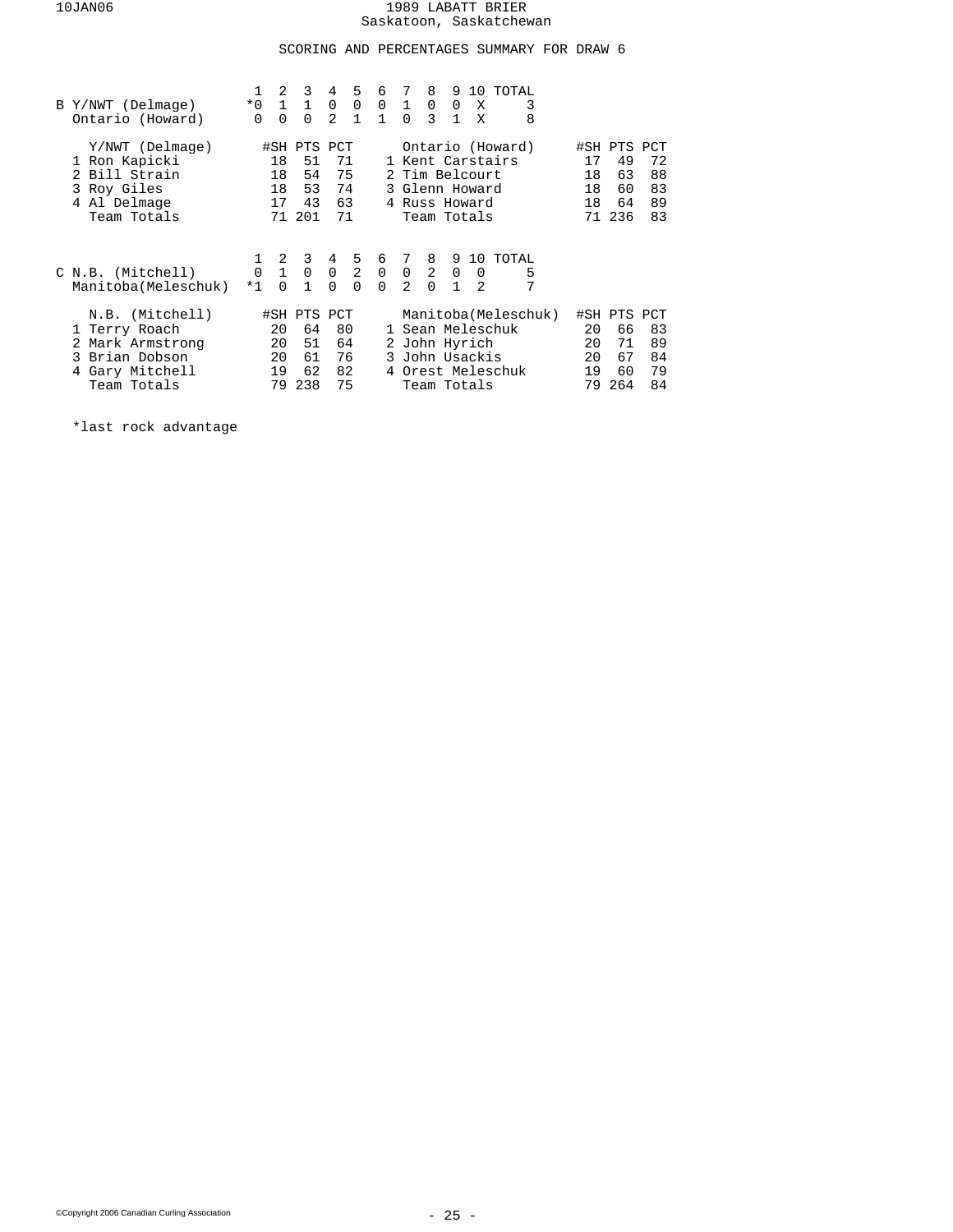# SCORING AND PERCENTAGES SUMMARY FOR DRAW 6

| B Y/NWT (Delmage)<br>Ontario (Howard)                                                                     | 1<br>$*0$<br>$\Omega$  | 2<br>$\Omega$              | 3<br>$1 \quad 1$<br>$\Omega$                  | 4<br>$\mathbf 0$<br>$\mathcal{L}$ | -5<br>$\mathbf 0$<br>$\mathbf{1}$ | 6<br>$\mathbf 0$<br>$\mathbf{1}$ | 7<br>1<br>$\Omega$                                | 8<br>$\mathbf 0$<br>$\overline{\mathbf{3}}$ | 0<br>$\overline{1}$      | 9 10<br>X<br>$\mathbf{x}$   | TOTAL<br>3<br>8                                             |                            |                                               |                            |
|-----------------------------------------------------------------------------------------------------------|------------------------|----------------------------|-----------------------------------------------|-----------------------------------|-----------------------------------|----------------------------------|---------------------------------------------------|---------------------------------------------|--------------------------|-----------------------------|-------------------------------------------------------------|----------------------------|-----------------------------------------------|----------------------------|
| Y/NWT (Delmage)<br>1 Ron Kapicki<br>2 Bill Strain<br>3 Roy Giles<br>4 Al Delmage<br>Team Totals           |                        | 18<br>18<br>18<br>17       | #SH PTS PCT<br>51<br>54<br>53<br>43<br>71 201 | 71<br>75<br>74<br>63<br>71        |                                   |                                  | 2 Tim Belcourt<br>3 Glenn Howard<br>4 Russ Howard |                                             |                          | Team Totals                 | Ontario (Howard)<br>1 Kent Carstairs                        | 17<br>18<br>18<br>18       | #SH PTS PCT<br>49<br>63<br>60<br>64<br>71 236 | 72<br>88<br>83<br>89<br>83 |
| C N.B. (Mitchell)<br>Manitoba (Meleschuk)                                                                 | 1<br>$\mathbf 0$<br>*1 | 2<br>$\Omega$              | 3<br>$1 \quad 0$<br>$\mathbf{1}$              | 4<br>$\mathbf 0$<br>$\Omega$      | -5<br>2<br>$\Omega$               | 6<br>$\mathbf 0$<br>$\Omega$     | 7<br>$\Omega$<br>$\overline{2}$                   | 8<br>2<br>$\Omega$                          | $\Omega$<br>$\mathbf{1}$ | 9 10<br>$\Omega$<br>2       | TOTAL<br>5<br>7                                             |                            |                                               |                            |
| N.B. (Mitchell)<br>1 Terry Roach<br>2 Mark Armstrong<br>Brian Dobson<br>Gary Mitchell<br>4<br>Team Totals |                        | 20<br>20<br>20<br>19<br>79 | #SH PTS PCT<br>64<br>51<br>61<br>62<br>238    | 80<br>64<br>76<br>82<br>75        |                                   |                                  | 2 John Hyrich                                     |                                             |                          | John Usackis<br>Team Totals | Manitoba (Meleschuk)<br>1 Sean Meleschuk<br>Orest Meleschuk | 20<br>20<br>20<br>19<br>79 | #SH PTS PCT<br>66<br>71<br>67<br>60<br>264    | 83<br>89<br>84<br>79<br>84 |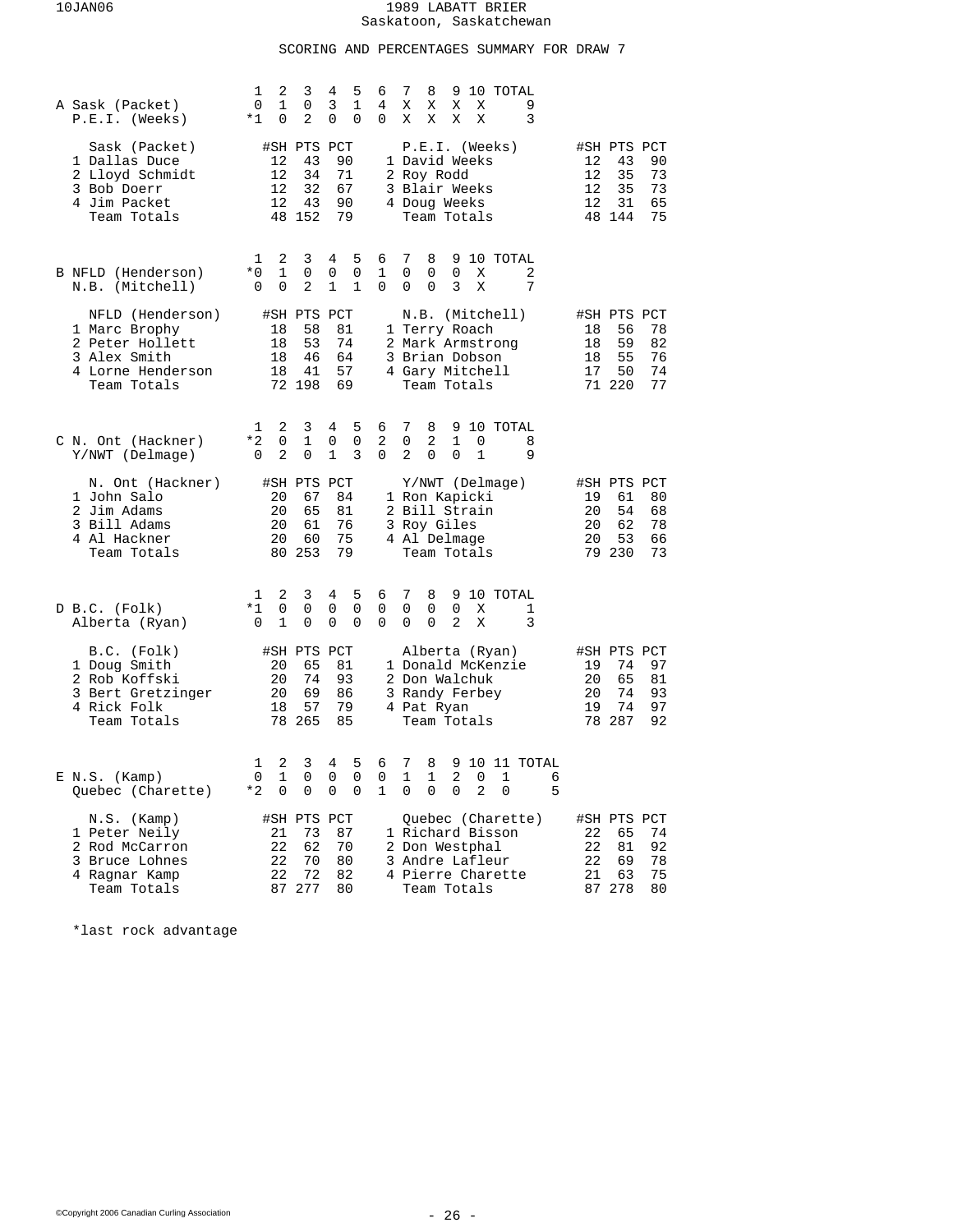# SCORING AND PERCENTAGES SUMMARY FOR DRAW 7

| A Sask (Packet)<br>$P.E.I.$ (Weeks)                                                                      | 2<br>5<br>3<br>4<br>1<br>$\mathbf{1}$<br>0<br>3<br>$\mathbf{1}$<br>0<br>*1<br>$\Omega$<br>2<br>$\Omega$<br>$\Omega$       | 6<br>7<br>8<br>9 10 TOTAL<br>$\overline{4}$<br>X<br>X<br>X<br>X<br>9<br>3<br>$\Omega$<br>Χ<br>X<br>X<br>X                                                     |                                                                                                     |
|----------------------------------------------------------------------------------------------------------|---------------------------------------------------------------------------------------------------------------------------|---------------------------------------------------------------------------------------------------------------------------------------------------------------|-----------------------------------------------------------------------------------------------------|
| Sask (Packet)<br>1 Dallas Duce<br>2 Lloyd Schmidt<br>3 Bob Doerr<br>4 Jim Packet<br>Team Totals          | #SH PTS PCT<br>12<br>43<br>90<br>12<br>34<br>71<br>12<br>32<br>67<br>12<br>43<br>90<br>48 152<br>79                       | $P.E.I.$ (Weeks)<br>1 David Weeks<br>2 Roy Rodd<br>3 Blair Weeks<br>4 Doug Weeks<br>Team Totals                                                               | #SH PTS PCT<br>12<br>43<br>90<br>12<br>35<br>73<br>12<br>35<br>73<br>12<br>31<br>65<br>48 144<br>75 |
| B NFLD (Henderson)<br>N.B. (Mitchell)                                                                    | 2<br>3<br>5<br>4<br>1<br>$*0$<br>$\mathbf{1}$<br>0<br>0<br>0<br>$\Omega$<br>2<br>$\mathbf{1}$<br>$\mathbf{1}$<br>$\Omega$ | 7<br>6<br>8<br>9 10 TOTAL<br>$\mathbf{1}$<br>$\mathbf 0$<br>0<br>0<br>X<br>2<br>$\mathbf 0$<br>$\Omega$<br>3<br>X<br>7<br>$\Omega$                            |                                                                                                     |
| NFLD (Henderson)<br>1 Marc Brophy<br>2 Peter Hollett<br>3 Alex Smith<br>4 Lorne Henderson<br>Team Totals | #SH PTS PCT<br>58<br>81<br>18<br>53<br>18<br>74<br>18<br>46<br>64<br>57<br>18<br>41<br>72 198<br>69                       | N.B. (Mitchell)<br>1 Terry Roach<br>2 Mark Armstrong<br>3 Brian Dobson<br>4 Gary Mitchell<br>Team Totals                                                      | #SH PTS PCT<br>18<br>56<br>78<br>18<br>59<br>82<br>18<br>55<br>76<br>17<br>50<br>74<br>71 220<br>77 |
| C N. Ont (Hackner)<br>Y/NWT (Delmage)                                                                    | 2<br>3<br>5<br>4<br>1<br>$*2$<br>$\Omega$<br>$\mathbf{1}$<br>0<br>$\mathbf 0$<br>2<br>$\Omega$<br>1<br>3<br>$\Omega$      | 7<br>9 10 TOTAL<br>6<br>8<br>2<br>$\mathbf 0$<br>2<br>$\mathbf{1}$<br>0<br>8<br>2<br>$\Omega$<br>$\mathbf{1}$<br>0<br>0<br>9                                  |                                                                                                     |
| N. Ont (Hackner)<br>1 John Salo<br>2 Jim Adams<br>3 Bill Adams<br>4 Al Hackner<br>Team Totals            | #SH PTS PCT<br>20<br>67<br>84<br>20<br>65<br>81<br>20<br>76<br>61<br>20<br>60<br>75<br>80 253<br>79                       | Y/NWT (Delmage)<br>1 Ron Kapicki<br>2 Bill Strain<br>3 Roy Giles<br>4 Al Delmage<br>Team Totals                                                               | #SH PTS PCT<br>19<br>61<br>80<br>20<br>54<br>68<br>20<br>62<br>78<br>20<br>53<br>66<br>79 230<br>73 |
| D B.C. (Folk)<br>Alberta (Ryan)                                                                          | 3<br>5<br>2<br>4<br>1<br>0<br>0<br>0<br>$\mathbf 0$<br>*1<br>1<br>0<br>$\Omega$<br>0<br>0                                 | 7<br>9 10 TOTAL<br>6<br>8<br>$\mathbf 0$<br>0<br>0<br>0<br>X<br>1<br>$\mathbf 0$<br>2<br>3<br>0<br>0<br>X                                                     |                                                                                                     |
| B.C. (Folk)<br>1 Doug Smith<br>2 Rob Koffski<br>3 Bert Gretzinger<br>4 Rick Folk<br>Team Totals          | #SH PTS PCT<br>20<br>65<br>81<br>74<br>93<br>20<br>20<br>69<br>86<br>57<br>18<br>79<br>78 265<br>85                       | Alberta (Ryan)<br>1 Donald McKenzie<br>2 Don Walchuk<br>3 Randy Ferbey<br>4 Pat Ryan<br>Team Totals                                                           | #SH PTS PCT<br>19<br>74<br>97<br>20<br>65<br>81<br>74<br>20<br>93<br>74<br>97<br>19<br>92<br>78 287 |
| E N.S. (Kamp)<br>Quebec (Charette)                                                                       | 2<br>3<br>5<br>4<br>1<br>$\mathbf{0}$<br>1<br>0<br>0<br>0<br>0<br>*2<br>0<br>0<br>$\overline{\phantom{0}}$                | 7<br>6<br>8<br>9 10 11 TOTAL<br>$\mathbf{2}$<br>0<br>$1 \quad$<br>$\overline{0}$<br>$\mathbf{1}$<br>$\mathbf{1}$<br>$\mathbf 1$<br>2<br>5<br>0<br>0<br>0<br>0 |                                                                                                     |
| $N.S.$ (Kamp)<br>1 Peter Neily<br>2 Rod McCarron<br>3 Bruce Lohnes<br>4 Ragnar Kamp<br>Team Totals       | #SH PTS PCT<br>21<br>73<br>87<br>22<br>62<br>70<br>22<br>70<br>80<br>22<br>72<br>82<br>87 277<br>80                       | Quebec (Charette)<br>1 Richard Bisson<br>2 Don Westphal<br>3 Andre Lafleur<br>4 Pierre Charette<br>Team Totals                                                | #SH PTS PCT<br>22<br>65<br>74<br>22<br>81<br>92<br>22<br>69<br>78<br>21<br>63<br>75<br>87 278<br>80 |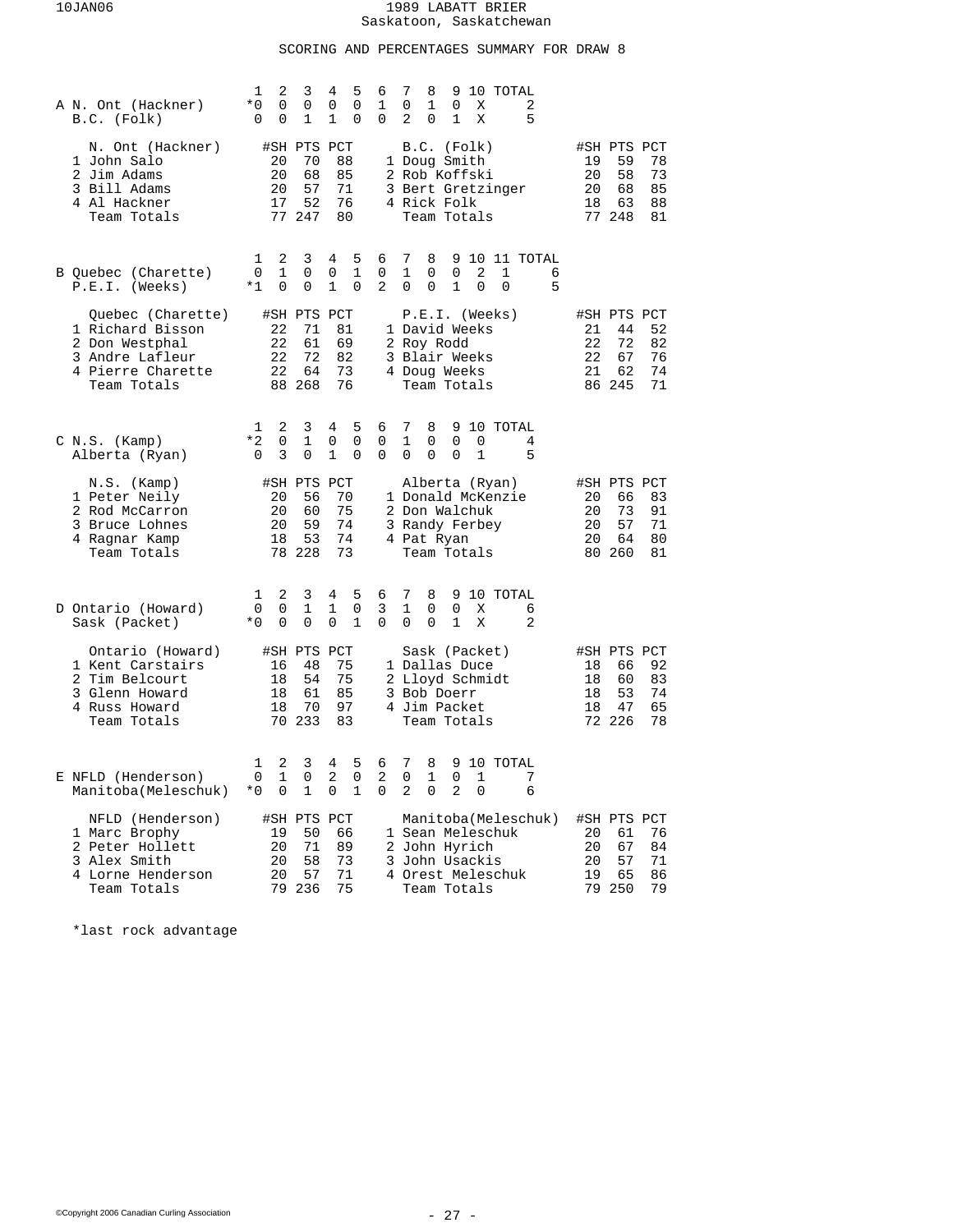# SCORING AND PERCENTAGES SUMMARY FOR DRAW 8

| A N. Ont (Hackner)<br>B.C. (Folk)                                                                              | 5<br>1<br>2<br>3<br>4<br>$\mathbf 0$<br>$\mathbf 0$<br>$*0$<br>0<br>$\mathbf 0$<br>$\Omega$<br>1<br>1<br>0<br>0         | 6<br>7<br>8<br>9<br>10 TOTAL<br>1<br>0<br>1<br>0<br>X<br>2<br>2<br>5<br>0<br>$\Omega$<br>1<br>X                                             |                                                                                                     |
|----------------------------------------------------------------------------------------------------------------|-------------------------------------------------------------------------------------------------------------------------|---------------------------------------------------------------------------------------------------------------------------------------------|-----------------------------------------------------------------------------------------------------|
| N. Ont (Hackner)<br>1 John Salo<br>2 Jim Adams<br>3 Bill Adams<br>4 Al Hackner<br>Team Totals                  | #SH PTS PCT<br>20<br>70<br>88<br>20<br>68<br>85<br>20<br>57<br>71<br>17<br>52<br>76<br>77 247<br>80                     | B.C. (Folk)<br>1 Doug Smith<br>2 Rob Koffski<br>3 Bert Gretzinger<br>4 Rick Folk<br>Team Totals                                             | #SH PTS PCT<br>19<br>59<br>78<br>20<br>58<br>73<br>20<br>68<br>85<br>18<br>63<br>88<br>77 248<br>81 |
| B Ouebec (Charette)<br>$P.E.I.$ (Weeks)                                                                        | 2<br>3<br>5<br>4<br>1<br>$\mathbf{1}$<br>$\mathbf 0$<br>$\mathbf{1}$<br>0<br>0<br>*1<br>$\Omega$<br>0<br>0<br>1         | 7<br>8<br>6<br>9 10 11 TOTAL<br>$\mathbf{1}$<br>$\mathbf 0$<br>2<br>0<br>0<br>1<br>6<br>2<br>1<br>$\mathbf 0$<br>$\mathbf 0$<br>5<br>0<br>0 |                                                                                                     |
| Quebec (Charette)<br>1 Richard Bisson<br>2 Don Westphal<br>3 Andre Lafleur<br>4 Pierre Charette<br>Team Totals | #SH PTS PCT<br>22<br>71<br>81<br>22<br>61<br>69<br>82<br>22<br>72<br>22<br>64<br>73<br>88 268<br>76                     | $P.E.I.$ (Weeks)<br>1 David Weeks<br>2 Roy Rodd<br>3 Blair Weeks<br>4 Doug Weeks<br>Team Totals                                             | #SH PTS PCT<br>21<br>44<br>52<br>22<br>72<br>82<br>22<br>67<br>76<br>21<br>62<br>74<br>86 245<br>71 |
| $CN.S.$ (Kamp)<br>Alberta (Ryan)                                                                               | 2<br>3<br>5<br>4<br>1<br>$\mathbf 0$<br>$\mathbf 1$<br>$\mathbf 0$<br>*2<br>0<br>3<br>0<br>0<br>1<br>0                  | 7<br>9 10 TOTAL<br>6<br>8<br>$\mathbf{1}$<br>0<br>0<br>0<br>0<br>4<br>5<br>0<br>$\Omega$<br>0<br>0<br>1                                     |                                                                                                     |
| N.S. (Kamp)<br>1 Peter Neily<br>2 Rod McCarron<br>3 Bruce Lohnes<br>4 Ragnar Kamp<br>Team Totals               | #SH PTS PCT<br>20<br>56<br>70<br>20<br>60<br>75<br>20<br>59<br>74<br>18<br>53<br>74<br>78 228<br>73                     | Alberta (Ryan)<br>1 Donald McKenzie<br>2 Don Walchuk<br>3 Randy Ferbey<br>4 Pat Ryan<br>Team Totals                                         | #SH PTS PCT<br>20<br>66<br>83<br>20<br>73<br>91<br>20<br>57<br>71<br>20<br>64<br>80<br>80 260<br>81 |
| D Ontario (Howard)<br>Sask (Packet)                                                                            | 2<br>3<br>5<br>4<br>1<br>$\mathbf 1$<br>$\mathbf 0$<br>0<br>0<br>1<br>$\Omega$<br>0<br>$\mathbf 0$<br>1<br>$*0$         | 9 10 TOTAL<br>6<br>7<br>8<br>3<br>$\mathbf{1}$<br>0<br>0<br>X<br>6<br>0<br>2<br>0<br>0<br>1<br>X                                            |                                                                                                     |
| Ontario (Howard)<br>1 Kent Carstairs<br>2 Tim Belcourt<br>3 Glenn Howard<br>4 Russ Howard<br>Team Totals       | #SH PTS PCT<br>48<br>75<br>16<br>18<br>54<br>75<br>18<br>61<br>85<br>18<br>70<br>97<br>70 233<br>83                     | Sask (Packet)<br>1 Dallas Duce<br>2 Lloyd Schmidt<br>3 Bob Doerr<br>4 Jim Packet<br>Team Totals                                             | #SH PTS PCT<br>92<br>18<br>66<br>18<br>83<br>60<br>18<br>53<br>74<br>18<br>47<br>65<br>72 226<br>78 |
| E NFLD (Henderson)<br>Manitoba (Meleschuk)                                                                     | 2<br>3<br>5<br>1<br>4<br>2<br>$\overline{0}$<br>$\mathbf 1$<br>0<br>$\overline{0}$<br>0<br>1<br>$\mathbf 0$<br>1<br>* 0 | 6<br>7<br>8<br>9 10 TOTAL<br>2<br>1<br>$\overline{0}$<br>7<br>0<br>$\mathbf{1}$<br>2<br>2<br>0<br>0<br>0<br>6                               |                                                                                                     |
| NFLD (Henderson)<br>1 Marc Brophy<br>2 Peter Hollett<br>3 Alex Smith<br>4 Lorne Henderson<br>Team Totals       | #SH PTS PCT<br>19<br>50<br>66<br>20<br>71<br>89<br>20<br>58<br>73<br>20<br>57<br>71<br>79<br>236<br>75                  | Manitoba (Meleschuk)<br>1 Sean Meleschuk<br>2 John Hyrich<br>3 John Usackis<br>4 Orest Meleschuk<br>Team Totals                             | #SH PTS PCT<br>20<br>76<br>61<br>20<br>67<br>84<br>20<br>57<br>71<br>19<br>65<br>86<br>79 250<br>79 |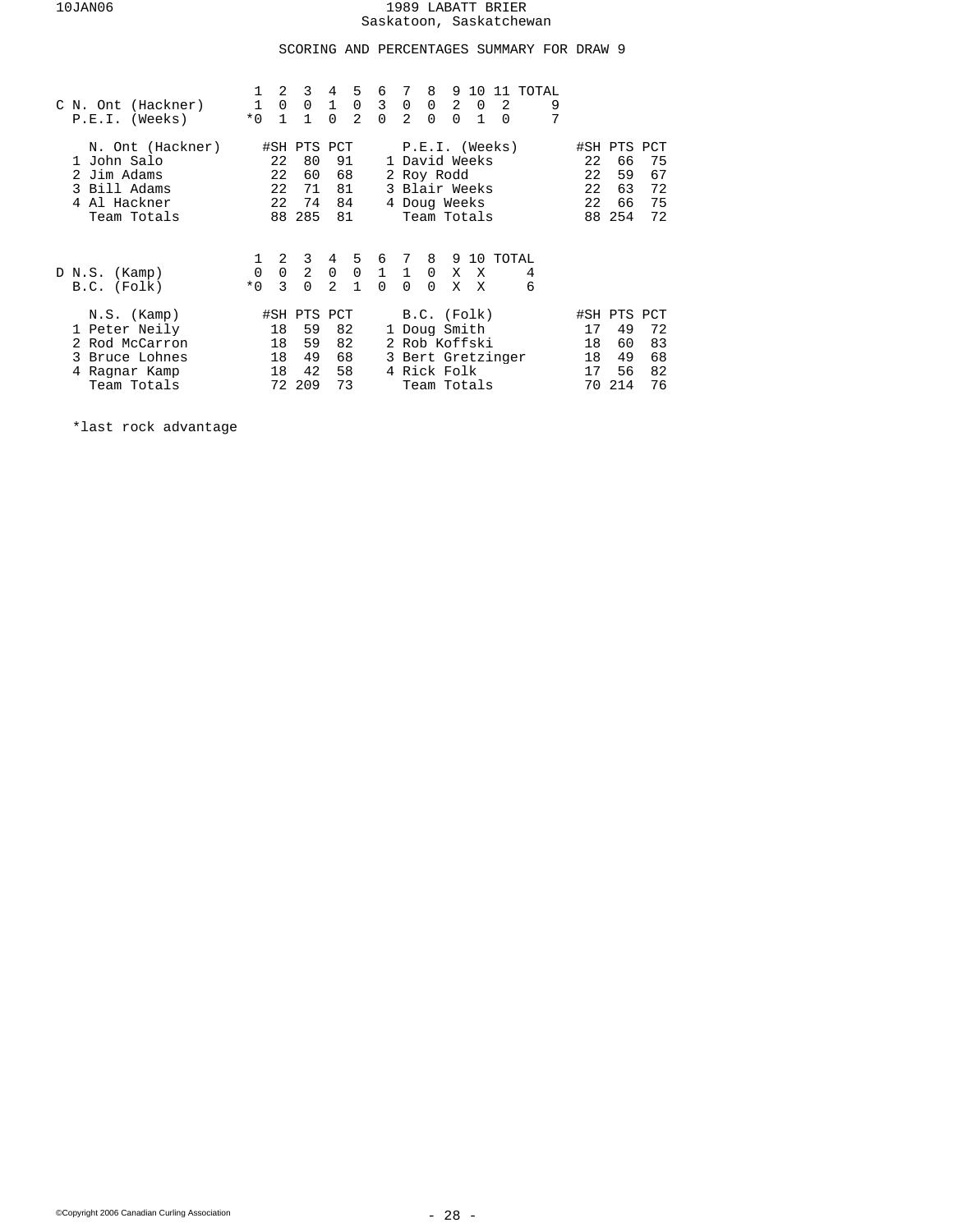# SCORING AND PERCENTAGES SUMMARY FOR DRAW 9

|   | C N. Ont (Hackner)<br>$P.E.I.$ (Weeks)                                                           | 1<br>$*0$                           | 2<br>$1 \quad 0$<br>$\mathbf{1}$    | 3<br>$0 \quad 1 \quad 0$<br>$\mathbf{1}$   | 4<br>$\Omega$              | 5<br>$\mathfrak{D}$ | 6<br>3 <sup>2</sup><br>$\Omega$                  | 7<br>$\mathbf 0$<br>$\overline{2}$ | 8<br>$\overline{0}$<br>$\Omega$                                                                 | $\Omega$ | 9 10<br>$2 \quad 0$<br>$\mathbf{1}$ | 11<br>-2<br>$\Omega$ | TOTAL  | 9<br>7 |                            |                                               |                            |
|---|--------------------------------------------------------------------------------------------------|-------------------------------------|-------------------------------------|--------------------------------------------|----------------------------|---------------------|--------------------------------------------------|------------------------------------|-------------------------------------------------------------------------------------------------|----------|-------------------------------------|----------------------|--------|--------|----------------------------|-----------------------------------------------|----------------------------|
| 4 | N. Ont (Hackner)<br>1 John Salo<br>2 Jim Adams<br>3 Bill Adams<br>Al Hackner<br>Team Totals      |                                     | 22<br>22<br>22<br>22<br>88          | #SH PTS PCT<br>80<br>60<br>71<br>74<br>285 | 91<br>68<br>81<br>84<br>81 |                     |                                                  |                                    | $P.E.I.$ (Weeks)<br>1 David Weeks<br>2 Roy Rodd<br>3 Blair Weeks<br>4 Doug Weeks<br>Team Totals |          |                                     |                      |        |        | 22<br>22<br>22<br>22       | #SH PTS PCT<br>66<br>59<br>63<br>66<br>88 254 | 75<br>67<br>72<br>75<br>72 |
|   | $D$ N.S. (Kamp)<br>B.C. (Folk)                                                                   | $\mathbf{1}$<br>$\mathbf 0$<br>$*0$ | 2<br>$\overline{0}$<br>$\mathbf{3}$ | 3<br>2 0<br>$\Omega$                       | 4<br>$\overline{2}$        | $\mathbf{1}$        | 5 6 7<br>$0 \quad 1 \quad 1 \quad 0$<br>$\Omega$ | $\Omega$                           | 8<br>$\Omega$                                                                                   | X        | X X<br>$\mathbf{x}$                 | 9 10 TOTAL           | 4<br>6 |        |                            |                                               |                            |
|   | $N.S.$ (Kamp)<br>1 Peter Neily<br>Rod McCarron<br>3 Bruce Lohnes<br>4 Ragnar Kamp<br>Team Totals |                                     | 18<br>18<br>18<br>18<br>72          | #SH PTS PCT<br>59<br>59<br>49<br>42<br>209 | 82<br>82<br>68<br>58<br>73 |                     |                                                  |                                    | B.C. (Folk)<br>1 Doug Smith<br>2 Rob Koffski<br>3 Bert Gretzinger<br>4 Rick Folk<br>Team Totals |          |                                     |                      |        |        | 17<br>18<br>18<br>17<br>70 | #SH PTS PCT<br>49<br>60<br>49<br>56<br>214    | 72<br>83<br>68<br>82<br>76 |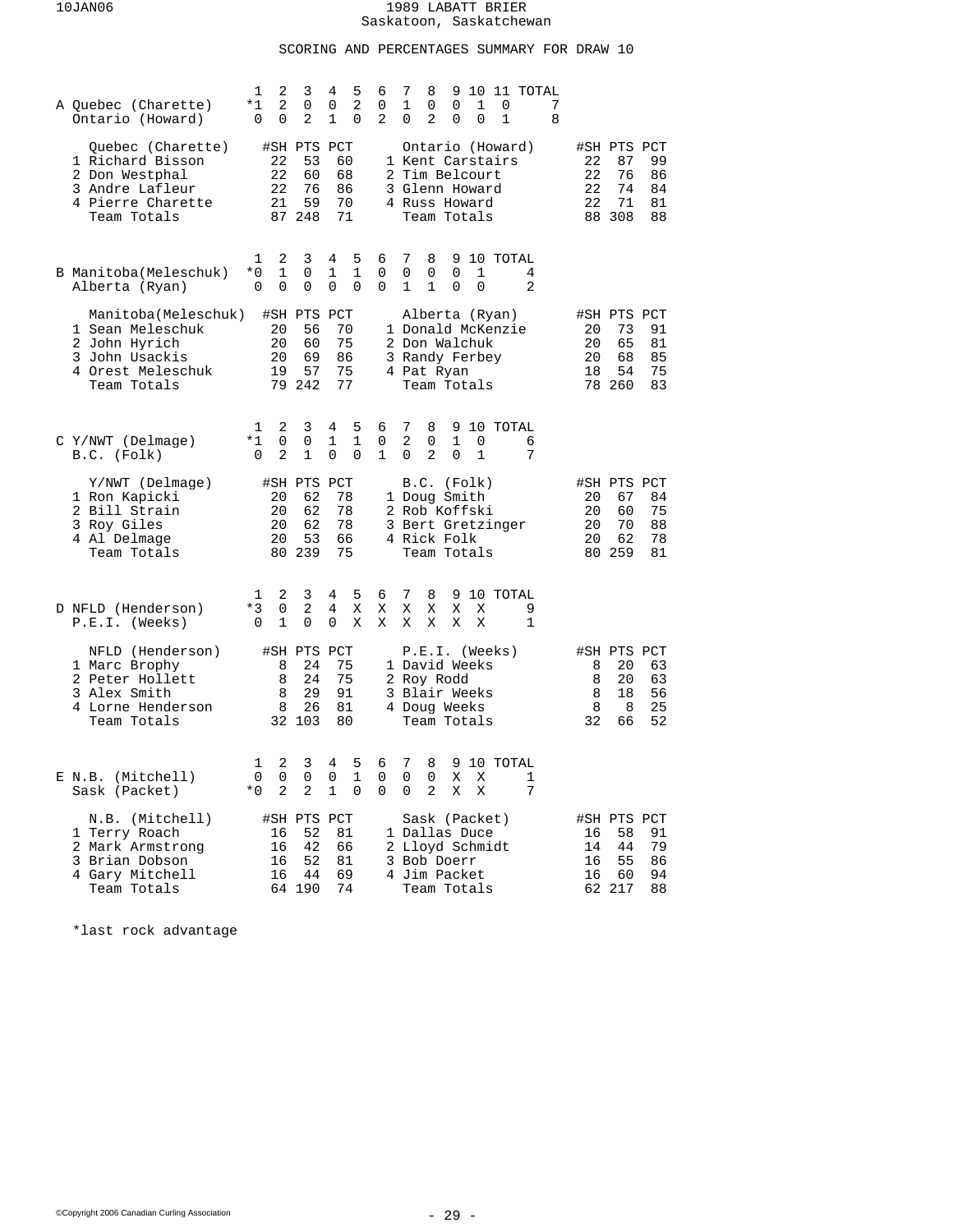# SCORING AND PERCENTAGES SUMMARY FOR DRAW 10

| A Quebec (Charette)<br>Ontario (Howard)                                                                        | 1<br>*1<br>0        | 2<br>2<br>$\mathbf 0$         | 3<br>0<br>2                                   | 4<br>0<br>1 | 5<br>$\overline{2}$<br>$\Omega$ | 6<br>0<br>2        | 7<br>$\mathbf{1}$<br>0                                                | 8<br>0<br>2 | 9<br>0<br>0                     | 10<br>1<br>0 | 0<br>1 | 11 ТОТАL                   | 7<br>8 |                        |                                               |                            |
|----------------------------------------------------------------------------------------------------------------|---------------------|-------------------------------|-----------------------------------------------|-------------|---------------------------------|--------------------|-----------------------------------------------------------------------|-------------|---------------------------------|--------------|--------|----------------------------|--------|------------------------|-----------------------------------------------|----------------------------|
| Quebec (Charette)<br>1 Richard Bisson<br>2 Don Westphal<br>3 Andre Lafleur<br>4 Pierre Charette<br>Team Totals |                     | 22<br>22<br>22<br>21          | #SH PTS PCT<br>53<br>60<br>76<br>59<br>87 248 |             | 60<br>68<br>86<br>70<br>71      |                    | 1 Kent Carstairs<br>2 Tim Belcourt<br>3 Glenn Howard<br>4 Russ Howard |             | Ontario (Howard)<br>Team Totals |              |        |                            |        | 22<br>22<br>22<br>22   | #SH PTS PCT<br>87<br>76<br>74<br>71<br>88 308 | 99<br>86<br>84<br>81<br>88 |
| B Manitoba (Meleschuk)<br>Alberta (Ryan)                                                                       | 1<br>$*0$<br>0      | 2<br>$\mathbf{1}$<br>$\Omega$ | 3<br>0<br>0                                   | 4<br>1<br>0 | 5<br>$\mathbf{1}$<br>$\Omega$   | 6<br>0<br>0        | 7<br>$\mathbf 0$<br>1                                                 | 8<br>0<br>1 | 0<br>0                          | 1<br>0       |        | 9 10 TOTAL<br>4<br>2       |        |                        |                                               |                            |
| Manitoba(Meleschuk)<br>1 Sean Meleschuk<br>2 John Hyrich<br>3 John Usackis<br>4 Orest Meleschuk<br>Team Totals |                     | 20<br>20<br>20<br>19          | #SH PTS PCT<br>56<br>60<br>69<br>57<br>79 242 |             | 70<br>75<br>86<br>75<br>77      |                    | 1 Donald McKenzie<br>2 Don Walchuk<br>3 Randy Ferbey<br>4 Pat Ryan    |             | Alberta (Ryan)<br>Team Totals   |              |        |                            |        | 20<br>20<br>20<br>18   | #SH PTS PCT<br>73<br>65<br>68<br>54<br>78 260 | 91<br>81<br>85<br>75<br>83 |
| C Y/NWT (Delmage)<br>B.C. (Folk)                                                                               | 1<br>*1<br>0        | 2<br>0<br>2                   | 3<br>0<br>1                                   | 4<br>1<br>0 | 5<br>$\mathbf{1}$<br>0          | 6<br>0<br>1        | 7<br>2<br>$\Omega$                                                    | 8<br>0<br>2 | 1<br>0                          | 0<br>1       |        | 9 10 TOTAL<br>6<br>7       |        |                        |                                               |                            |
| Y/NWT (Delmage)<br>1 Ron Kapicki<br>2 Bill Strain<br>3 Roy Giles<br>4 Al Delmage<br>Team Totals                |                     | 20<br>20<br>20<br>20          | #SH PTS PCT<br>62<br>62<br>62<br>53<br>80 239 |             | 78<br>78<br>78<br>66<br>75      |                    | 1 Doug Smith<br>2 Rob Koffski<br>3 Bert Gretzinger<br>4 Rick Folk     |             | B.C. (Folk)<br>Team Totals      |              |        |                            |        | 20<br>20<br>20<br>20   | #SH PTS PCT<br>67<br>60<br>70<br>62<br>80 259 | 84<br>75<br>88<br>78<br>81 |
| D NFLD (Henderson)<br>$P.E.I.$ (Weeks)                                                                         | 1<br>$*3$<br>0      | 2<br>0<br>1                   | 3<br>2<br>0                                   | 4<br>4<br>0 | 5<br>X<br>X                     | 6<br>Χ<br>Χ        | 7<br>Χ<br>Χ                                                           | 8<br>Χ<br>Χ | X<br>X                          | Χ<br>X       |        | 9 10 TOTAL<br>9<br>1       |        |                        |                                               |                            |
| NFLD (Henderson)<br>1 Marc Brophy<br>2 Peter Hollett<br>3 Alex Smith<br>4 Lorne Henderson<br>Team Totals       |                     | 8<br>8<br>8<br>8              | #SH PTS PCT<br>24<br>24<br>29<br>26<br>32 103 |             | 75<br>75<br>91<br>81<br>80      |                    | 1 David Weeks<br>2 Roy Rodd<br>3 Blair Weeks<br>4 Doug Weeks          |             | $P.E.I.$ (Weeks)<br>Team Totals |              |        |                            |        | 8<br>8<br>8<br>8<br>32 | #SH PTS PCT<br>20<br>20<br>18<br>8<br>66      | 63<br>63<br>56<br>25<br>52 |
| E N.B. (Mitchell)<br>Sask (Packet)                                                                             | 1<br>$\Omega$<br>*0 | 2<br>$\Omega$<br>2            | 3<br>0<br>2                                   | 4<br>1      | 5<br>$0\quad 1$<br>0            | 6<br>$\Omega$<br>0 | 7<br>$\Omega$<br>0                                                    | 8<br>2      | Χ                               | Χ            |        | 9 10 TOTAL<br>0 X X 1<br>7 |        |                        |                                               |                            |
| N.B. (Mitchell)<br>1 Terry Roach<br>2 Mark Armstrong<br>3 Brian Dobson<br>4 Gary Mitchell<br>Team Totals       |                     | 16<br>16<br>16<br>16          | #SH PTS PCT<br>52<br>42<br>52<br>44<br>64 190 |             | 81<br>66<br>81<br>69<br>74      |                    | 1 Dallas Duce<br>2 Lloyd Schmidt<br>3 Bob Doerr<br>4 Jim Packet       |             | Sask (Packet)<br>Team Totals    |              |        |                            |        | 16<br>14<br>16<br>16   | #SH PTS PCT<br>58<br>44<br>55<br>60<br>62 217 | 91<br>79<br>86<br>94<br>88 |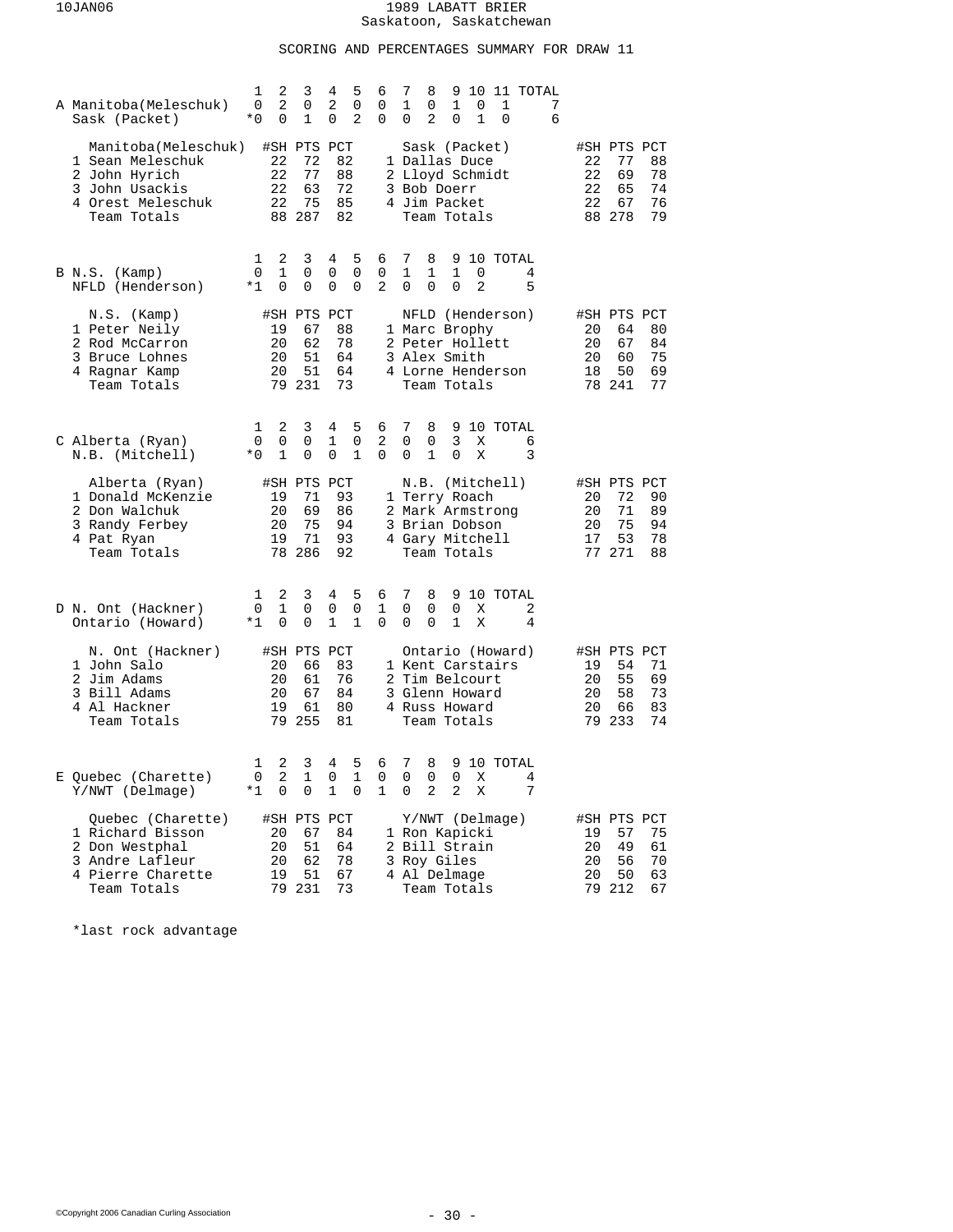# SCORING AND PERCENTAGES SUMMARY FOR DRAW 11

| A Manitoba (Meleschuk)<br>Sask (Packet)                                                                        | 1<br>0<br>$*0$          | 2<br>2<br>$\Omega$   | 3<br>0<br>1                                   | 4<br>2<br>$\Omega$         | 5<br>$\mathbf 0$<br>2 | 6<br>0<br>$\Omega$                  | 7<br>1<br>0                                                            | 8<br>0<br>2            | 9<br>1<br>0                       | 10<br>0<br>1 | 1<br>$\Omega$ |            | 11 ТОТАL<br>7<br>6 |                      |                                               |                            |
|----------------------------------------------------------------------------------------------------------------|-------------------------|----------------------|-----------------------------------------------|----------------------------|-----------------------|-------------------------------------|------------------------------------------------------------------------|------------------------|-----------------------------------|--------------|---------------|------------|--------------------|----------------------|-----------------------------------------------|----------------------------|
| Manitoba(Meleschuk)<br>1 Sean Meleschuk<br>2 John Hyrich<br>3 John Usackis<br>4 Orest Meleschuk<br>Team Totals |                         | 22<br>22<br>22<br>22 | #SH PTS PCT<br>72<br>77<br>63<br>75<br>88 287 | 82<br>88<br>72<br>85<br>82 |                       |                                     | 1 Dallas Duce<br>2 Lloyd Schmidt<br>3 Bob Doerr<br>4 Jim Packet        |                        | Sask (Packet)<br>Team Totals      |              |               |            |                    | 22<br>22<br>22<br>22 | #SH PTS PCT<br>77<br>69<br>65<br>67<br>88 278 | 88<br>78<br>74<br>76<br>79 |
| B N.S. (Kamp)<br>NFLD (Henderson)                                                                              | 1<br>0<br>*1            | 2<br>1<br>0          | 3<br>0<br>0                                   | 4<br>0<br>0                | 5<br>$\mathbf 0$<br>0 | 6<br>0<br>2                         | 7<br>$\mathbf{1}$<br>0                                                 | 8<br>$\mathbf{1}$<br>0 | 1<br>0                            | 0<br>2       |               | 9 10 TOTAL | 4<br>5             |                      |                                               |                            |
| $N.S.$ (Kamp)<br>1 Peter Neily<br>2 Rod McCarron<br>3 Bruce Lohnes<br>4 Ragnar Kamp<br>Team Totals             |                         | 19<br>20<br>20<br>20 | #SH PTS PCT<br>67<br>62<br>51<br>51<br>79 231 | 88<br>78<br>64<br>64<br>73 |                       |                                     | 1 Marc Brophy<br>2 Peter Hollett<br>3 Alex Smith<br>4 Lorne Henderson  |                        | NFLD (Henderson)<br>Team Totals   |              |               |            |                    | 20<br>20<br>20<br>18 | #SH PTS PCT<br>64<br>67<br>60<br>50<br>78 241 | 80<br>84<br>75<br>69<br>77 |
| C Alberta (Ryan)<br>N.B. (Mitchell)                                                                            | 1<br>0<br>$*0$          | 2<br>0<br>1          | 3<br>0<br>0                                   | 4<br>1<br>0                | 5<br>0<br>1           | 6<br>2<br>0                         | 7<br>$\mathbf 0$<br>0                                                  | 8<br>0<br>1            | 3<br>0                            | Χ<br>X       |               | 9 10 TOTAL | 6<br>3             |                      |                                               |                            |
| Alberta (Ryan)<br>1 Donald McKenzie<br>2 Don Walchuk<br>3 Randy Ferbey<br>4 Pat Ryan<br>Team Totals            |                         | 19<br>20<br>20<br>19 | #SH PTS PCT<br>71<br>69<br>75<br>71<br>78 286 | 93<br>86<br>94<br>93<br>92 |                       |                                     | 1 Terry Roach<br>2 Mark Armstrong<br>3 Brian Dobson<br>4 Gary Mitchell |                        | N.B. (Mitchell)<br>Team Totals    |              |               |            |                    | 20<br>20<br>20<br>17 | #SH PTS PCT<br>72<br>71<br>75<br>53<br>77 271 | 90<br>89<br>94<br>78<br>88 |
| D N. Ont (Hackner)<br>Ontario (Howard)                                                                         | 1<br>0<br>*1            | 2<br>1<br>0          | 3<br>0<br>0                                   | 4<br>0<br>1                | 5<br>$\mathbf 0$<br>1 | 6<br>1<br>$\mathbf 0$               | 7<br>0<br>0                                                            | 8<br>0<br>$\mathbf 0$  | 0<br>1                            | Χ<br>X       |               | 9 10 TOTAL | 2<br>4             |                      |                                               |                            |
| N. Ont (Hackner)<br>1 John Salo<br>2 Jim Adams<br>3 Bill Adams<br>4 Al Hackner<br>Team Totals                  |                         | 20<br>20<br>20<br>19 | #SH PTS PCT<br>66<br>61<br>67<br>61<br>79 255 | 83<br>76<br>84<br>80<br>81 |                       |                                     | 1 Kent Carstairs<br>2 Tim Belcourt<br>3 Glenn Howard<br>4 Russ Howard  |                        | Ontario (Howard)<br>Team Totals   |              |               |            |                    | 19<br>20<br>20<br>20 | #SH PTS PCT<br>54<br>55<br>58<br>66<br>79 233 | 71<br>69<br>73<br>83<br>74 |
| E Quebec (Charette)<br>Y/NWT (Delmage)                                                                         | 1<br>$\mathbf{0}$<br>*1 | 2<br>2<br>0          | 3<br>1<br>0                                   | 4<br>1                     | 5<br>$0\quad 1$<br>0  | 6<br>$\overline{0}$<br>$\mathbf{1}$ | 7<br>$\Omega$<br>0                                                     | 8<br>2                 | $0 \quad 0 \quad X \qquad 4$<br>2 | Χ            |               | 9 10 TOTAL | 7                  |                      |                                               |                            |
| Quebec (Charette)<br>1 Richard Bisson<br>2 Don Westphal<br>3 Andre Lafleur<br>4 Pierre Charette<br>Team Totals |                         | 20<br>20<br>20<br>19 | #SH PTS PCT<br>67<br>51<br>62<br>51<br>79 231 | 84<br>64<br>78<br>67<br>73 |                       |                                     | 1 Ron Kapicki<br>2 Bill Strain<br>3 Roy Giles<br>4 Al Delmage          |                        | Y/NWT (Delmage)<br>Team Totals    |              |               |            |                    | 19<br>20<br>20<br>20 | #SH PTS PCT<br>57<br>49<br>56<br>50<br>79 212 | 75<br>61<br>70<br>63<br>67 |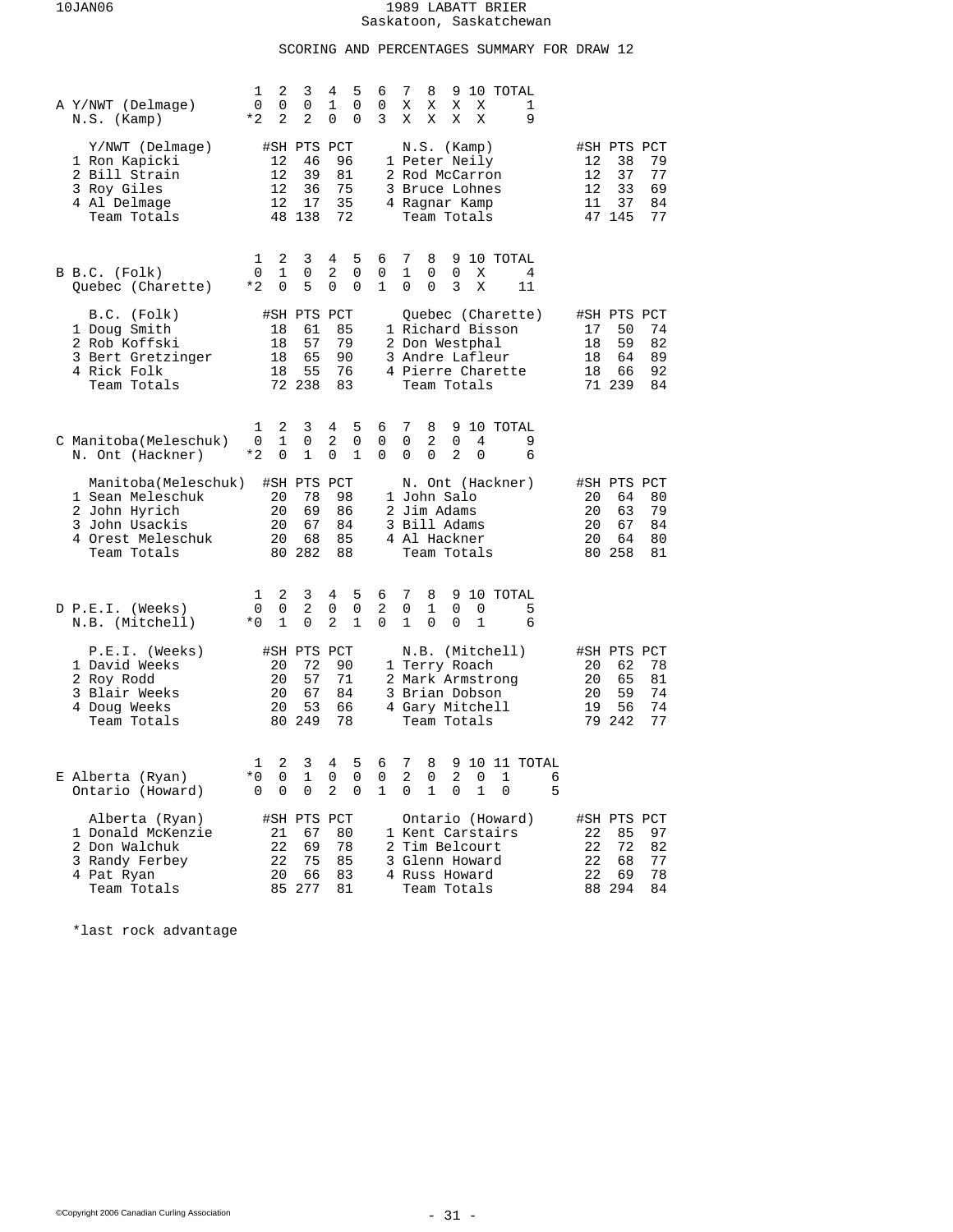# SCORING AND PERCENTAGES SUMMARY FOR DRAW 12

| A Y/NWT (Delmage)<br>$N.S.$ (Kamp)                                                                              | 1<br>2<br>0<br>0<br>2<br>*2           | 3<br>0<br>2                                   | 5<br>4<br>$\mathbf 0$<br>1<br>0<br>$\Omega$ | 6<br>7<br>8<br>9 10 TOTAL<br>0<br>Χ<br>Χ<br>Χ<br>Χ<br>1<br>3<br>Χ<br>Χ<br>X<br>X<br>9                                                                                                                                 |
|-----------------------------------------------------------------------------------------------------------------|---------------------------------------|-----------------------------------------------|---------------------------------------------|-----------------------------------------------------------------------------------------------------------------------------------------------------------------------------------------------------------------------|
| Y/NWT (Delmage)<br>1 Ron Kapicki<br>2 Bill Strain<br>3 Roy Giles<br>4 Al Delmage<br>Team Totals                 | 12<br>12<br>12<br>12                  | #SH PTS PCT<br>46<br>39<br>36<br>17<br>48 138 | 96<br>81<br>75<br>35<br>72                  | $N.S.$ (Kamp)<br>#SH PTS PCT<br>38<br>79<br>1 Peter Neily<br>12<br>2 Rod McCarron<br>12<br>37<br>77<br>33<br>69<br>3 Bruce Lohnes<br>12<br>11<br>37<br>4 Ragnar Kamp<br>84<br>Team Totals<br>47 145<br>77             |
| B B.C. (Folk)<br>Quebec (Charette)                                                                              | 2<br>1<br>1<br>0<br>$\mathbf 0$<br>*2 | 3<br>0<br>5                                   | 5<br>4<br>$\mathbf 0$<br>2<br>0<br>0        | 8<br>6<br>7<br>9 10 TOTAL<br>$\mathbf{1}$<br>0<br>0<br>0<br>Χ<br>4<br>3<br>1<br>0<br>$\mathbf 0$<br>X<br>11                                                                                                           |
| B.C. (Folk)<br>1 Doug Smith<br>2 Rob Koffski<br>3 Bert Gretzinger<br>4 Rick Folk<br>Team Totals                 | 18<br>18<br>18<br>18                  | #SH PTS PCT<br>61<br>57<br>65<br>55<br>72 238 | 85<br>79<br>90<br>76<br>83                  | Quebec (Charette)<br>#SH PTS PCT<br>1 Richard Bisson<br>50<br>74<br>17<br>59<br>82<br>2 Don Westphal<br>18<br>3 Andre Lafleur<br>89<br>18<br>64<br>92<br>4 Pierre Charette<br>18<br>66<br>71 239<br>84<br>Team Totals |
| C Manitoba (Meleschuk)<br>N. Ont (Hackner)                                                                      | 2<br>1<br>1<br>0<br>*2<br>0           | 3<br>0<br>1                                   | 5<br>4<br>2<br>$\mathbf 0$<br>1<br>0        | 6<br>7<br>8<br>9 10 TOTAL<br>2<br>0<br>0<br>0<br>4<br>9<br>$\mathbf 0$<br>2<br>0<br>0<br>0<br>6                                                                                                                       |
| Manitoba (Meleschuk)<br>1 Sean Meleschuk<br>2 John Hyrich<br>3 John Usackis<br>4 Orest Meleschuk<br>Team Totals | 20<br>20<br>20<br>20                  | #SH PTS PCT<br>78<br>69<br>67<br>68<br>80 282 | 98<br>86<br>84<br>85<br>88                  | N. Ont (Hackner)<br>#SH PTS PCT<br>1 John Salo<br>20<br>64<br>80<br>20<br>79<br>2 Jim Adams<br>63<br>3 Bill Adams<br>20<br>67<br>84<br>20<br>64<br>80<br>4 Al Hackner<br>80 258<br>Team Totals<br>81                  |
| $D P.E.I.$ (Weeks)<br>N.B. (Mitchell)                                                                           | 2<br>1<br>0<br>0<br>1<br>$*0$         | 3<br>2<br>0                                   | 5<br>4<br>0<br>0<br>2<br>1                  | 7<br>8<br>9 10 TOTAL<br>6<br>2<br>$\mathbf 0$<br>1<br>0<br>0<br>5<br>0<br>1<br>$\mathbf 0$<br>0<br>1<br>6                                                                                                             |
| $P.E.I.$ (Weeks)<br>1 David Weeks<br>2 Roy Rodd<br>3 Blair Weeks<br>4 Doug Weeks<br>Team Totals                 | 20<br>20<br>20<br>20                  | #SH PTS PCT<br>72<br>57<br>67<br>53<br>80 249 | 90<br>71<br>84<br>66<br>78                  | N.B. (Mitchell)<br>#SH PTS PCT<br>1 Terry Roach<br>78<br>20<br>62<br>65<br>81<br>2 Mark Armstrong<br>20<br>59<br>74<br>3 Brian Dobson<br>20<br>4 Gary Mitchell<br>56<br>74<br>19<br>79 242<br>77<br>Team Totals       |
| E Alberta (Ryan)<br>Ontario (Howard)                                                                            | 2<br>1<br>$*0$ 0<br>0<br>0            | 3<br>$\mathbf{1}$<br>0                        | 4<br>5<br>$0\quad 0$<br>2<br>0              | 6<br>7<br>8<br>9 10 11 TOTAL<br>$\overline{0}$<br>2<br>$\overline{0}$<br>2 0 1 6<br>$\mathbf 1$<br>$\mathbf 1$<br>5<br>0<br>0<br>1<br>0                                                                               |
| Alberta (Ryan)<br>1 Donald McKenzie<br>2 Don Walchuk<br>3 Randy Ferbey<br>4 Pat Ryan<br>Team Totals             | 21<br>22<br>22<br>20                  | #SH PTS PCT<br>67<br>69<br>75<br>66<br>85 277 | 80<br>78<br>85<br>83<br>81                  | Ontario (Howard)<br>#SH PTS PCT<br>1 Kent Carstairs<br>22<br>85<br>97<br>2 Tim Belcourt<br>22<br>72<br>82<br>3 Glenn Howard<br>22<br>68<br>77<br>4 Russ Howard<br>22<br>69<br>78<br>88 294<br>84<br>Team Totals       |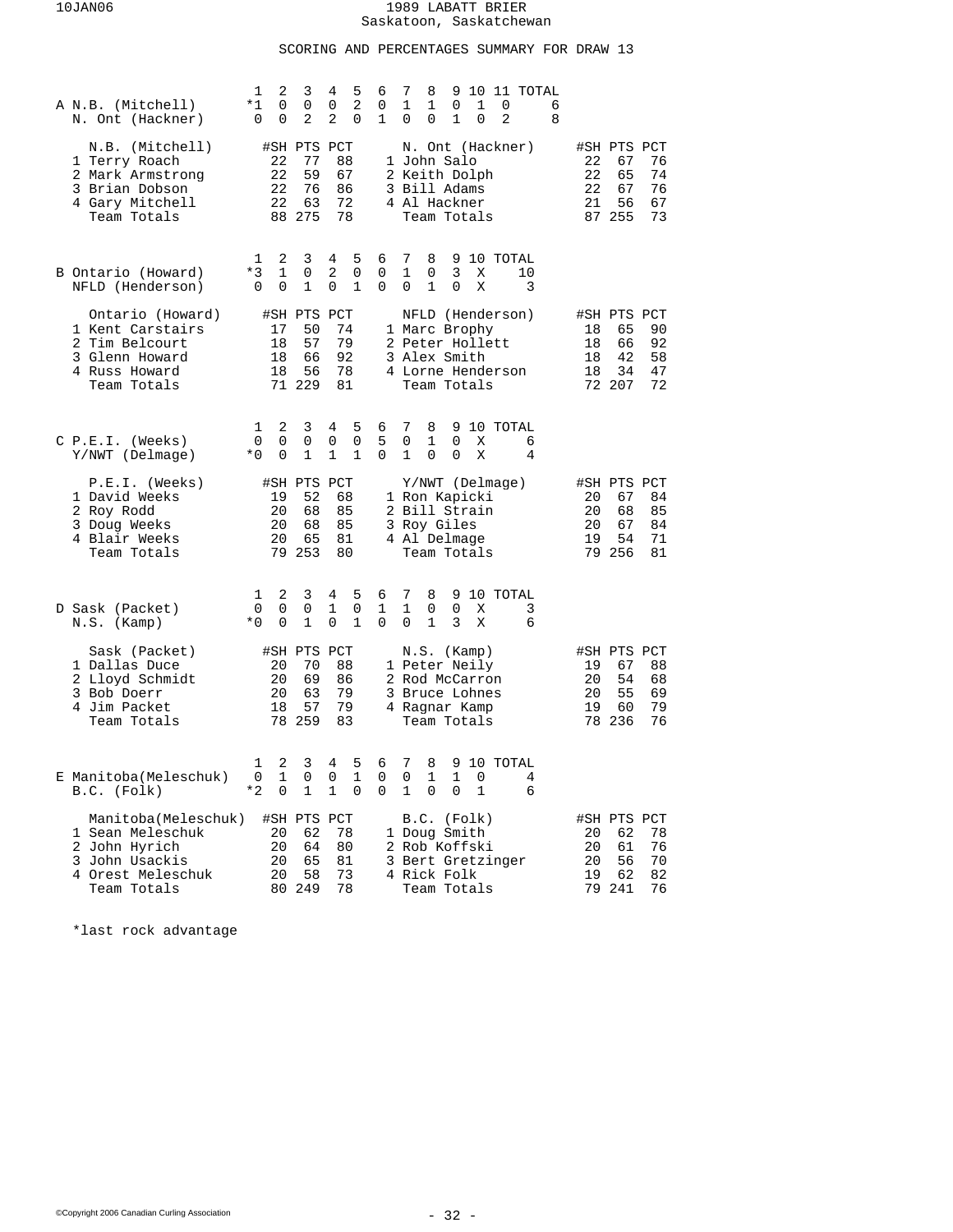# SCORING AND PERCENTAGES SUMMARY FOR DRAW 13

|                                  | A N.B. (Mitchell)<br>N. Ont (Hackner)                                                                           | 1<br>*1<br>0              | 2<br>0<br>0                   | 3<br>0<br>2                                   | 4<br>0<br>2                | 5<br>$\overline{a}$<br>0        | 6<br>0<br>$\mathbf{1}$           | 7<br>$\mathbf{1}$<br>0                                                | 8<br>$\mathbf 1$<br>$\mathbf 0$  | 0<br>1                          | 9 10<br>1<br>0       | 0<br>2 | 11 ТОТАL            | 6<br>8 |                      |                                               |                            |
|----------------------------------|-----------------------------------------------------------------------------------------------------------------|---------------------------|-------------------------------|-----------------------------------------------|----------------------------|---------------------------------|----------------------------------|-----------------------------------------------------------------------|----------------------------------|---------------------------------|----------------------|--------|---------------------|--------|----------------------|-----------------------------------------------|----------------------------|
|                                  | N.B. (Mitchell)<br>1 Terry Roach<br>2 Mark Armstrong<br>3 Brian Dobson<br>4 Gary Mitchell<br>Team Totals        |                           | 22<br>22<br>22<br>22          | #SH PTS PCT<br>77<br>59<br>76<br>63<br>88 275 | 88<br>67<br>86<br>72<br>78 |                                 |                                  | 1 John Salo<br>2 Keith Dolph<br>3 Bill Adams<br>4 Al Hackner          |                                  | N. Ont (Hackner)<br>Team Totals |                      |        |                     |        | 22<br>22<br>22<br>21 | #SH PTS PCT<br>67<br>65<br>67<br>56<br>87 255 | 76<br>74<br>76<br>67<br>73 |
|                                  | B Ontario (Howard)<br>NFLD (Henderson)                                                                          | 1<br>$*3$<br>$\Omega$     | 2<br>$\mathbf{1}$<br>$\Omega$ | 3<br>0<br>$\mathbf 1$                         | 4<br>2<br>0                | 5<br>$\mathbf 0$<br>1           | 6<br>0<br>0                      | 7<br>$\mathbf{1}$<br>0                                                | 8<br>0<br>$\mathbf 1$            | 3<br>0                          | 9 10 TOTAL<br>X<br>X |        | 10<br>3             |        |                      |                                               |                            |
|                                  | Ontario (Howard)<br>1 Kent Carstairs<br>2 Tim Belcourt<br>3 Glenn Howard<br>4 Russ Howard<br>Team Totals        |                           | 17<br>18<br>18<br>18          | #SH PTS PCT<br>50<br>57<br>66<br>56<br>71 229 | 74<br>79<br>92<br>78<br>81 |                                 |                                  | 1 Marc Brophy<br>2 Peter Hollett<br>3 Alex Smith<br>4 Lorne Henderson |                                  | NFLD (Henderson)<br>Team Totals |                      |        |                     |        | 18<br>18<br>18<br>18 | #SH PTS PCT<br>65<br>66<br>42<br>34<br>72 207 | 90<br>92<br>58<br>47<br>72 |
| $C$ P.E.I. (Weeks)               | Y/NWT (Delmage)                                                                                                 | 1<br>0<br>$*0$            | 2<br>0<br>0                   | 3<br>0<br>$\mathbf 1$                         | 4<br>0<br>1                | 5<br>$\mathbf 0$<br>1           | 6<br>5<br>0                      | 7<br>$\mathbf 0$<br>1                                                 | 8<br>$\mathbf{1}$<br>$\mathbf 0$ | 0<br>0                          | 9 10 TOTAL<br>X<br>X |        | 6<br>4              |        |                      |                                               |                            |
| 2 Roy Rodd<br>3 Doug Weeks       | $P.E.I.$ (Weeks)<br>1 David Weeks<br>4 Blair Weeks<br>Team Totals                                               |                           | 19<br>20<br>20<br>20          | #SH PTS PCT<br>52<br>68<br>68<br>65<br>79 253 | 68<br>85<br>85<br>81<br>80 |                                 |                                  | 1 Ron Kapicki<br>2 Bill Strain<br>3 Roy Giles<br>4 Al Delmage         |                                  | Y/NWT (Delmage)<br>Team Totals  |                      |        |                     |        | 20<br>20<br>20<br>19 | #SH PTS PCT<br>67<br>68<br>67<br>54<br>79 256 | 84<br>85<br>84<br>71<br>81 |
| D Sask (Packet)<br>$N.S.$ (Kamp) |                                                                                                                 | 1<br>0<br>$*0$            | 2<br>0<br>0                   | 3<br>0<br>$\mathbf 1$                         | 4<br>1<br>0                | 5<br>$\mathbf 0$<br>1           | 6<br>$\mathbf{1}$<br>$\mathbf 0$ | 7<br>$\mathbf{1}$<br>0                                                | 8<br>0<br>$\mathbf 1$            | $\mathbf 0$<br>3                | 9 10 TOTAL<br>X<br>X |        | 3<br>6              |        |                      |                                               |                            |
| 3 Bob Doerr<br>4 Jim Packet      | Sask (Packet)<br>1 Dallas Duce<br>2 Lloyd Schmidt<br>Team Totals                                                |                           | 20<br>20<br>20<br>18          | #SH PTS PCT<br>70<br>69<br>63<br>57<br>78 259 | 88<br>86<br>79<br>79<br>83 |                                 |                                  | 1 Peter Neily<br>2 Rod McCarron<br>3 Bruce Lohnes<br>4 Ragnar Kamp    |                                  | $N.S.$ (Kamp)<br>Team Totals    |                      |        |                     |        | 19<br>20<br>20<br>19 | #SH PTS PCT<br>67<br>54<br>55<br>60<br>78 236 | 88<br>68<br>69<br>79<br>76 |
| B.C. (Folk)                      | E Manitoba (Meleschuk)                                                                                          | 1<br>$\overline{0}$<br>*2 | 2<br>1<br>0                   | 3<br>0<br>1                                   | 4<br>$\mathbf{0}$<br>1     | 5<br>$\mathbf 1$<br>$\mathbf 0$ | 6<br>0<br>0                      | 7<br>0<br>1                                                           | 8<br>0                           | $1\quad 1\quad 0$<br>0          | 9 10 TOTAL<br>1      |        | $\overline{4}$<br>6 |        |                      |                                               |                            |
|                                  | Manitoba (Meleschuk)<br>1 Sean Meleschuk<br>2 John Hyrich<br>3 John Usackis<br>4 Orest Meleschuk<br>Team Totals |                           | 20<br>20<br>20<br>20          | #SH PTS PCT<br>62<br>64<br>65<br>58<br>80 249 | 78<br>80<br>81<br>73<br>78 |                                 |                                  | 1 Doug Smith<br>2 Rob Koffski<br>3 Bert Gretzinger<br>4 Rick Folk     |                                  | B.C. (Folk)<br>Team Totals      |                      |        |                     |        | 20<br>20<br>20<br>19 | #SH PTS PCT<br>62<br>61<br>56<br>62<br>79 241 | 78<br>76<br>70<br>82<br>76 |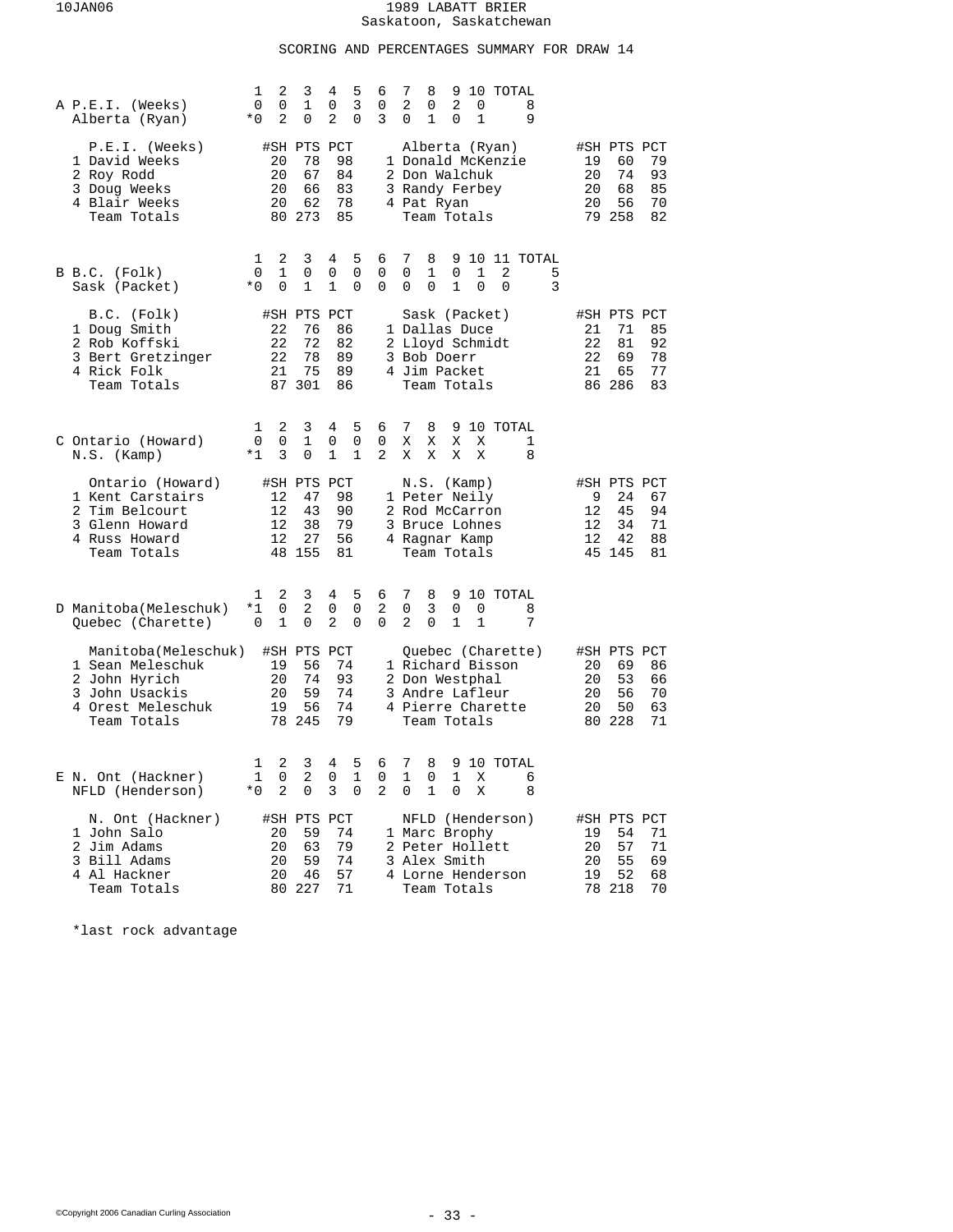# SCORING AND PERCENTAGES SUMMARY FOR DRAW 14

| A P.E.I. (Weeks)<br>Alberta (Ryan)                                                                             | 1<br>0<br>$*0$ | 2<br>0<br>2          | 3<br>1<br>0                                   | 4<br>0<br>2                | 5<br>3<br>0          | 6<br>0<br>3 | 7<br>2<br>0 | 8<br>0<br>1                                                                                                    | 9<br>2<br>$\Omega$ | 0<br>1 | 10 TOTAL   |        | 8<br>9                  |                      |                                               |                            |
|----------------------------------------------------------------------------------------------------------------|----------------|----------------------|-----------------------------------------------|----------------------------|----------------------|-------------|-------------|----------------------------------------------------------------------------------------------------------------|--------------------|--------|------------|--------|-------------------------|----------------------|-----------------------------------------------|----------------------------|
| $P.E.I.$ (Weeks)<br>1 David Weeks<br>2 Roy Rodd<br>3 Doug Weeks<br>4 Blair Weeks<br>Team Totals                |                | 20<br>20<br>20<br>20 | #SH PTS PCT<br>78<br>67<br>66<br>62<br>80 273 | 98<br>84<br>83<br>78<br>85 |                      |             |             | Alberta (Ryan)<br>1 Donald McKenzie<br>2 Don Walchuk<br>3 Randy Ferbey<br>4 Pat Ryan<br>Team Totals            |                    |        |            |        |                         | 19<br>20<br>20<br>20 | #SH PTS PCT<br>60<br>74<br>68<br>56<br>79 258 | 79<br>93<br>85<br>70<br>82 |
| B B.C. (Folk)<br>Sask (Packet)                                                                                 | 1<br>0<br>$*0$ | 2<br>1<br>$\Omega$   | 3<br>0<br>1                                   | 4<br>0<br>1                | 5<br>0<br>0          | 6<br>0<br>0 | 7<br>0<br>0 | 8<br>1<br>0                                                                                                    | 0<br>1             | 1<br>0 |            | 2<br>0 | 9 10 11 TOTAL<br>5<br>3 |                      |                                               |                            |
| B.C. (Folk)<br>1 Doug Smith<br>2 Rob Koffski<br>3 Bert Gretzinger<br>4 Rick Folk<br>Team Totals                |                | 22<br>22<br>22<br>21 | #SH PTS PCT<br>76<br>72<br>78<br>75<br>87 301 | 86<br>82<br>89<br>89<br>86 |                      |             |             | Sask (Packet)<br>1 Dallas Duce<br>2 Lloyd Schmidt<br>3 Bob Doerr<br>4 Jim Packet<br>Team Totals                |                    |        |            |        |                         | 21<br>22<br>22<br>21 | #SH PTS PCT<br>71<br>81<br>69<br>65<br>86 286 | 85<br>92<br>78<br>77<br>83 |
| C Ontario (Howard)<br>$N.S.$ (Kamp)                                                                            | 1<br>0<br>*1   | 2<br>0<br>3          | 3<br>1<br>0                                   | 4<br>0<br>1                | 5<br>0<br>1          | 6<br>0<br>2 | 7<br>Χ<br>Χ | 8<br>Χ<br>Χ                                                                                                    | Χ<br>Χ             | Χ<br>X | 9 10 TOTAL |        | 1<br>8                  |                      |                                               |                            |
| Ontario (Howard)<br>1 Kent Carstairs<br>2 Tim Belcourt<br>3 Glenn Howard<br>4 Russ Howard<br>Team Totals       |                | 12<br>12<br>12<br>12 | #SH PTS PCT<br>47<br>43<br>38<br>27<br>48 155 | 98<br>90<br>79<br>56<br>81 |                      |             |             | $N.S.$ (Kamp)<br>1 Peter Neily<br>2 Rod McCarron<br>3 Bruce Lohnes<br>4 Ragnar Kamp<br>Team Totals             |                    |        |            |        |                         | 9<br>12<br>12<br>12  | #SH PTS PCT<br>24<br>45<br>34<br>42<br>45 145 | 67<br>94<br>71<br>88<br>81 |
| D Manitoba (Meleschuk)<br>Quebec (Charette)                                                                    | 1<br>*1<br>0   | 2<br>0<br>1          | 3<br>2<br>0                                   | 4<br>0<br>2                | 5<br>0<br>0          | 6<br>2<br>0 | 7<br>0<br>2 | 8<br>3<br>0                                                                                                    | 0<br>1             | 0<br>1 | 9 10 TOTAL |        | 8<br>7                  |                      |                                               |                            |
| Manitoba(Meleschuk)<br>1 Sean Meleschuk<br>2 John Hyrich<br>3 John Usackis<br>4 Orest Meleschuk<br>Team Totals |                | 19<br>20<br>20<br>19 | #SH PTS PCT<br>56<br>74<br>59<br>56<br>78 245 | 74<br>93<br>74<br>74<br>79 |                      |             |             | Quebec (Charette)<br>1 Richard Bisson<br>2 Don Westphal<br>3 Andre Lafleur<br>4 Pierre Charette<br>Team Totals |                    |        |            |        |                         | 20<br>20<br>20<br>20 | #SH PTS PCT<br>69<br>53<br>56<br>50<br>80 228 | 86<br>66<br>70<br>63<br>71 |
| E N. Ont (Hackner)<br>NFLD (Henderson)                                                                         | 1<br>1<br>* 0  | 2<br>0<br>2          | 3<br>2<br>0                                   | 4<br>3 <sup>7</sup>        | 5<br>$0\quad 1$<br>0 | 6<br>0<br>2 | 7<br>1<br>0 | 8<br>1                                                                                                         | 0 1 X 6<br>0       | Χ      | 9 10 TOTAL |        | 8                       |                      |                                               |                            |
| N. Ont (Hackner)<br>1 John Salo<br>2 Jim Adams<br>3 Bill Adams<br>4 Al Hackner<br>Team Totals                  |                | 20<br>20<br>20<br>20 | #SH PTS PCT<br>59<br>63<br>59<br>46<br>80 227 | 74<br>79<br>74<br>57<br>71 |                      |             |             | NFLD (Henderson)<br>1 Marc Brophy<br>2 Peter Hollett<br>3 Alex Smith<br>4 Lorne Henderson<br>Team Totals       |                    |        |            |        |                         | 19<br>20<br>20<br>19 | #SH PTS PCT<br>54<br>57<br>55<br>52<br>78 218 | 71<br>71<br>69<br>68<br>70 |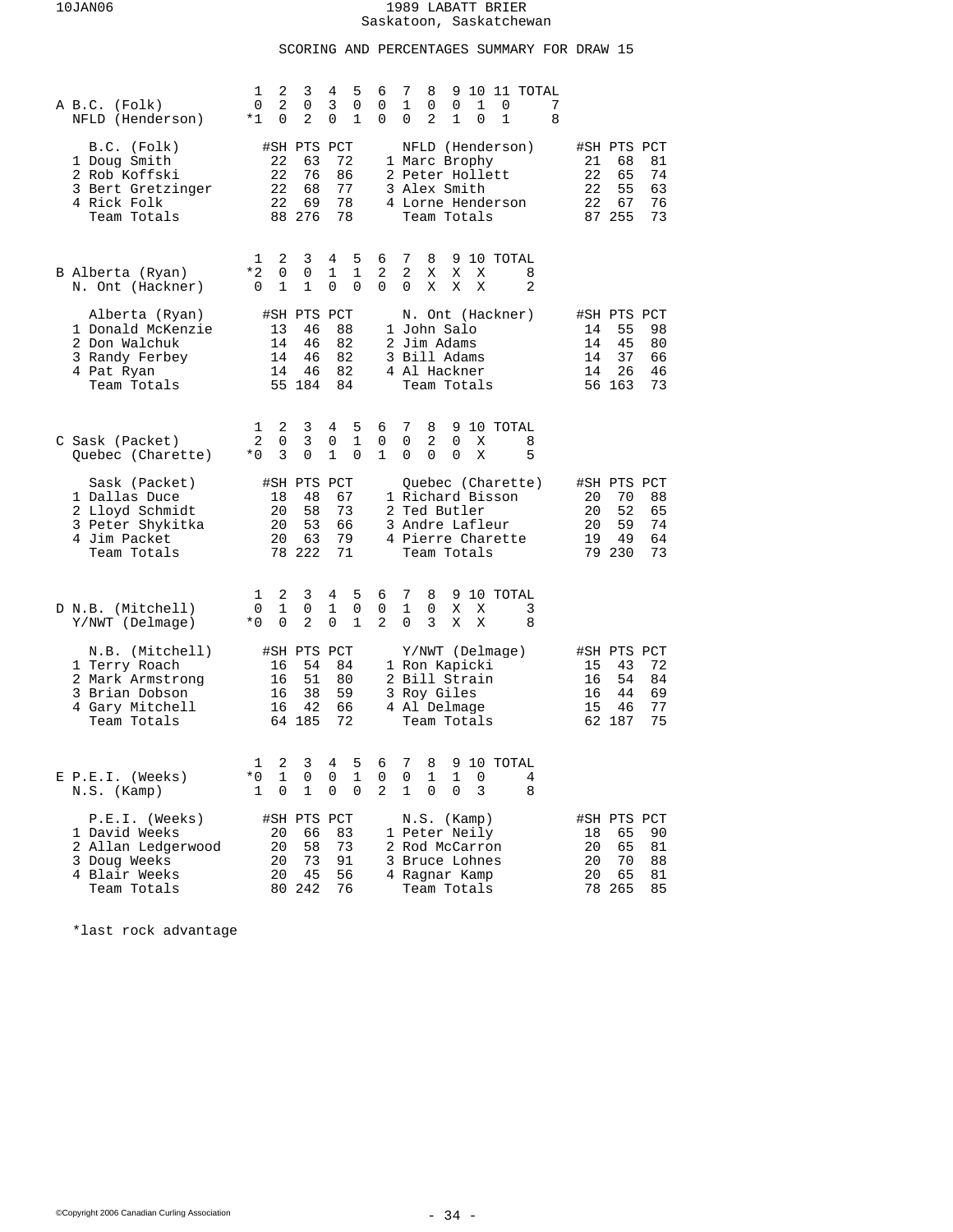# SCORING AND PERCENTAGES SUMMARY FOR DRAW 15

| A B.C. (Folk)<br>NFLD (Henderson)                                                                        | 2<br>1<br>3<br>4<br>5<br>2<br>0<br>3<br>$\mathbf 0$<br>0<br>$\mathbf 0$<br>2<br>$\Omega$<br>$\mathbf{1}$<br>*1                                         | 7<br>6<br>8<br>9 10 11 TOTAL<br>$\mathbf{1}$<br>0<br>0<br>0<br>1<br>7<br>0<br>2<br>$\mathbf{1}$<br>$\mathbf{1}$<br>8<br>$\Omega$<br>0<br>0 |                                                                                                     |
|----------------------------------------------------------------------------------------------------------|--------------------------------------------------------------------------------------------------------------------------------------------------------|--------------------------------------------------------------------------------------------------------------------------------------------|-----------------------------------------------------------------------------------------------------|
| B.C. (Folk)<br>1 Doug Smith<br>2 Rob Koffski<br>3 Bert Gretzinger<br>4 Rick Folk<br>Team Totals          | #SH PTS PCT<br>72<br>22<br>63<br>22<br>76<br>86<br>22<br>68<br>77<br>22<br>69<br>78<br>88 276<br>78                                                    | NFLD (Henderson)<br>1 Marc Brophy<br>2 Peter Hollett<br>3 Alex Smith<br>4 Lorne Henderson<br>Team Totals                                   | #SH PTS PCT<br>81<br>21<br>68<br>22<br>65<br>74<br>55<br>22<br>63<br>22<br>67<br>76<br>87 255<br>73 |
| B Alberta (Ryan)<br>N. Ont (Hackner)                                                                     | 2<br>1<br>3<br>4<br>5<br>$\mathbf{1}$<br>$\mathbf 0$<br>0<br>$\mathbf{1}$<br>*2<br>$\mathbf{1}$<br>$\mathbf{1}$<br>$\Omega$<br>$\mathbf 0$<br>$\Omega$ | 7<br>6<br>8<br>9 10 TOTAL<br>2<br>2<br>Χ<br>Χ<br>Χ<br>8<br>2<br>0<br>0<br>Χ<br>X<br>X                                                      |                                                                                                     |
| Alberta (Ryan)<br>1 Donald McKenzie<br>2 Don Walchuk<br>3 Randy Ferbey<br>4 Pat Ryan<br>Team Totals      | #SH PTS PCT<br>88<br>13<br>46<br>14<br>46<br>82<br>46<br>82<br>14<br>14<br>46<br>82<br>55 184<br>84                                                    | N. Ont (Hackner)<br>1 John Salo<br>2 Jim Adams<br>3 Bill Adams<br>4 Al Hackner<br>Team Totals                                              | #SH PTS PCT<br>55<br>98<br>14<br>45<br>14<br>80<br>37<br>14<br>66<br>26<br>14<br>46<br>56 163<br>73 |
| C Sask (Packet)<br>Quebec (Charette)                                                                     | 2<br>1<br>3<br>4<br>5<br>3<br>$\mathbf{1}$<br>0<br>0<br>2<br>3<br>0<br>1<br>$\mathbf 0$<br>$*0$                                                        | 7<br>6<br>8<br>9 10 TOTAL<br>0<br>2<br>0<br>0<br>8<br>Χ<br>$\mathbf 1$<br>0<br>5<br>0<br>0<br>X                                            |                                                                                                     |
| Sask (Packet)<br>1 Dallas Duce<br>2 Lloyd Schmidt<br>3 Peter Shykitka<br>4 Jim Packet<br>Team Totals     | #SH PTS PCT<br>67<br>18<br>48<br>20<br>58<br>73<br>20<br>53<br>66<br>20<br>63<br>79<br>71<br>78 222                                                    | Quebec (Charette)<br>1 Richard Bisson<br>2 Ted Butler<br>3 Andre Lafleur<br>4 Pierre Charette<br>Team Totals                               | #SH PTS PCT<br>70<br>20<br>88<br>20<br>52<br>65<br>59<br>74<br>20<br>49<br>64<br>19<br>79 230<br>73 |
| D N.B. (Mitchell)<br>Y/NWT (Delmage)                                                                     | 5<br>1<br>2<br>3<br>4<br>$\mathbf{1}$<br>0<br>$\mathbf{1}$<br>$\mathbf 0$<br>0<br>$\mathbf 0$<br>2<br>0<br>$\mathbf{1}$<br>$*0$                        | 7<br>9 10 TOTAL<br>6<br>8<br>$\mathbf{1}$<br>0<br>0<br>Χ<br>Χ<br>3<br>2<br>3<br>0<br>Χ<br>X<br>8                                           |                                                                                                     |
| N.B. (Mitchell)<br>1 Terry Roach<br>2 Mark Armstrong<br>3 Brian Dobson<br>4 Gary Mitchell<br>Team Totals | #SH PTS PCT<br>54<br>84<br>16<br>51<br>80<br>16<br>38<br>59<br>16<br>42<br>66<br>16<br>64 185<br>72                                                    | Y/NWT (Delmage)<br>1 Ron Kapicki<br>2 Bill Strain<br>3 Roy Giles<br>4 Al Delmage<br>Team Totals                                            | #SH PTS PCT<br>15<br>43<br>72<br>54<br>84<br>16<br>44<br>69<br>16<br>15<br>46<br>77<br>62 187<br>75 |
| E P.E.I. (Weeks)<br>$N.S.$ (Kamp)                                                                        | 2<br>3<br>5<br>1<br>4<br>$*0$ 1<br>$0 \quad 0 \quad 1$<br>0<br>0<br>1<br>0<br>1                                                                        | 7<br>6<br>8<br>9 10 TOTAL<br>$0\quad 0$<br>1 1 0 4<br>2<br>1<br>0<br>3<br>8<br>0                                                           |                                                                                                     |
| P.E.I. (Weeks)<br>1 David Weeks<br>2 Allan Ledgerwood<br>3 Doug Weeks<br>4 Blair Weeks<br>Team Totals    | #SH PTS PCT<br>66<br>83<br>20<br>20<br>58<br>73<br>20<br>73<br>91<br>45<br>20<br>56<br>80 242<br>76                                                    | $N.S.$ (Kamp)<br>1 Peter Neily<br>2 Rod McCarron<br>3 Bruce Lohnes<br>4 Ragnar Kamp<br>Team Totals                                         | #SH PTS PCT<br>65<br>90<br>18<br>20<br>65<br>81<br>20<br>70<br>88<br>20<br>65<br>81<br>78 265<br>85 |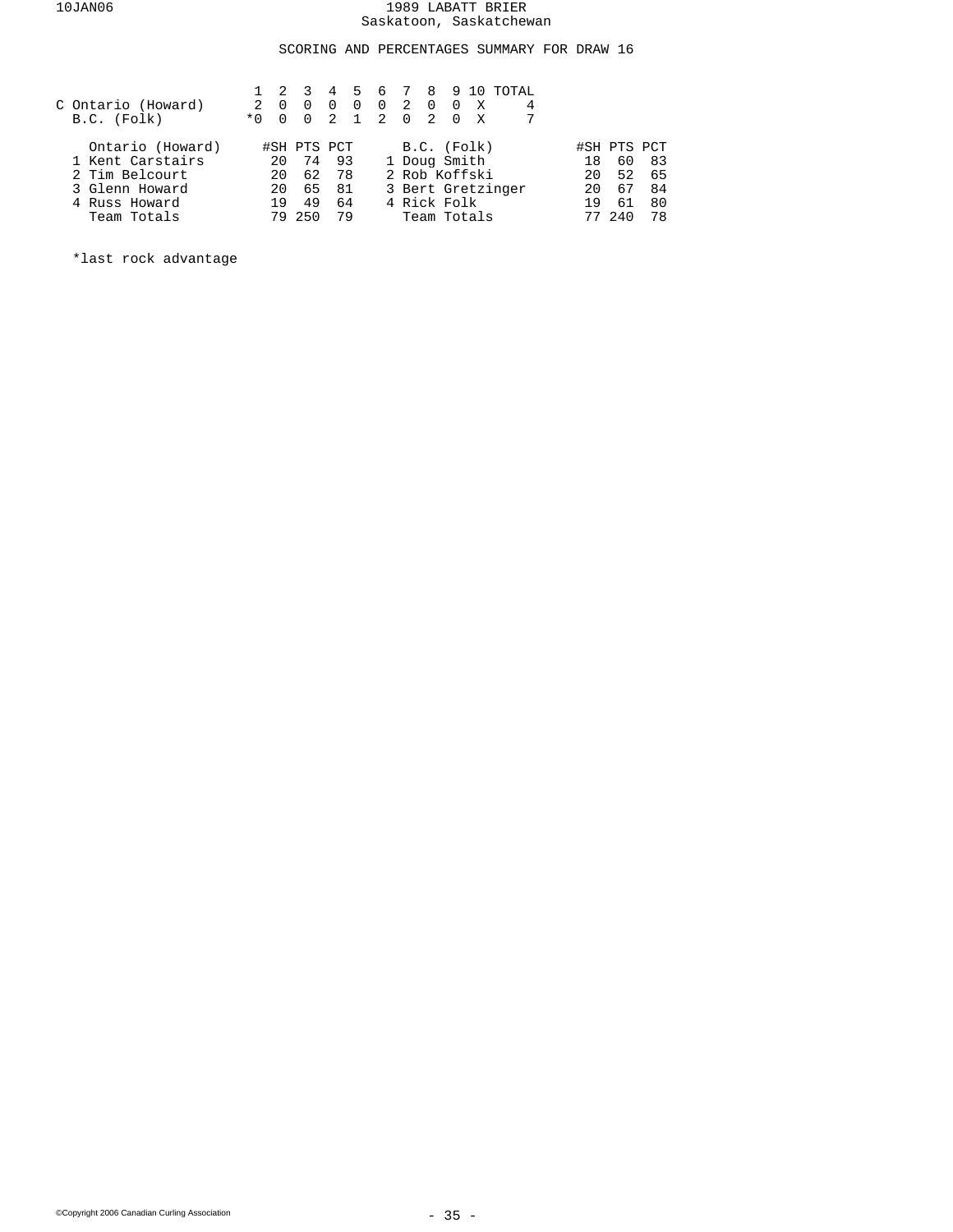## SCORING AND PERCENTAGES SUMMARY FOR DRAW 16

| $*$ 0 | $\Omega$ | 4<br>$\Omega$<br>$\Omega$ | $\Omega$    | 2                 | $\Omega$<br>$\Omega$ | X<br>X                     | 4                   |                                                                                            |      |             |
|-------|----------|---------------------------|-------------|-------------------|----------------------|----------------------------|---------------------|--------------------------------------------------------------------------------------------|------|-------------|
|       |          |                           |             |                   |                      |                            |                     |                                                                                            |      |             |
| 20    | 74       | 93                        |             |                   |                      |                            |                     | 18                                                                                         | 60   | 83          |
| 20.   | 62       | 78                        |             |                   |                      |                            |                     | 20                                                                                         | 52   | 65          |
| 20    | 65       | 81                        |             |                   |                      |                            |                     | 20                                                                                         | 67   | 84          |
| 19    | 49       | 64                        |             |                   |                      |                            |                     | 1 9                                                                                        | 61   | 80          |
| 79    | 250      | 79                        |             |                   |                      |                            |                     |                                                                                            | 24 N | 78          |
|       |          |                           | #SH PTS PCT | 56<br>$2 \quad 1$ | 2 0                  | $\Omega$<br>$\overline{2}$ | 8910<br>4 Rick Folk | TOTAL.<br>B.C. (Folk)<br>1 Doug Smith<br>2 Rob Koffski<br>3 Bert Gretzinger<br>Team Totals |      | #SH PTS PCT |